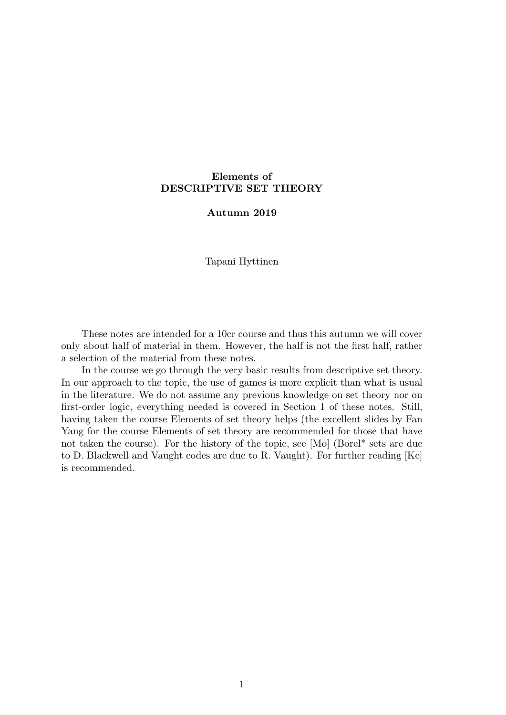# **Elements of DESCRIPTIVE SET THEORY**

# **Autumn 2019**

Tapani Hyttinen

These notes are intended for a 10cr course and thus this autumn we will cover only about half of material in them. However, the half is not the first half, rather a selection of the material from these notes.

In the course we go through the very basic results from descriptive set theory. In our approach to the topic, the use of games is more explicit than what is usual in the literature. We do not assume any previous knowledge on set theory nor on first-order logic, everything needed is covered in Section 1 of these notes. Still, having taken the course Elements of set theory helps (the excellent slides by Fan Yang for the course Elements of set theory are recommended for those that have not taken the course). For the history of the topic, see [Mo] (Borel\* sets are due to D. Blackwell and Vaught codes are due to R. Vaught). For further reading [Ke] is recommended.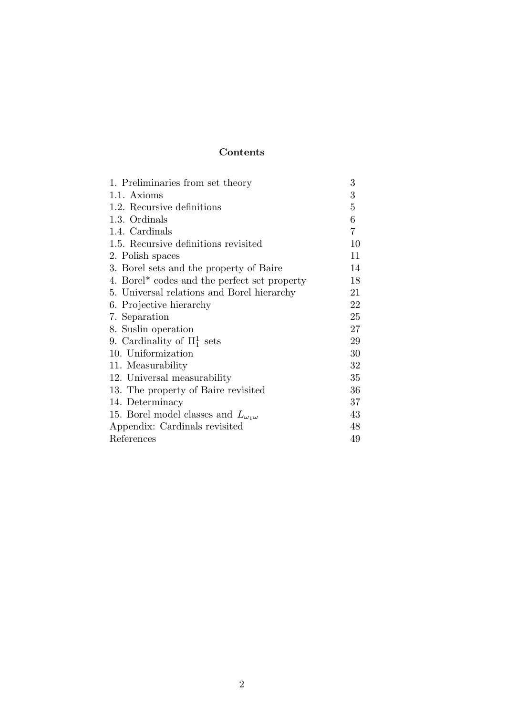# **Contents**

| 1. Preliminaries from set theory                         | 3              |
|----------------------------------------------------------|----------------|
| 1.1. Axioms                                              | 3              |
| 1.2. Recursive definitions                               | 5              |
| 1.3. Ordinals                                            | 6              |
| 1.4. Cardinals                                           | $\overline{7}$ |
| 1.5. Recursive definitions revisited                     | 10             |
| 2. Polish spaces                                         | 11             |
| 3. Borel sets and the property of Baire                  | 14             |
| 4. Borel <sup>*</sup> codes and the perfect set property | 18             |
| 5. Universal relations and Borel hierarchy               | 21             |
| 6. Projective hierarchy                                  | 22             |
| 7. Separation                                            | 25             |
| 8. Suslin operation                                      | 27             |
| 9. Cardinality of $\Pi_1^1$ sets                         | 29             |
| 10. Uniformization                                       | 30             |
| 11. Measurability                                        | 32             |
| 12. Universal measurability                              | 35             |
| 13. The property of Baire revisited                      | 36             |
| 14. Determinacy                                          | 37             |
| 15. Borel model classes and $L_{\omega_1\omega}$         | 43             |
| Appendix: Cardinals revisited                            | 48             |
| References                                               | 49             |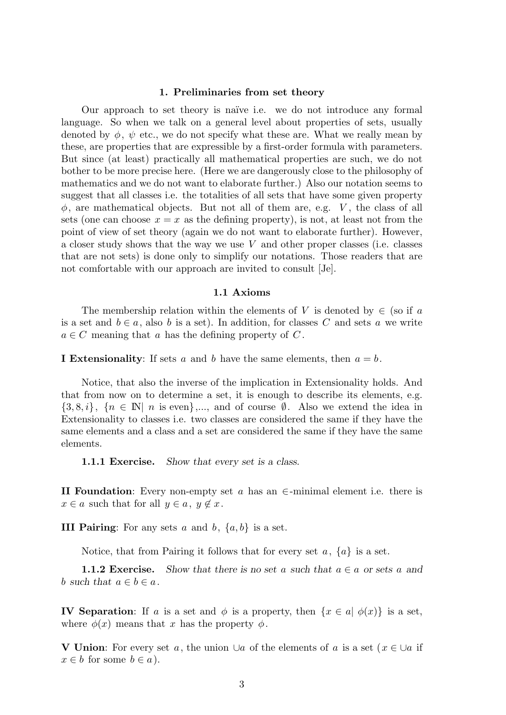#### **1. Preliminaries from set theory**

Our approach to set theory is na¨ıve i.e. we do not introduce any formal language. So when we talk on a general level about properties of sets, usually denoted by  $\phi$ ,  $\psi$  etc., we do not specify what these are. What we really mean by these, are properties that are expressible by a first-order formula with parameters. But since (at least) practically all mathematical properties are such, we do not bother to be more precise here. (Here we are dangerously close to the philosophy of mathematics and we do not want to elaborate further.) Also our notation seems to suggest that all classes i.e. the totalities of all sets that have some given property  $\phi$ , are mathematical objects. But not all of them are, e.g. *V*, the class of all sets (one can choose  $x = x$  as the defining property), is not, at least not from the point of view of set theory (again we do not want to elaborate further). However, a closer study shows that the way we use *V* and other proper classes (i.e. classes that are not sets) is done only to simplify our notations. Those readers that are not comfortable with our approach are invited to consult [Je].

#### **1.1 Axioms**

The membership relation within the elements of *V* is denoted by  $\in$  (so if *a* is a set and  $b \in a$ , also *b* is a set). In addition, for classes *C* and sets *a* we write  $a \in C$  meaning that *a* has the defining property of *C*.

**I Extensionality**: If sets *a* and *b* have the same elements, then *a* = *b*.

Notice, that also the inverse of the implication in Extensionality holds. And that from now on to determine a set, it is enough to describe its elements, e.g.  $\{3, 8, i\}, \{n \in \mathbb{N} \mid n \text{ is even}\},\dots$ , and of course  $\emptyset$ . Also we extend the idea in Extensionality to classes i.e. two classes are considered the same if they have the same elements and a class and a set are considered the same if they have the same elements.

**1.1.1 Exercise.** *Show that every set is a class.*

**II Foundation**: Every non-empty set *a* has an *∈*-minimal element i.e. there is  $x \in a$  such that for all  $y \in a, y \notin x$ .

**III Pairing**: For any sets *a* and *b*, *{a, b}* is a set.

Notice, that from Pairing it follows that for every set *a*, *{a}* is a set.

**1.1.2 Exercise.** Show that there is no set a such that  $a \in a$  or sets a and *b such that*  $a \in b \in a$ *.* 

**IV Separation**: If *a* is a set and  $\phi$  is a property, then  $\{x \in a \mid \phi(x)\}$  is a set, where  $\phi(x)$  means that *x* has the property  $\phi$ .

**V Union**: For every set *a*, the union *∪a* of the elements of *a* is a set (*x ∈ ∪a* if  $x \in b$  for some  $b \in a$ ).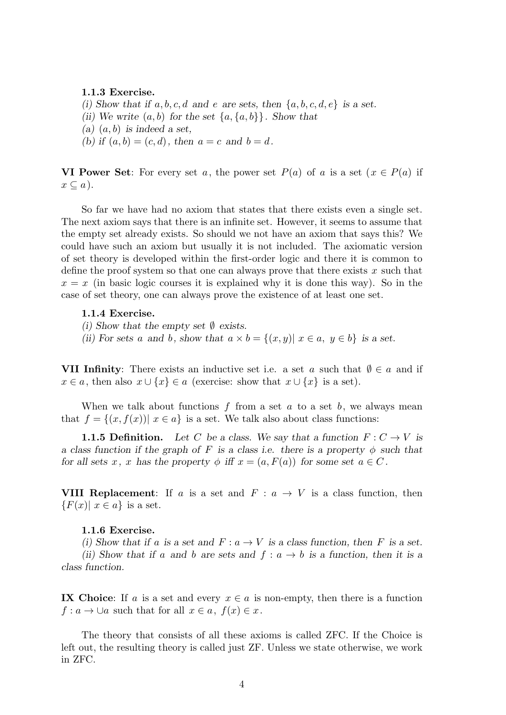## **1.1.3 Exercise.**

*(i)* Show that if  $a, b, c, d$  and  $e$  are sets, then  $\{a, b, c, d, e\}$  is a set. *(ii)* We write  $(a, b)$  for the set  $\{a, \{a, b\}\}\$ . Show that *(a)* (*a, b*) *is indeed a set,* (b) if  $(a, b) = (c, d)$ , then  $a = c$  and  $b = d$ .

**VI Power Set**: For every set *a*, the power set  $P(a)$  of *a* is a set  $(x \in P(a))$  if  $x \subseteq a$ ).

So far we have had no axiom that states that there exists even a single set. The next axiom says that there is an infinite set. However, it seems to assume that the empty set already exists. So should we not have an axiom that says this? We could have such an axiom but usually it is not included. The axiomatic version of set theory is developed within the first-order logic and there it is common to define the proof system so that one can always prove that there exists *x* such that  $x = x$  (in basic logic courses it is explained why it is done this way). So in the case of set theory, one can always prove the existence of at least one set.

# **1.1.4 Exercise.**

- *(i) Show that the empty set ∅ exists.*
- *(ii)* For sets *a* and *b,* show that  $a \times b = \{(x, y) | x \in a, y \in b\}$  is a set.

**VII Infinity**: There exists an inductive set i.e. a set *a* such that  $\emptyset \in a$  and if  $x \in a$ , then also  $x \cup \{x\} \in a$  (exercise: show that  $x \cup \{x\}$  is a set).

When we talk about functions *f* from a set *a* to a set *b*, we always mean that  $f = \{(x, f(x)) | x \in a\}$  is a set. We talk also about class functions:

**1.1.5 Definition.** Let C be a class. We say that a function  $F: C \to V$  is *a class function if the graph of*  $F$  *is a class i.e. there is a property*  $\phi$  *such that for all sets x*, *x has the property*  $\phi$  *iff*  $x = (a, F(a))$  *for some set*  $a \in C$ .

**VIII Replacement:** If *a* is a set and  $F: a \rightarrow V$  is a class function, then  ${F(x) | x \in a}$  is a set.

# **1.1.6 Exercise.**

*(i)* Show that if a is a set and  $F: a \rightarrow V$  is a class function, then F is a set.

*(ii)* Show that if *a* and *b* are sets and  $f: a \rightarrow b$  is a function, then it is a *class function.*

**IX Choice:** If *a* is a set and every  $x \in a$  is non-empty, then there is a function  $f: a \to \bigcup a$  such that for all  $x \in a$ ,  $f(x) \in x$ .

The theory that consists of all these axioms is called ZFC. If the Choice is left out, the resulting theory is called just ZF. Unless we state otherwise, we work in ZFC.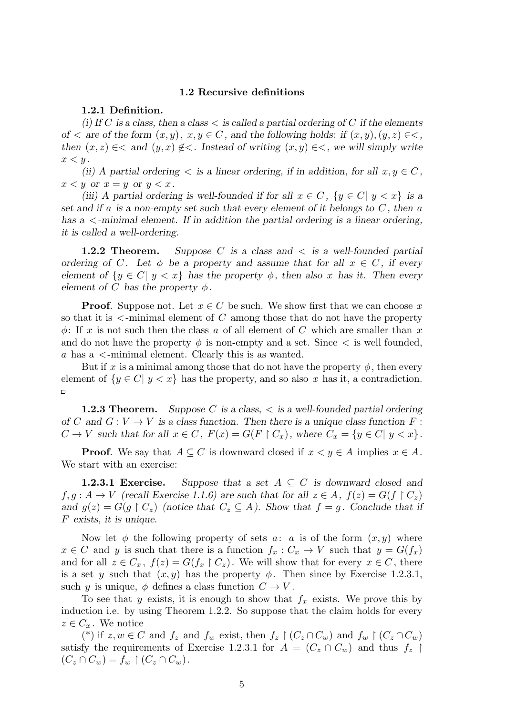# **1.2 Recursive definitions**

# **1.2.1 Definition.**

*(i) If C is a class, then a class < is called a partial ordering of C if the elements of*  $\lt$  *are of the form*  $(x, y)$ *,*  $x, y \in C$ *, and the following holds: if*  $(x, y)$ *,* $(y, z) \in \lt$ *, then*  $(x, z) \in \langle$  *and*  $(y, x) \notin \langle$ *. Instead of writing*  $(x, y) \in \langle$ *, we will simply write*  $x < y$ .

*(ii) A partial ordering*  $\lt$  *is a linear ordering, if in addition, for all*  $x, y \in C$ ,  $x < y$  or  $x = y$  or  $y < x$ .

*(iii) A partial ordering is well-founded if for all*  $x \in C$ ,  $\{y \in C | y < x\}$  *is a set and if a is a non-empty set such that every element of it belongs to C , then a has a <-minimal element. If in addition the partial ordering is a linear ordering, it is called a well-ordering.*

**1.2.2 Theorem.** *Suppose C is a class and < is a well-founded partial ordering of C*. Let  $\phi$  *be a property and assume that for all*  $x \in C$ *, if every element of*  $\{y \in C | y < x\}$  *has the property*  $\phi$ *, then also x has it. Then every element of C has the property*  $\phi$ *.* 

**Proof.** Suppose not. Let  $x \in C$  be such. We show first that we can choose x so that it is *<*-minimal element of *C* among those that do not have the property *ϕ*: If *x* is not such then the class *a* of all element of *C* which are smaller than *x* and do not have the property  $\phi$  is non-empty and a set. Since  $\lt$  is well founded, *a* has a *<*-minimal element. Clearly this is as wanted.

But if *x* is a minimal among those that do not have the property  $\phi$ , then every element of  $\{y \in C | y < x\}$  has the property, and so also x has it, a contradiction.  $\Box$ 

**1.2.3 Theorem.** *Suppose C is a class, < is a well-founded partial ordering of C* and  $G: V \to V$  *is a class function. Then there is a unique class function*  $F:$  $C \to V$  such that for all  $x \in C$ ,  $F(x) = G(F \upharpoonright C_x)$ , where  $C_x = \{y \in C | y < x\}$ .

**Proof**. We say that  $A \subseteq C$  is downward closed if  $x < y \in A$  implies  $x \in A$ . We start with an exercise:

**1.2.3.1 Exercise.** Suppose that a set  $A \subseteq C$  is downward closed and  $f, g: A \to V$  (recall Exercise 1.1.6) are such that for all  $z \in A$ ,  $f(z) = G(f \restriction C_z)$ *and*  $g(z) = G(g \restriction C_z)$  (notice that  $C_z \subseteq A$ ). Show that  $f = g$ . Conclude that if *F exists, it is unique.*

Now let  $\phi$  the following property of sets *a*: *a* is of the form  $(x, y)$  where  $x \in C$  and *y* is such that there is a function  $f_x : C_x \to V$  such that  $y = G(f_x)$ and for all  $z \in C_x$ ,  $f(z) = G(f_x \restriction C_z)$ . We will show that for every  $x \in C$ , there is a set *y* such that  $(x, y)$  has the property  $\phi$ . Then since by Exercise 1.2.3.1, such *y* is unique,  $\phi$  defines a class function  $C \to V$ .

To see that *y* exists, it is enough to show that  $f_x$  exists. We prove this by induction i.e. by using Theorem 1.2.2. So suppose that the claim holds for every  $z \in C_x$ . We notice

(\*) if  $z, w \in C$  and  $f_z$  and  $f_w$  exist, then  $f_z \restriction (C_z \cap C_w)$  and  $f_w \restriction (C_z \cap C_w)$ satisfy the requirements of Exercise 1.2.3.1 for  $A = (C_z \cap C_w)$  and thus  $f_z$  $(C_z \cap C_w) = f_w \restriction (C_z \cap C_w).$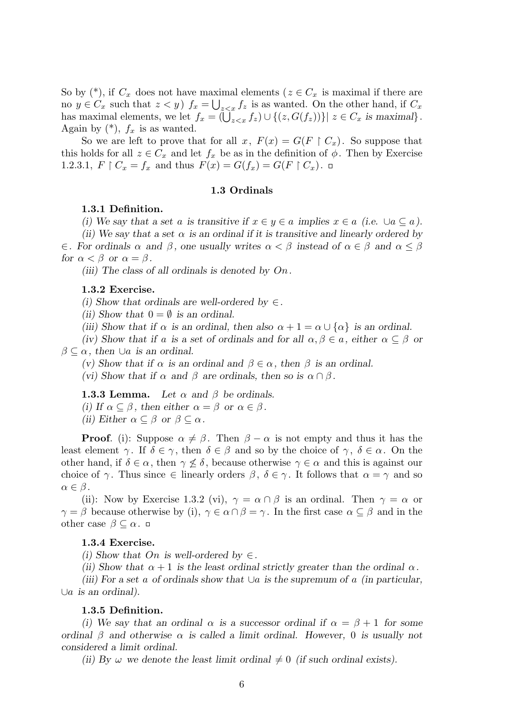So by  $(*),$  if  $C_x$  does not have maximal elements ( $z \in C_x$  is maximal if there are no  $y \in C_x$  such that  $z < y$ )  $f_x = \bigcup_{z \le x} f_z$  is as wanted. On the other hand, if  $C_x$ has maximal elements, we let  $f_x = (\bigcup_{z \leq x} f_z) \cup \{(z, G(f_z))\} | z \in C_x$  is maximal}. Again by  $(*), f_x$  is as wanted.

So we are left to prove that for all  $x, F(x) = G(F \restriction C_x)$ . So suppose that this holds for all  $z \in C_x$  and let  $f_x$  be as in the definition of  $\phi$ . Then by Exercise 1.2.3.1,  $F \upharpoonright C_x = f_x$  and thus  $F(x) = G(f_x) = G(F \upharpoonright C_x)$ .

# **1.3 Ordinals**

# **1.3.1 Definition.**

*(i)* We say that a set *a* is transitive if  $x \in y \in a$  implies  $x \in a$  (i.e.  $\cup a \subseteq a$ ).

*(ii) We say that a set α is an ordinal if it is transitive and linearly ordered by*

*∈. For ordinals*  $\alpha$  *and*  $\beta$ , *one usually writes*  $\alpha < \beta$  *instead of*  $\alpha \in \beta$  *and*  $\alpha \leq \beta$ *for*  $\alpha < \beta$  *or*  $\alpha = \beta$ *.* 

*(iii) The class of all ordinals is denoted by On.*

#### **1.3.2 Exercise.**

*(i)* Show that ordinals are well-ordered by  $\in$ .

*(ii)* Show that  $0 = \emptyset$  *is an ordinal.* 

*(iii)* Show that if  $\alpha$  is an ordinal, then also  $\alpha + 1 = \alpha \cup \{\alpha\}$  is an ordinal.

*(iv)* Show that if *a* is a set of ordinals and for all  $\alpha, \beta \in \alpha$ , either  $\alpha \subseteq \beta$  or  $\beta \subset \alpha$ , then  $\cup$ *a* is an ordinal.

*(v)* Show that if  $α$  is an ordinal and  $β ∈ α$ , then  $β$  is an ordinal.

*(vi)* Show that if  $\alpha$  and  $\beta$  are ordinals, then so is  $\alpha \cap \beta$ .

**1.3.3 Lemma.** Let  $\alpha$  and  $\beta$  be ordinals. *(i)* If  $\alpha \subseteq \beta$ , then either  $\alpha = \beta$  or  $\alpha \in \beta$ . *(ii) Either*  $\alpha \subseteq \beta$  *or*  $\beta \subseteq \alpha$ *.* 

**Proof**. (i): Suppose  $\alpha \neq \beta$ . Then  $\beta - \alpha$  is not empty and thus it has the least element *γ*. If  $\delta \in \gamma$ , then  $\delta \in \beta$  and so by the choice of *γ*,  $\delta \in \alpha$ . On the other hand, if  $\delta \in \alpha$ , then  $\gamma \nleq \delta$ , because otherwise  $\gamma \in \alpha$  and this is against our choice of  $\gamma$ . Thus since  $\in$  linearly orders  $\beta$ ,  $\delta \in \gamma$ . It follows that  $\alpha = \gamma$  and so  $\alpha \in \beta$ .

(ii): Now by Exercise 1.3.2 (vi),  $\gamma = \alpha \cap \beta$  is an ordinal. Then  $\gamma = \alpha$  or *γ* = *β* because otherwise by (i), *γ*  $\in$  *α*  $\cap$  *β* = *γ*. In the first case  $\alpha \subseteq \beta$  and in the other case  $\beta \subseteq \alpha$ .  $\Box$ 

# **1.3.4 Exercise.**

*(i)* Show that *On* is well-ordered by  $\in$ .

*(ii)* Show that  $\alpha + 1$  *is the least ordinal strictly greater than the ordinal*  $\alpha$ *.* 

*(iii) For a set a of ordinals show that ∪a is the supremum of a (in particular, ∪a is an ordinal).*

# **1.3.5 Definition.**

*(i)* We say that an ordinal  $\alpha$  is a successor ordinal if  $\alpha = \beta + 1$  for some *ordinal*  $\beta$  *and otherwise*  $\alpha$  *is called a limit ordinal. However,* 0 *is usually not considered a limit ordinal.*

*(ii) By*  $\omega$  *we denote the least limit ordinal*  $\neq 0$  *(if such ordinal exists).*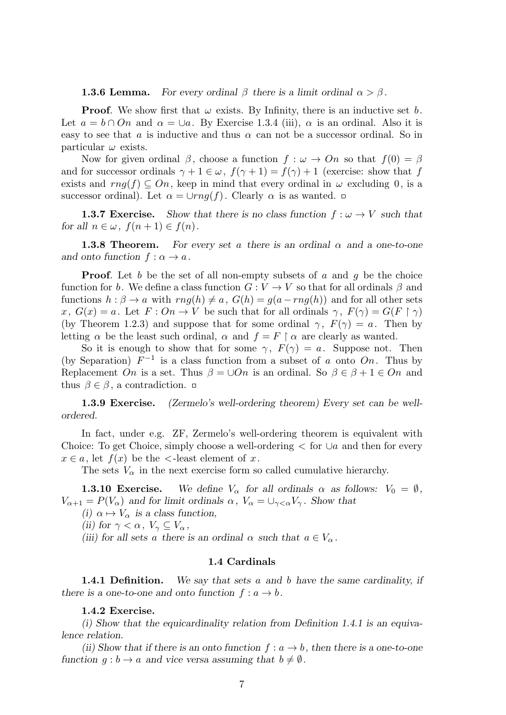#### **1.3.6 Lemma.** *For every ordinal*  $\beta$  *there is a limit ordinal*  $\alpha > \beta$ *.*

**Proof.** We show first that  $\omega$  exists. By Infinity, there is an inductive set  $b$ . Let  $a = b \cap On$  and  $\alpha = \cup a$ . By Exercise 1.3.4 (iii),  $\alpha$  is an ordinal. Also it is easy to see that *a* is inductive and thus  $\alpha$  can not be a successor ordinal. So in particular *ω* exists.

Now for given ordinal  $\beta$ , choose a function  $f : \omega \to On$  so that  $f(0) = \beta$ and for successor ordinals  $\gamma + 1 \in \omega$ ,  $f(\gamma + 1) = f(\gamma) + 1$  (exercise: show that *f* exists and  $rng(f) \subseteq On$ , keep in mind that every ordinal in  $\omega$  excluding 0, is a successor ordinal). Let  $\alpha = \cup rng(f)$ . Clearly  $\alpha$  is as wanted.  $\Box$ 

**1.3.7 Exercise.** Show that there is no class function  $f: \omega \to V$  such that *for all*  $n \in \omega$ ,  $f(n+1) \in f(n)$ .

**1.3.8 Theorem.** For every set a there is an ordinal  $\alpha$  and a one-to-one *and onto function*  $f: \alpha \to a$ *.* 

**Proof.** Let *b* be the set of all non-empty subsets of *a* and *q* be the choice function for *b*. We define a class function  $G: V \to V$  so that for all ordinals  $\beta$  and functions  $h : \beta \to a$  with  $rng(h) \neq a$ ,  $G(h) = g(a - rng(h))$  and for all other sets *x*,  $G(x) = a$ . Let  $F: On \to V$  be such that for all ordinals  $\gamma$ ,  $F(\gamma) = G(F \restriction \gamma)$ (by Theorem 1.2.3) and suppose that for some ordinal  $\gamma$ ,  $F(\gamma) = a$ . Then by letting  $\alpha$  be the least such ordinal,  $\alpha$  and  $f = F \restriction \alpha$  are clearly as wanted.

So it is enough to show that for some  $\gamma$ ,  $F(\gamma) = a$ . Suppose not. Then (by Separation)  $F^{-1}$  is a class function from a subset of *a* onto  $On$ . Thus by Replacement *On* is a set. Thus  $\beta = \cup On$  is an ordinal. So  $\beta \in \beta + 1 \in On$  and thus  $\beta \in \beta$ , a contradiction.  $\Box$ 

**1.3.9 Exercise.** *(Zermelo's well-ordering theorem) Every set can be wellordered.*

In fact, under e.g. ZF, Zermelo's well-ordering theorem is equivalent with Choice: To get Choice, simply choose a well-ordering *<* for *∪a* and then for every  $x \in a$ , let  $f(x)$  be the  $\lt$ -least element of *x*.

The sets  $V_{\alpha}$  in the next exercise form so called cumulative hierarchy.

**1.3.10 Exercise.** We define  $V_\alpha$  for all ordinals  $\alpha$  as follows:  $V_0 = \emptyset$ ,  $V_{\alpha+1} = P(V_{\alpha})$  *and for limit ordinals*  $\alpha$ ,  $V_{\alpha} = \bigcup_{\gamma < \alpha} V_{\gamma}$ *. Show that* 

*(i)*  $\alpha \mapsto V_{\alpha}$  *is a class function,* 

*(ii)* for  $\gamma < \alpha$ ,  $V_{\gamma} \subseteq V_{\alpha}$ ,

*(iii)* for all sets *a* there is an ordinal  $\alpha$  such that  $a \in V_\alpha$ .

# **1.4 Cardinals**

**1.4.1 Definition.** *We say that sets a and b have the same cardinality, if there is a one-to-one and onto function*  $f: a \rightarrow b$ *.* 

**1.4.2 Exercise.**

*(i) Show that the equicardinality relation from Definition 1.4.1 is an equivalence relation.*

*(ii) Show that if there is an onto function*  $f: a \rightarrow b$ , then there is a one-to-one *function*  $q : b \to a$  *and vice versa assuming that*  $b \neq \emptyset$ *.*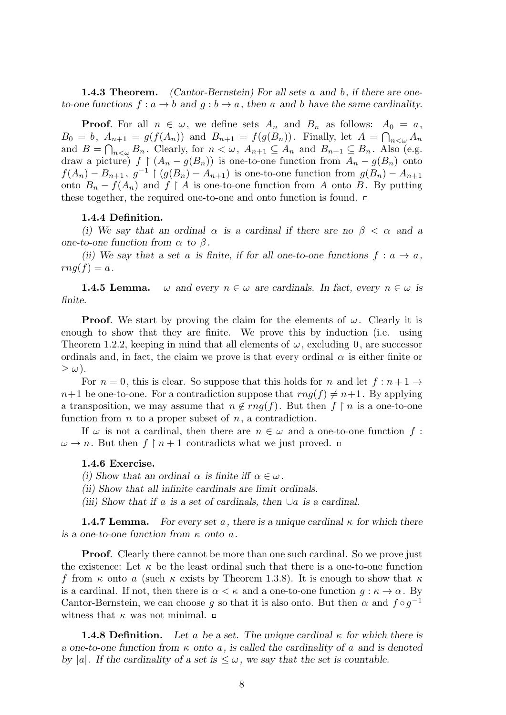**1.4.3 Theorem.** *(Cantor-Bernstein) For all sets a and b, if there are oneto-one functions*  $f: a \to b$  *and*  $g: b \to a$ *, then a and b have the same cardinality.* 

**Proof.** For all  $n \in \omega$ , we define sets  $A_n$  and  $B_n$  as follows:  $A_0 = a$ ,  $B_0 = b$ ,  $A_{n+1} = g(f(A_n))$  and  $B_{n+1} = f(g(B_n))$ . Finally, let  $A = \bigcap_{n < \omega} A_n$ and  $B = \bigcap_{n < \omega} B_n$ . Clearly, for  $n < \omega$ ,  $A_{n+1} \subseteq A_n$  and  $B_{n+1} \subseteq B_n$ . Also (e.g. draw a picture)  $f \restriction (A_n - g(B_n))$  is one-to-one function from  $A_n - g(B_n)$  onto *f*(*A*<sub>*n*</sub>) *− B*<sub>*n*+1</sub>,  $g^{-1}$  | ( $g(B_n) - A_{n+1}$ ) is one-to-one function from  $g(B_n) - A_{n+1}$ onto  $B_n - f(A_n)$  and  $f \upharpoonright A$  is one-to-one function from A onto B. By putting these together, the required one-to-one and onto function is found.

# **1.4.4 Definition.**

*(i)* We say that an ordinal  $\alpha$  is a cardinal if there are no  $\beta < \alpha$  and a *one-to-one function from*  $\alpha$  *to*  $\beta$ *.* 

*(ii)* We say that a set *a* is finite, if for all one-to-one functions  $f: a \rightarrow a$ ,  $rng(f)=a$ .

**1.4.5 Lemma.**  $\omega$  and every  $n \in \omega$  are cardinals. In fact, every  $n \in \omega$  is *finite.*

**Proof.** We start by proving the claim for the elements of  $\omega$ . Clearly it is enough to show that they are finite. We prove this by induction (i.e. using Theorem 1.2.2, keeping in mind that all elements of  $\omega$ , excluding 0, are successor ordinals and, in fact, the claim we prove is that every ordinal  $\alpha$  is either finite or *≥ ω*).

For  $n = 0$ , this is clear. So suppose that this holds for *n* and let  $f : n + 1 \rightarrow$  $n+1$  be one-to-one. For a contradiction suppose that  $rng(f) \neq n+1$ . By applying a transposition, we may assume that  $n \notin rng(f)$ . But then  $f \restriction n$  is a one-to-one function from *n* to a proper subset of *n*, a contradiction.

If  $\omega$  is not a cardinal, then there are  $n \in \omega$  and a one-to-one function  $f$ :  $\omega \to n$ . But then  $f \restriction n+1$  contradicts what we just proved.  $\Box$ 

# **1.4.6 Exercise.**

- *(i)* Show that an ordinal  $\alpha$  is finite iff  $\alpha \in \omega$ .
- *(ii) Show that all infinite cardinals are limit ordinals.*
- *(iii) Show that if a is a set of cardinals, then ∪a is a cardinal.*

**1.4.7 Lemma.** For every set a, there is a unique cardinal  $\kappa$  for which there *is a one-to-one function from κ onto a.*

**Proof.** Clearly there cannot be more than one such cardinal. So we prove just the existence: Let  $\kappa$  be the least ordinal such that there is a one-to-one function *f* from  $\kappa$  onto *a* (such  $\kappa$  exists by Theorem 1.3.8). It is enough to show that  $\kappa$ is a cardinal. If not, then there is  $\alpha < \kappa$  and a one-to-one function  $g : \kappa \to \alpha$ . By Cantor-Bernstein, we can choose *g* so that it is also onto. But then  $\alpha$  and  $f \circ g^{-1}$ witness that  $\kappa$  was not minimal.  $\Box$ 

**1.4.8 Definition.** Let a be a set. The unique cardinal  $\kappa$  for which there is *a one-to-one function from κ onto a, is called the cardinality of a and is denoted by*  $|a|$ *. If the cardinality of a set is*  $\leq \omega$ *, we say that the set is countable.*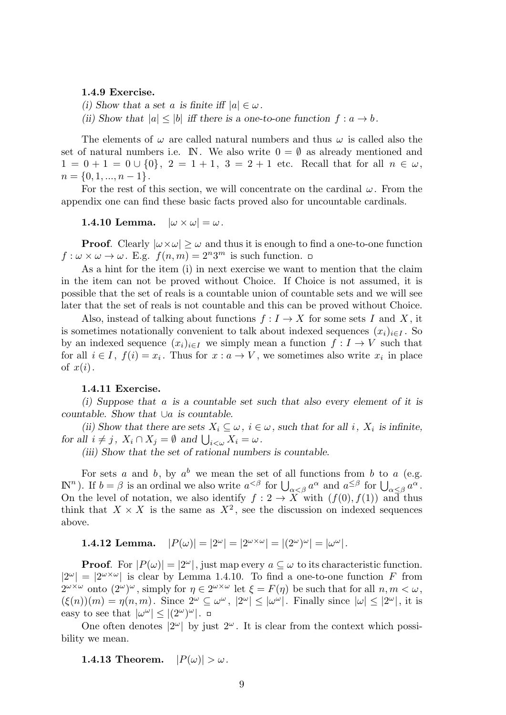#### **1.4.9 Exercise.**

*(i)* Show that a set *a* is finite iff  $|a| \in \omega$ .

*(ii)* Show that  $|a| \leq |b|$  *iff there is a one-to-one function*  $f : a \rightarrow b$ *.* 

The elements of  $\omega$  are called natural numbers and thus  $\omega$  is called also the set of natural numbers i.e. IN. We also write  $0 = \emptyset$  as already mentioned and  $1 = 0 + 1 = 0 \cup \{0\}, 2 = 1 + 1, 3 = 2 + 1$  etc. Recall that for all  $n \in \omega$ ,  $n = \{0, 1, ..., n-1\}.$ 

For the rest of this section, we will concentrate on the cardinal *ω*. From the appendix one can find these basic facts proved also for uncountable cardinals.

**1.4.10 Lemma.**  $|\omega \times \omega| = \omega$ .

**Proof.** Clearly  $|\omega \times \omega| \geq \omega$  and thus it is enough to find a one-to-one function  $f: \omega \times \omega \to \omega$ . E.g.  $f(n,m) = 2^n 3^m$  is such function.

As a hint for the item (i) in next exercise we want to mention that the claim in the item can not be proved without Choice. If Choice is not assumed, it is possible that the set of reals is a countable union of countable sets and we will see later that the set of reals is not countable and this can be proved without Choice.

Also, instead of talking about functions  $f: I \to X$  for some sets *I* and *X*, it is sometimes notationally convenient to talk about indexed sequences  $(x_i)_{i \in I}$ . So by an indexed sequence  $(x_i)_{i \in I}$  we simply mean a function  $f: I \to V$  such that for all  $i \in I$ ,  $f(i) = x_i$ . Thus for  $x : a \to V$ , we sometimes also write  $x_i$  in place of  $x(i)$ .

# **1.4.11 Exercise.**

*(i) Suppose that a is a countable set such that also every element of it is countable. Show that ∪a is countable.*

*(ii) Show that there are sets*  $X_i \subseteq \omega$ ,  $i \in \omega$ , such that for all *i*,  $X_i$  is infinite, *for all*  $i \neq j$ ,  $X_i \cap X_j = \emptyset$  *and*  $\bigcup_{i < \omega} X_i = \omega$ *.* 

*(iii) Show that the set of rational numbers is countable.*

For sets *a* and *b*, by  $a^b$  we mean the set of all functions from *b* to *a* (e.g.  $\mathbb{R}^n$ ). If  $b = \beta$  is an ordinal we also write  $a^{<\beta}$  for  $\bigcup_{\alpha \leq \beta} a^{\alpha}$  and  $a^{\leq \beta}$  for  $\bigcup_{\alpha \leq \beta} a^{\alpha}$ . On the level of notation, we also identify  $f: 2 \to X$  with  $(f(0), f(1))$  and thus think that  $X \times X$  is the same as  $X^2$ , see the discussion on indexed sequences above.

**1.4.12 Lemma.** 
$$
|P(\omega)| = |2^{\omega}| = |2^{\omega \times \omega}| = |(2^{\omega})^{\omega}| = |\omega^{\omega}|.
$$

**Proof.** For  $|P(\omega)| = |2^{\omega}|$ , just map every  $a \subseteq \omega$  to its characteristic function.  $|2^{\omega}| = |2^{\omega \times \omega}|$  is clear by Lemma 1.4.10. To find a one-to-one function *F* from  $2^{\omega \times \omega}$  onto  $(2^{\omega})^{\omega}$ , simply for  $\eta \in 2^{\omega \times \omega}$  let  $\xi = F(\eta)$  be such that for all  $n, m < \omega$ ,  $(\xi(n))(m) = \eta(n,m)$ . Since  $2^{\omega} \subseteq \omega^{\omega}$ ,  $|2^{\omega}| \leq |\omega^{\omega}|$ . Finally since  $|\omega| \leq |2^{\omega}|$ , it is easy to see that  $|\omega^{\omega}| \leq |(2^{\omega})^{\omega}|$ .

One often denotes  $|2^{\omega}|$  by just  $2^{\omega}$ . It is clear from the context which possibility we mean.

**1.4.13 Theorem.**  $|P(\omega)| > \omega$ .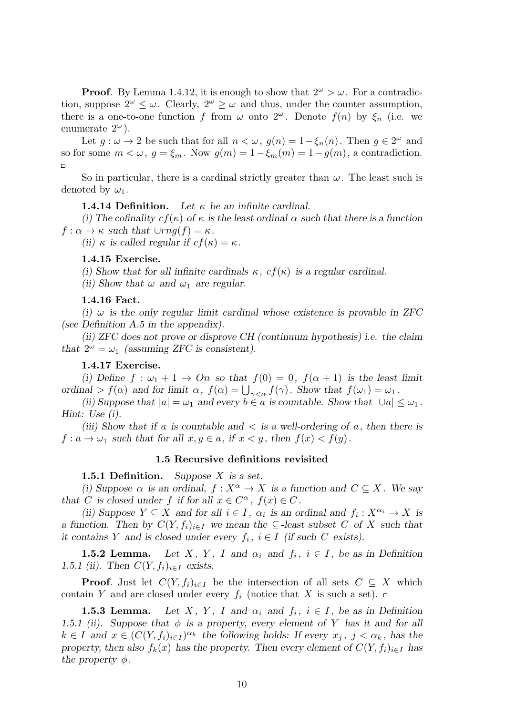**Proof.** By Lemma 1.4.12, it is enough to show that  $2^{\omega} > \omega$ . For a contradiction, suppose  $2^{\omega} \leq \omega$ . Clearly,  $2^{\omega} \geq \omega$  and thus, under the counter assumption, there is a one-to-one function *f* from  $\omega$  onto  $2^{\omega}$ . Denote  $f(n)$  by  $\xi_n$  (i.e. we enumerate  $2^{\omega}$ ).

Let  $g: \omega \to 2$  be such that for all  $n < \omega$ ,  $g(n) = 1 - \xi_n(n)$ . Then  $g \in 2^{\omega}$  and so for some  $m < \omega$ ,  $q = \xi_m$ . Now  $q(m) = 1 - \xi_m(m) = 1 - q(m)$ , a contradiction.  $\Box$ 

So in particular, there is a cardinal strictly greater than  $\omega$ . The least such is denoted by  $\omega_1$ .

**1.4.14 Definition.** *Let κ be an infinite cardinal.*

*(i) The cofinality cf*(*κ*) *of κ is the least ordinal α such that there is a function*  $f: \alpha \to \kappa$  *such that*  $\cup rng(f) = \kappa$ *.* 

*(ii)*  $\kappa$  *is called regular if*  $cf(\kappa) = \kappa$ *.* 

# **1.4.15 Exercise.**

*(i)* Show that for all infinite cardinals  $\kappa$ ,  $cf(\kappa)$  is a regular cardinal.

*(ii)* Show that  $\omega$  and  $\omega_1$  are regular.

### **1.4.16 Fact.**

*(i)*  $\omega$  is the only regular limit cardinal whose existence is provable in ZFC *(see Definition A.5 in the appendix).*

*(ii) ZFC does not prove or disprove CH (continuum hypothesis) i.e. the claim that*  $2^{\omega} = \omega_1$  *(assuming ZFC is consistent).* 

# **1.4.17 Exercise.**

(i) Define  $f: \omega_1 + 1 \rightarrow On$  so that  $f(0) = 0$ ,  $f(\alpha + 1)$  is the least limit *ordinal*  $> f(\alpha)$  *and for limit*  $\alpha$ *,*  $f(\alpha) = \bigcup_{\gamma < \alpha} f(\gamma)$ *. Show that*  $f(\omega_1) = \omega_1$ *.* 

*(ii)* Suppose that  $|a| = \omega_1$  and every  $b \in a$  is countable. Show that  $|Ua| \leq \omega_1$ . *Hint: Use (i).*

*(iii) Show that if a is countable and < is a well-ordering of a, then there is*  $f: a \to \omega_1$  such that for all  $x, y \in a$ , if  $x < y$ , then  $f(x) < f(y)$ .

#### **1.5 Recursive definitions revisited**

**1.5.1 Definition.** *Suppose X is a set.*

*(i)* Suppose  $\alpha$  *is an ordinal,*  $f: X^{\alpha} \to X$  *is a function and*  $C \subseteq X$ *. We say that C* is closed under *f* if for all  $x \in C^{\alpha}$ ,  $f(x) \in C$ .

*(ii)* Suppose  $Y \subseteq X$  and for all  $i \in I$ ,  $\alpha_i$  is an ordinal and  $f_i: X^{\alpha_i} \to X$  is *a function.* Then by  $C(Y, f_i)_{i \in I}$  we mean the  $\subseteq$ -least subset C of X such that *it contains Y* and *is closed under every*  $f_i$ ,  $i \in I$  (*if such C exists*).

**1.5.2 Lemma.** Let *X*, *Y*, *I* and  $\alpha_i$  and  $f_i$ ,  $i \in I$ , be as in Definition *1.5.1 (ii).* Then  $C(Y, f_i)_{i \in I}$  exists.

**Proof.** Just let  $C(Y, f_i)_{i \in I}$  be the intersection of all sets  $C \subseteq X$  which contain *Y* and are closed under every  $f_i$  (notice that *X* is such a set).  $\Box$ 

**1.5.3 Lemma.** Let *X*, *Y*, *I* and  $\alpha_i$  and  $f_i$ ,  $i \in I$ , be as in Definition *1.5.1 (ii).* Suppose that  $\phi$  is a property, every element of Y has it and for all  $k \in I$  and  $x \in (C(Y, f_i)_{i \in I})^{\alpha_k}$  the following holds: If every  $x_j$ ,  $j < \alpha_k$ , has the *property, then also*  $f_k(x)$  *has the property. Then every element of*  $C(Y, f_i)_{i \in I}$  *has the property*  $\phi$ *.*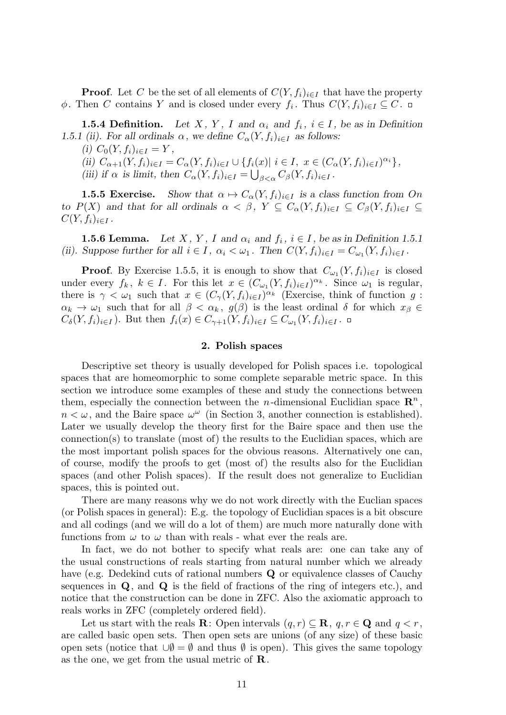**Proof.** Let *C* be the set of all elements of  $C(Y, f_i)_{i \in I}$  that have the property  $\phi$ . Then *C* contains *Y* and is closed under every  $f_i$ . Thus  $C(Y, f_i)_{i \in I} \subseteq C$ .

**1.5.4 Definition.** Let *X*, *Y*, *I* and  $\alpha_i$  and  $f_i$ ,  $i \in I$ , be as in Definition *1.5.1 (ii). For all ordinals*  $\alpha$ *, we define*  $C_{\alpha}(Y, f_i)_{i \in I}$  *as follows:* 

 $(i)$   $C_0(Y, f_i)_{i \in I} = Y$ ,

(ii)  $C_{\alpha+1}(Y, f_i)_{i\in I} = C_{\alpha}(Y, f_i)_{i\in I} \cup \{f_i(x) | i\in I, x\in (C_{\alpha}(Y, f_i)_{i\in I})^{\alpha_i}\},$ 

(iii) if  $\alpha$  is limit, then  $C_{\alpha}(Y, f_i)_{i \in I} = \bigcup_{\beta < \alpha} C_{\beta}(Y, f_i)_{i \in I}$ .

**1.5.5 Exercise.** Show that  $\alpha \mapsto C_{\alpha}(Y, f_i)_{i \in I}$  is a class function from *On* to  $P(X)$  and that for all ordinals  $\alpha < \beta$ ,  $Y \subseteq C_{\alpha}(Y, f_i)_{i \in I} \subseteq C_{\beta}(Y, f_i)_{i \in I} \subseteq$  $C(Y, f_i)_{i \in I}$ .

**1.5.6 Lemma.** Let *X*, *Y*, *I* and  $\alpha_i$  and  $f_i$ ,  $i \in I$ , be as in Definition 1.5.1 (ii). Suppose further for all  $i \in I$ ,  $\alpha_i < \omega_1$ . Then  $C(Y, f_i)_{i \in I} = C_{\omega_1}(Y, f_i)_{i \in I}$ .

**Proof**. By Exercise 1.5.5, it is enough to show that  $C_{\omega_1}(Y, f_i)_{i \in I}$  is closed under every  $f_k$ ,  $k \in I$ . For this let  $x \in (C_{\omega_1}(Y, f_i)_{i \in I})^{\alpha_k}$ . Since  $\omega_1$  is regular, there is  $\gamma < \omega_1$  such that  $x \in (C_\gamma(Y, f_i)_{i \in I})^{\alpha_k}$  (Exercise, think of function *g*:  $\alpha_k \to \omega_1$  such that for all  $\beta < \alpha_k$ ,  $g(\beta)$  is the least ordinal  $\delta$  for which  $x_\beta \in$  $C_{\delta}(Y, f_i)_{i \in I}$ ). But then  $f_i(x) \in C_{\gamma+1}(Y, f_i)_{i \in I} \subseteq C_{\omega_1}(Y, f_i)_{i \in I}$ .

### **2. Polish spaces**

Descriptive set theory is usually developed for Polish spaces i.e. topological spaces that are homeomorphic to some complete separable metric space. In this section we introduce some examples of these and study the connections between them, especially the connection between the *n*-dimensional Euclidian space  $\mathbb{R}^n$ ,  $n < \omega$ , and the Baire space  $\omega^{\omega}$  (in Section 3, another connection is established). Later we usually develop the theory first for the Baire space and then use the connection(s) to translate (most of) the results to the Euclidian spaces, which are the most important polish spaces for the obvious reasons. Alternatively one can, of course, modify the proofs to get (most of) the results also for the Euclidian spaces (and other Polish spaces). If the result does not generalize to Euclidian spaces, this is pointed out.

There are many reasons why we do not work directly with the Euclian spaces (or Polish spaces in general): E.g. the topology of Euclidian spaces is a bit obscure and all codings (and we will do a lot of them) are much more naturally done with functions from  $\omega$  to  $\omega$  than with reals - what ever the reals are.

In fact, we do not bother to specify what reals are: one can take any of the usual constructions of reals starting from natural number which we already have (e.g. Dedekind cuts of rational numbers **Q** or equivalence classes of Cauchy sequences in **Q**, and **Q** is the field of fractions of the ring of integers etc.), and notice that the construction can be done in ZFC. Also the axiomatic approach to reals works in ZFC (completely ordered field).

Let us start with the reals  $\mathbf{R}$ : Open intervals  $(q, r) \subset \mathbf{R}$ ,  $q, r \in \mathbf{Q}$  and  $q < r$ , are called basic open sets. Then open sets are unions (of any size) of these basic open sets (notice that *∪∅* = *∅* and thus *∅* is open). This gives the same topology as the one, we get from the usual metric of **R**.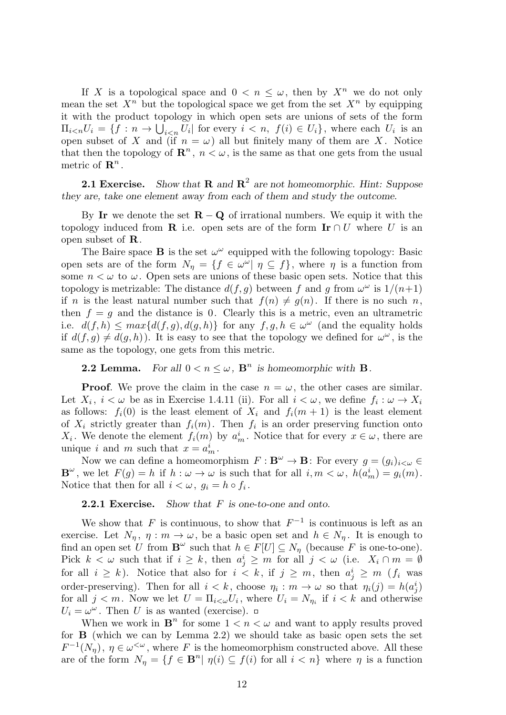If X is a topological space and  $0 < n < \omega$ , then by  $X^n$  we do not only mean the set  $X^n$  but the topological space we get from the set  $X^n$  by equipping it with the product topology in which open sets are unions of sets of the form  $\Pi_{i\le n}U_i = \{f : n \to \bigcup_{i\le n} U_i \mid \text{for every } i \le n, \ f(i) \in U_i\}$ , where each  $U_i$  is an open subset of *X* and (if  $n = \omega$ ) all but finitely many of them are *X*. Notice that then the topology of  $\mathbb{R}^n$ ,  $n < \omega$ , is the same as that one gets from the usual metric of  $\mathbf{R}^n$ .

**2.1 Exercise.** Show that **R** and  $\mathbb{R}^2$  are not homeomorphic. Hint: Suppose *they are, take one element away from each of them and study the outcome.*

By **Ir** we denote the set  $\mathbf{R} - \mathbf{Q}$  of irrational numbers. We equip it with the topology induced from **R** i.e. open sets are of the form  $\textbf{Ir} \cap U$  where U is an open subset of **R**.

The Baire space **B** is the set  $\omega^{\omega}$  equipped with the following topology: Basic open sets are of the form  $N_{\eta} = \{f \in \omega^{\omega} | \eta \subseteq f\}$ , where  $\eta$  is a function from some  $n < \omega$  to  $\omega$ . Open sets are unions of these basic open sets. Notice that this topology is metrizable: The distance  $d(f, g)$  between f and g from  $\omega^{\omega}$  is  $1/(n+1)$ if *n* is the least natural number such that  $f(n) \neq g(n)$ . If there is no such *n*, then  $f = g$  and the distance is 0. Clearly this is a metric, even an ultrametric i.e.  $d(f, h) \leq max\{d(f, g), d(g, h)\}\$  for any  $f, g, h \in \omega^{\omega}$  (and the equality holds if  $d(f,g) \neq d(g,h)$ ). It is easy to see that the topology we defined for  $\omega^{\omega}$ , is the same as the topology, one gets from this metric.

# **2.2 Lemma.** For all  $0 < n \leq \omega$ ,  $\mathbf{B}^n$  is homeomorphic with **B**.

**Proof.** We prove the claim in the case  $n = \omega$ , the other cases are similar. Let  $X_i$ ,  $i < \omega$  be as in Exercise 1.4.11 (ii). For all  $i < \omega$ , we define  $f_i : \omega \to X_i$ as follows:  $f_i(0)$  is the least element of  $X_i$  and  $f_i(m + 1)$  is the least element of  $X_i$  strictly greater than  $f_i(m)$ . Then  $f_i$  is an order preserving function onto *X*<sup>*i*</sup>. We denote the element *f*<sub>*i*</sub>(*m*) by  $a_m^i$ . Notice that for every  $x \in \omega$ , there are unique *i* and *m* such that  $x = a_m^i$ .

Now we can define a homeomorphism  $F: \mathbf{B}^{\omega} \to \mathbf{B}$ : For every  $g = (g_i)_{i \leq \omega} \in$ **B**<sup>*ω*</sup>, we let  $F(g) = h$  if  $h : \omega \to \omega$  is such that for all  $i, m < \omega$ ,  $h(a_m^i) = g_i(m)$ . Notice that then for all  $i < \omega, g_i = h \circ f_i$ .

**2.2.1 Exercise.** *Show that F is one-to-one and onto.*

We show that  $F$  is continuous, to show that  $F^{-1}$  is continuous is left as an exercise. Let  $N_{\eta}$ ,  $\eta : m \to \omega$ , be a basic open set and  $h \in N_{\eta}$ . It is enough to find an open set U from  $\mathbf{B}^{\omega}$  such that  $h \in F[U] \subseteq N_{\eta}$  (because F is one-to-one). Pick  $k < \omega$  such that if  $i \geq k$ , then  $a_j^i \geq m$  for all  $j < \omega$  (i.e.  $X_i \cap m = \emptyset$ for all  $i \geq k$ ). Notice that also for  $i < k$ , if  $j \geq m$ , then  $a_j^i \geq m$  ( $f_i$  was order-preserving). Then for all  $i < k$ , choose  $\eta_i : m \to \omega$  so that  $\eta_i(j) = h(a_j^i)$ for all  $j < m$ . Now we let  $U = \prod_{i < \omega} U_i$ , where  $U_i = N_{\eta_i}$  if  $i < k$  and otherwise  $U_i = \omega^{\omega}$ . Then *U* is as wanted (exercise).

When we work in  $\mathbf{B}^n$  for some  $1 < n < \omega$  and want to apply results proved for **B** (which we can by Lemma 2.2) we should take as basic open sets the set  $F^{-1}(N_{\eta}), \eta \in \omega^{\leq \omega}$ , where *F* is the homeomorphism constructed above. All these are of the form  $N_{\eta} = \{f \in \mathbf{B}^n | \eta(i) \subseteq f(i) \text{ for all } i < n\}$  where  $\eta$  is a function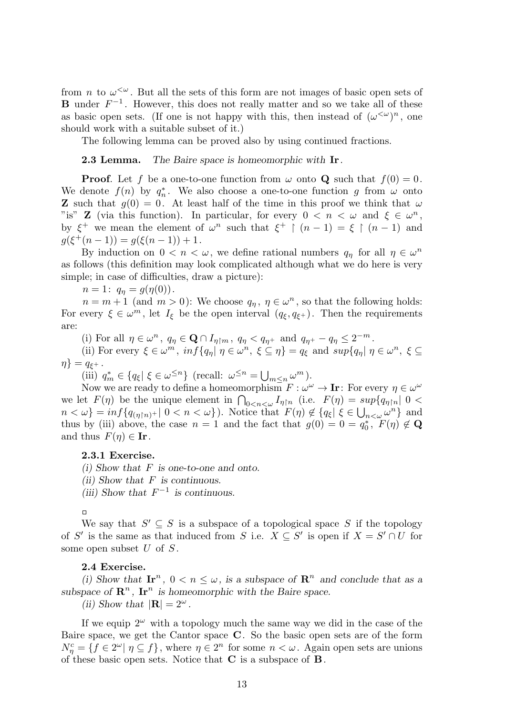from *n* to  $\omega^{\langle\omega\rangle}$ . But all the sets of this form are not images of basic open sets of **B** under  $F^{-1}$ . However, this does not really matter and so we take all of these as basic open sets. (If one is not happy with this, then instead of  $(\omega^{\langle \omega \rangle})^n$ , one should work with a suitable subset of it.)

The following lemma can be proved also by using continued fractions.

### **2.3 Lemma.** *The Baire space is homeomorphic with* **Ir***.*

**Proof**. Let *f* be a one-to-one function from  $\omega$  onto **Q** such that  $f(0) = 0$ . We denote  $f(n)$  by  $q_n^*$ . We also choose a one-to-one function g from  $\omega$  onto **Z** such that  $q(0) = 0$ . At least half of the time in this proof we think that  $\omega$ "is" **Z** (via this function). In particular, for every  $0 < n < \omega$  and  $\xi \in \omega^n$ , by  $\xi^+$  we mean the element of  $\omega^n$  such that  $\xi^+$  |  $(n-1) = \xi$  |  $(n-1)$  and  $g(\xi^+(n-1)) = g(\xi(n-1)) + 1.$ 

By induction on  $0 < n < \omega$ , we define rational numbers  $q_{\eta}$  for all  $\eta \in \omega^{n}$ as follows (this definition may look complicated although what we do here is very simple; in case of difficulties, draw a picture):

 $n = 1: q_{\eta} = g(\eta(0)).$ 

 $n = m + 1$  (and  $m > 0$ ): We choose  $q_{\eta}, \eta \in \omega^{n}$ , so that the following holds: For every  $\xi \in \omega^m$ , let  $I_{\xi}$  be the open interval  $(q_{\xi}, q_{\xi^+})$ . Then the requirements are:

(i) For all  $\eta \in \omega^n$ ,  $q_{\eta} \in \mathbf{Q} \cap I_{\eta \upharpoonright m}$ ,  $q_{\eta} < q_{\eta^+}$  and  $q_{\eta^+} - q_{\eta} \leq 2^{-m}$ .

(ii) For every  $\xi \in \omega^m$ ,  $\inf \{ q_{\eta} | \eta \in \omega^n, \ \xi \subseteq \eta \} = q_{\xi}$  and  $\sup \{ q_{\eta} | \eta \in \omega^n, \ \xi \subseteq \eta \}$  $\eta$ *}* =  $q_{\xi+}$ .

(iii)  $q_m^* \in \{q_\xi | \xi \in \omega^{\leq n}\}\$  (recall:  $\omega^{\leq n} = \bigcup_{m \leq n} \omega^m$ ).

Now we are ready to define a homeomorphism  $F: \omega^{\omega} \to \mathbf{I}$  **r**: For every  $\eta \in \omega^{\omega}$ we let  $F(\eta)$  be the unique element in  $\bigcap_{0 \leq n \leq \omega} I_{\eta \upharpoonright n}$  (i.e.  $F(\eta) = \sup \{q_{\eta \upharpoonright n} | 0 \leq \eta \leq \eta \upharpoonright n \leq \eta \upharpoonright n$ )  $n < \omega$ } =  $inf\{q_{(\eta \upharpoonright n)^{+}} | 0 < n < \omega\}$ ). Notice that  $F(\eta) \notin \{q_{\xi} | \xi \in \bigcup_{n < \omega} \omega^{n}\}\$ and thus by (iii) above, the case  $n = 1$  and the fact that  $g(0) = 0 = q_0^*$ ,  $F(\eta) \notin \mathbf{Q}$ and thus  $F(\eta) \in \mathbf{I}$ **r**.

#### **2.3.1 Exercise.**

*(i) Show that F is one-to-one and onto.*

*(ii) Show that F is continuous.*

*(iii)* Show that  $F^{-1}$  is continuous.

We say that  $S' \subseteq S$  is a subspace of a topological space  $S$  if the topology of *S'* is the same as that induced from *S* i.e.  $X \subseteq S'$  is open if  $X = S' \cap U$  for some open subset *U* of *S* .

# **2.4 Exercise.**

(i) Show that  $\mathbf{I} \mathbf{r}^n$ ,  $0 \le n \le \omega$ , is a subspace of  $\mathbf{R}^n$  and conclude that as a subspace of  $\mathbb{R}^n$ ,  $\mathbb{I}r^n$  is homeomorphic with the Baire space.

*(ii) Show that*  $|\mathbf{R}| = 2^{\omega}$ *.* 

If we equip  $2^{\omega}$  with a topology much the same way we did in the case of the Baire space, we get the Cantor space **C**. So the basic open sets are of the form  $N_{\eta}^c = \{ f \in 2^{\omega} | \eta \subseteq f \},$  where  $\eta \in 2^n$  for some  $n < \omega$ . Again open sets are unions of these basic open sets. Notice that **C** is a subspace of **B**.

 $\Box$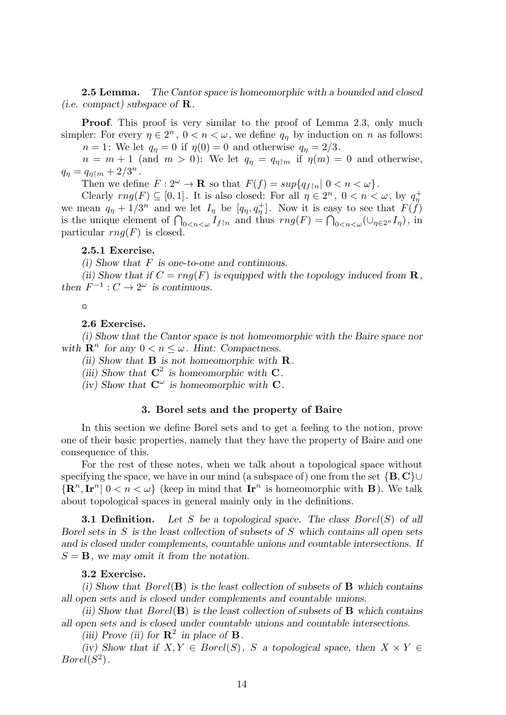**2.5 Lemma.** *The Cantor space is homeomorphic with a bounded and closed (i.e. compact) subspace of* **R***.*

**Proof.** This proof is very similar to the proof of Lemma 2.3, only much simpler: For every  $\eta \in 2^n$ ,  $0 < n < \omega$ , we define  $q_\eta$  by induction on *n* as follows: *n* = 1: We let  $q_{\eta} = 0$  if  $\eta(0) = 0$  and otherwise  $q_{\eta} = 2/3$ .

 $n = m + 1$  (and  $m > 0$ ): We let  $q_{\eta} = q_{\eta \upharpoonright m}$  if  $\eta(m) = 0$  and otherwise,  $q_{\eta} = q_{\eta \upharpoonright m} + 2/3^{n}$ .

Then we define  $F: 2^{\omega} \to \mathbf{R}$  so that  $F(f) = \sup\{q_{f|n} | 0 < n < \omega\}$ .

Clearly  $rng(F) \subseteq [0,1]$ . It is also closed: For all  $\eta \in 2^n$ ,  $0 < n < \omega$ , by  $q_{\eta}^+$ we mean  $q_{\eta} + 1/3^{n}$  and we let  $I_{\eta}$  be  $[q_{\eta}, q_{\eta}^{+}]$ . Now it is easy to see that  $F(f)$ is the unique element of  $\bigcap_{0 \le n \le \omega} I_{f \upharpoonright n}$  and thus  $rng(F) = \bigcap_{0 \le n \le \omega} (\bigcup_{\eta \in 2^n} I_{\eta})$ , in particular  $rnq(F)$  is closed.

# **2.5.1 Exercise.**

*(i) Show that F is one-to-one and continuous.*

*(ii)* Show that if  $C = rng(F)$  is equipped with the topology induced from **R**, *then*  $F^{-1}: C \to 2^{\omega}$  *is continuous.* 

 $\Box$ 

#### **2.6 Exercise.**

*(i) Show that the Cantor space is not homeomorphic with the Baire space nor with*  $\mathbf{R}^n$  for any  $0 < n \leq \omega$ . *Hint: Compactness.* 

*(ii) Show that* **B** *is not homeomorphic with* **R***.*

(iii) Show that  $C^2$  is homeomorphic with  $C$ .

 $(iv)$  Show that  $\mathbf{C}^{\omega}$  is homeomorphic with  $\mathbf{C}$ .

#### **3. Borel sets and the property of Baire**

In this section we define Borel sets and to get a feeling to the notion, prove one of their basic properties, namely that they have the property of Baire and one consequence of this.

For the rest of these notes, when we talk about a topological space without specifying the space, we have in our mind (a subspace of) one from the set *{***B***,* **C***}∪*  ${[\mathbf{R}^n, \mathbf{I}\mathbf{r}^n \mid 0 < n < \omega}$  (keep in mind that  $\mathbf{I}\mathbf{r}^n$  is homeomorphic with **B**). We talk about topological spaces in general mainly only in the definitions.

**3.1 Definition.** *Let S be a topological space. The class Borel*(*S*) *of all Borel sets in S is the least collection of subsets of S which contains all open sets and is closed under complements, countable unions and countable intersections. If*  $S = B$ *, we may omit it from the notation.* 

#### **3.2 Exercise.**

*(i) Show that Borel*(**B**) *is the least collection of subsets of* **B** *which contains all open sets and is closed under complements and countable unions.*

*(ii) Show that Borel*(**B**) *is the least collection of subsets of* **B** *which contains all open sets and is closed under countable unions and countable intersections.*

*(iii)* Prove *(ii)* for  $\mathbb{R}^2$  *in place of*  $\mathbb{B}$ *.* 

*(iv)* Show that if  $X, Y \in Borel(S)$ , *S* a topological space, then  $X \times Y \in$  $Borel(S^2)$ .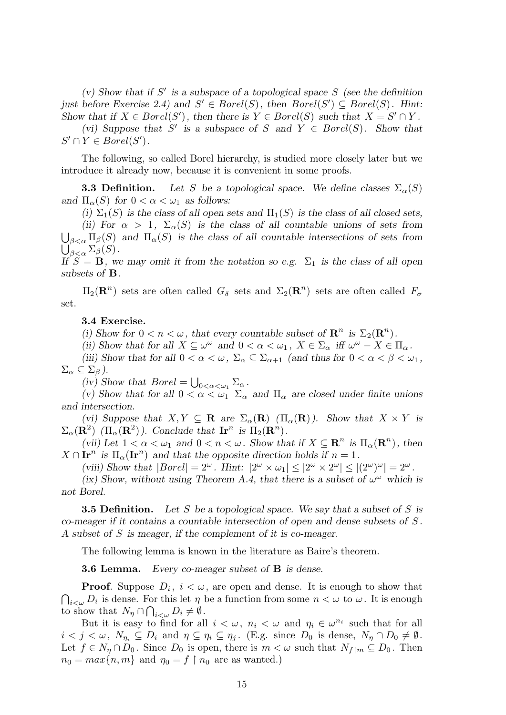*(v) Show that if S ′ is a subspace of a topological space S (see the definition just before Exercise 2.4) and*  $S' \in Borel(S)$ , then  $Borel(S') \subseteq Borel(S)$ . Hint: *Show that if*  $X \in Borel(S')$ , then there is  $Y \in Borel(S)$  such that  $X = S' \cap Y$ .

*(vi)* Suppose that *S'* is a subspace of *S* and  $Y \in Borel(S)$ . Show that  $S' \cap Y \in Borel(S')$ .

The following, so called Borel hierarchy, is studied more closely later but we introduce it already now, because it is convenient in some proofs.

**3.3 Definition.** Let *S* be a topological space. We define classes  $\Sigma_{\alpha}(S)$ *and*  $\Pi_{\alpha}(S)$  *for*  $0 < \alpha < \omega_1$  *as follows:* 

(i)  $\Sigma_1(S)$  *is the class of all open sets and*  $\Pi_1(S)$  *is the class of all closed sets, (ii)* For  $\alpha > 1$ ,  $\Sigma_{\alpha}(S)$  *is the class of all countable unions of sets from* 

 $\bigcup_{\beta<\alpha}\Pi_{\beta}(S)$  and  $\Pi_{\alpha}(S)$  is the class of all countable intersections of sets from  $\bigcup_{\beta<\alpha}^{\infty} \Sigma_{\beta}(S)$ .

*If*  $S = \mathbf{B}$ *, we may omit it from the notation so e.g.*  $\Sigma_1$  *is the class of all open subsets of* **B***.*

 $\Pi_2(\mathbf{R}^n)$  sets are often called  $G_\delta$  sets and  $\Sigma_2(\mathbf{R}^n)$  sets are often called  $F_\sigma$ set.

#### **3.4 Exercise.**

*(i)* Show for  $0 < n < \omega$ , that every countable subset of  $\mathbb{R}^n$  is  $\Sigma_2(\mathbb{R}^n)$ .

*(ii)* Show that for all  $X \subseteq \omega^{\omega}$  and  $0 < \alpha < \omega_1$ ,  $X \in \Sigma_{\alpha}$  iff  $\omega^{\omega} - X \in \Pi_{\alpha}$ .

*(iii) Show that for all*  $0 < \alpha < \omega$ ,  $\Sigma_{\alpha} \subseteq \Sigma_{\alpha+1}$  *(and thus for*  $0 < \alpha < \beta < \omega_1$ *,*  $\Sigma_{\alpha} \subseteq \Sigma_{\beta}$ ).

(*iv*) Show that  $Borel = \bigcup_{0 < \alpha < \omega_1} \Sigma_{\alpha}$ .

*(v)* Show that for all  $0 < \alpha < \omega_1$   $\Sigma_{\alpha}$  and  $\Pi_{\alpha}$  are closed under finite unions *and intersection.*

*(vi)* Suppose that  $X, Y \subseteq \mathbf{R}$  are  $\Sigma_{\alpha}(\mathbf{R})$  ( $\Pi_{\alpha}(\mathbf{R})$ ). Show that  $X \times Y$  is  $\Sigma_{\alpha}(\mathbf{R}^2)$  ( $\Pi_{\alpha}(\mathbf{R}^2)$ ). Conclude that  $\mathbf{I} \mathbf{r}^n$  is  $\Pi_2(\mathbf{R}^n)$ .

*(vii)* Let  $1 < \alpha < \omega_1$  and  $0 < n < \omega$ . Show that if  $X \subseteq \mathbb{R}^n$  is  $\Pi_\alpha(\mathbb{R}^n)$ , then  $X \cap \mathbf{Ir}^n$  is  $\Pi_\alpha(\mathbf{Ir}^n)$  and that the opposite direction holds if  $n = 1$ .

*(viii)* Show that  $|Borel| = 2^{\omega}$ . Hint:  $|2^{\omega} \times \omega_1| \leq |2^{\omega} \times 2^{\omega}| \leq |(2^{\omega})^{\omega}| = 2^{\omega}$ .

*(ix) Show, without using Theorem A.4, that there is a subset of*  $\omega^{\omega}$  which is *not Borel.*

**3.5 Definition.** *Let S be a topological space. We say that a subset of S is co-meager if it contains a countable intersection of open and dense subsets of S . A subset of S is meager, if the complement of it is co-meager.*

The following lemma is known in the literature as Baire's theorem.

**3.6 Lemma.** *Every co-meager subset of* **B** *is dense.*

**Proof**. Suppose  $D_i$ ,  $i < \omega$ , are open and dense. It is enough to show that  $\bigcap_{i<\omega} D_i$  is dense. For this let  $\eta$  be a function from some  $n<\omega$  to  $\omega$ . It is enough to show that  $N_{\eta} \cap \bigcap_{i < \omega} D_i \neq \emptyset$ .

But it is easy to find for all  $i < \omega$ ,  $n_i < \omega$  and  $\eta_i \in \omega^{n_i}$  such that for all  $i < j < \omega, N_{\eta_i} \subseteq D_i$  and  $\eta \subseteq \eta_i \subseteq \eta_j$ . (E.g. since  $D_0$  is dense,  $N_{\eta} \cap D_0 \neq \emptyset$ . Let  $f \in N_\eta \cap D_0$ . Since  $D_0$  is open, there is  $m < \omega$  such that  $N_{f \upharpoonright m} \subseteq D_0$ . Then  $n_0 = max\{n, m\}$  and  $n_0 = f \restriction n_0$  are as wanted.)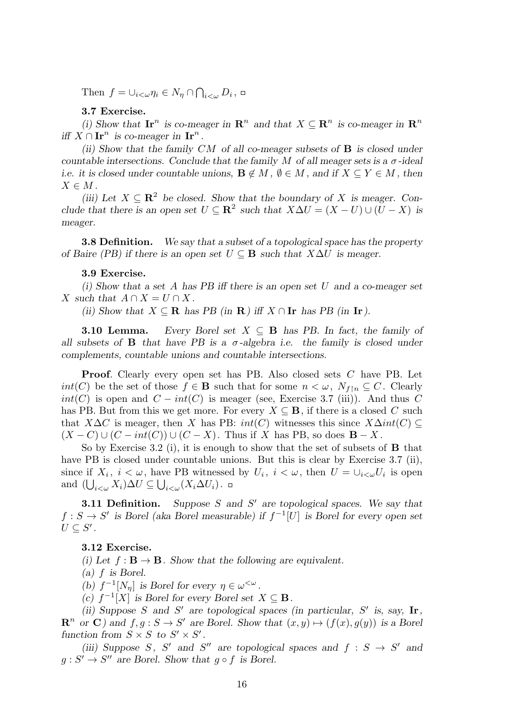Then  $f = \bigcup_{i < \omega} \eta_i \in N_{\eta} \cap \bigcap_{i < \omega} D_i$ ,

# **3.7 Exercise.**

(*i)* Show that  $\mathbf{I} \mathbf{r}^n$  is co-meager in  $\mathbf{R}^n$  and that  $X \subseteq \mathbf{R}^n$  is co-meager in  $\mathbf{R}^n$ *iff*  $X \cap \mathbf{Ir}^n$  *is co-meager in*  $\mathbf{Ir}^n$ *.* 

*(ii) Show that the family CM of all co-meager subsets of* **B** *is closed under countable intersections. Conclude that the family*  $M$  *of all meager sets is a*  $\sigma$ -ideal *i.e.* it is closed under countable unions,  $\mathbf{B} \notin M$ ,  $\emptyset \in M$ , and if  $X \subseteq Y \in M$ , then  $X \in M$ .

*(iii)* Let  $X \subseteq \mathbb{R}^2$  be closed. Show that the boundary of X is meager. Con*clude that there is an open set*  $U \subseteq \mathbb{R}^2$  *such that*  $X \Delta U = (X - U) \cup (U - X)$  *is meager.*

**3.8 Definition.** *We say that a subset of a topological space has the property of Baire (PB) if there is an open set*  $U \subseteq B$  *such that*  $X \Delta U$  *is meager.* 

# **3.9 Exercise.**

*(i) Show that a set A has PB iff there is an open set U and a co-meager set X* such that  $A \cap X = U \cap X$ .

*(ii)* Show that  $X ⊆ \mathbf{R}$  has PB (in  $\mathbf{R}$ ) iff  $X ∩ \mathbf{I}$ r has PB (in  $\mathbf{I}$ r).

**3.10 Lemma.** *Every Borel set*  $X \subseteq B$  *has PB. In fact, the family of all subsets of* **B** *that have PB is a*  $\sigma$ -*algebra i.e.* the family *is closed under complements, countable unions and countable intersections.*

**Proof**. Clearly every open set has PB. Also closed sets *C* have PB. Let *int*(*C*) be the set of those  $f \in \mathbf{B}$  such that for some  $n < \omega$ ,  $N_{f \upharpoonright n} \subseteq C$ . Clearly  $int(C)$  is open and  $C - int(C)$  is meager (see, Exercise 3.7 (iii)). And thus  $C$ has PB. But from this we get more. For every  $X \subseteq B$ , if there is a closed C such that *X*∆*C* is meager, then *X* has PB:  $int(C)$  witnesses this since  $X\Delta int(C)$  $(X - C) \cup (C - int(C)) \cup (C - X)$ . Thus if X has PB, so does  $\mathbf{B} - X$ .

So by Exercise 3.2 (i), it is enough to show that the set of subsets of **B** that have PB is closed under countable unions. But this is clear by Exercise 3.7 (ii), since if  $X_i$ ,  $i < \omega$ , have PB witnessed by  $U_i$ ,  $i < \omega$ , then  $U = \cup_{i < \omega} U_i$  is open and  $(\bigcup_{i<\omega} X_i)\Delta U \subseteq \bigcup_{i<\omega} (X_i\Delta U_i)$ .

**3.11 Definition.** *Suppose S and S ′ are topological spaces. We say that f* : *S* → *S*<sup> $\prime$ </sup> is Borel (aka Borel measurable) if  $f^{-1}[U]$  is Borel for every open set  $U \subseteq S'$  *.* 

# **3.12 Exercise.**

*(i)* Let  $f : \mathbf{B} \to \mathbf{B}$ . Show that the following are equivalent.

*(a) f is Borel.*

*(b)*  $f^{-1}[N_\eta]$  *is Borel for every*  $\eta \in \omega^{\langle \omega \rangle}$ .

 $f^{-1}[X]$  *is Borel for every Borel set*  $X \subseteq B$ *.* 

(ii) Suppose *S* and *S'* are topological spaces (in particular,  $S'$  is, say,  $\textbf{Ir}$ ,  $\mathbb{R}^n$  or **C**) and  $f, g: S \to S'$  are Borel. Show that  $(x, y) \mapsto (f(x), g(y))$  is a Borel *function from*  $S \times S$  *to*  $S' \times S'$ .

*(iii)* Suppose *S*, *S'* and *S''* are topological spaces and  $f : S \rightarrow S'$  and  $g: S' \to S''$  are Borel. Show that  $g \circ f$  is Borel.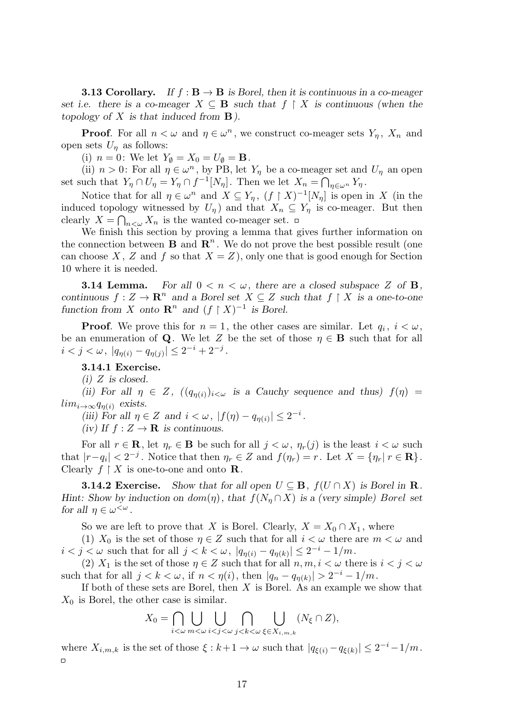**3.13 Corollary.** If  $f : \mathbf{B} \to \mathbf{B}$  is Borel, then it is continuous in a co-meager *set i.e. there is a co-meager*  $X \subseteq \mathbf{B}$  *such that*  $f \restriction X$  *is continuous (when the topology of X is that induced from* **B***).*

**Proof**. For all  $n < \omega$  and  $\eta \in \omega^n$ , we construct co-meager sets  $Y_{\eta}$ ,  $X_n$  and open sets  $U_n$  as follows:

(i)  $n = 0$ : We let  $Y_{\emptyset} = X_0 = U_{\emptyset} = \mathbf{B}$ .

(ii)  $n > 0$ : For all  $\eta \in \omega^n$ , by PB, let  $Y_\eta$  be a co-meager set and  $U_\eta$  an open set such that  $Y_{\eta} \cap U_{\eta} = Y_{\eta} \cap f^{-1}[N_{\eta}]$ . Then we let  $X_{n} = \bigcap_{\eta \in \omega^{n}} Y_{\eta}$ .

Notice that for all  $\eta \in \omega^n$  and  $X \subseteq Y_\eta$ ,  $(f \upharpoonright X)^{-1}[N_\eta]$  is open in X (in the induced topology witnessed by  $U_n$ ) and that  $X_n \subseteq Y_n$  is co-meager. But then clearly  $X = \bigcap_{n \leq \omega} X_n$  is the wanted co-meager set.

We finish this section by proving a lemma that gives further information on the connection between  $\mathbf{B}$  and  $\mathbf{R}^n$ . We do not prove the best possible result (one can choose *X*, *Z* and *f* so that  $X = Z$ , only one that is good enough for Section 10 where it is needed.

**3.14 Lemma.** *For all*  $0 < n < \omega$ *, there are a closed subspace*  $Z$  *of* **B***, continuous*  $f: Z \to \mathbb{R}^n$  *and a Borel set*  $X \subseteq Z$  *such that*  $f \upharpoonright X$  *is a one-to-one function from X onto*  $\mathbb{R}^n$  *and*  $(f \restriction X)^{-1}$  *is Borel.* 

**Proof**. We prove this for  $n = 1$ , the other cases are similar. Let  $q_i$ ,  $i < \omega$ , be an enumeration of **Q**. We let *Z* be the set of those  $\eta \in \mathbf{B}$  such that for all  $i < j < \omega, |q_{\eta(i)} - q_{\eta(j)}| \leq 2^{-i} + 2^{-j}.$ 

**3.14.1 Exercise.**

*(i) Z is closed.*

*(ii)* For all  $\eta \in Z$ ,  $((q_{\eta(i)})_{i<\omega}$  is a Cauchy sequence and thus)  $f(\eta)$  =  $\lim_{i \to \infty} q_{\eta(i)}$  *exists.* 

*(iii)* For all  $\eta \in Z$  and  $i < \omega$ ,  $|f(\eta) - q_{\eta(i)}| \leq 2^{-i}$ .

*(iv)* If  $f: Z \to \mathbf{R}$  *is continuous.* 

For all  $r \in \mathbf{R}$ , let  $\eta_r \in \mathbf{B}$  be such for all  $j < \omega$ ,  $\eta_r(j)$  is the least  $i < \omega$  such that  $|r-q_i| < 2^{-j}$ . Notice that then  $\eta_r \in Z$  and  $f(\eta_r) = r$ . Let  $X = {\eta_r | r \in \mathbf{R}}$ . Clearly  $f \restriction X$  is one-to-one and onto **R**.

**3.14.2 Exercise.** *Show that for all open*  $U \subseteq \mathbf{B}$ ,  $f(U \cap X)$  *is Borel in* **R***. Hint: Show by induction on*  $dom(\eta)$ *, that*  $f(N_{\eta} \cap X)$  *is a (very simple) Borel set for all*  $\eta \in \omega^{\lt \omega}$ .

So we are left to prove that *X* is Borel. Clearly,  $X = X_0 \cap X_1$ , where

(1)  $X_0$  is the set of those  $\eta \in Z$  such that for all  $i < \omega$  there are  $m < \omega$  and  $i < j < \omega$  such that for all  $j < k < \omega$ ,  $|q_{\eta(i)} - q_{\eta(k)}| \leq 2^{-i} - 1/m$ .

(2)  $X_1$  is the set of those  $\eta \in Z$  such that for all  $n, m, i < \omega$  there is  $i < j < \omega$ such that for all  $j < k < \omega$ , if  $n < \eta(i)$ , then  $|q_n - q_{\eta(k)}| > 2^{-i} - 1/m$ .

If both of these sets are Borel, then *X* is Borel. As an example we show that *X*<sup>0</sup> is Borel, the other case is similar.

$$
X_0 = \bigcap_{i < \omega} \bigcup_{m < \omega} \bigcup_{i < j < \omega} \bigcap_{j < k < \omega} \bigcup_{\xi \in X_{i,m,k}} (N_{\xi} \cap Z),
$$

where  $X_{i,m,k}$  is the set of those  $\xi : k+1 \to \omega$  such that  $|q_{\xi(i)} - q_{\xi(k)}| \leq 2^{-i} - 1/m$ .  $\Box$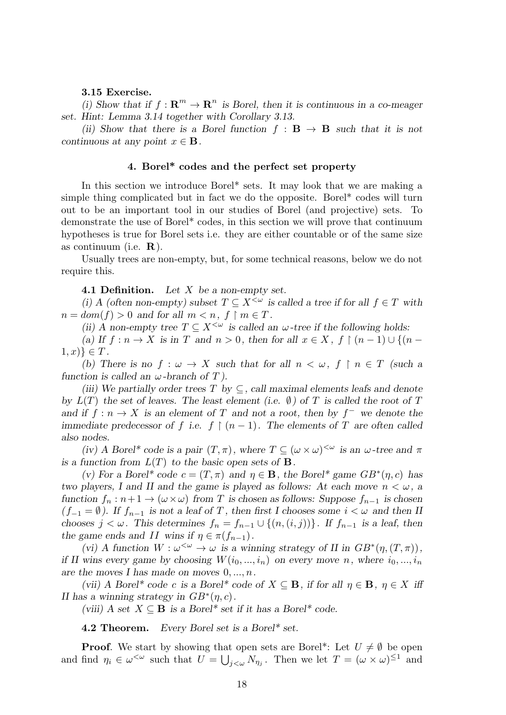# **3.15 Exercise.**

(*i)* Show that if  $f: \mathbb{R}^m \to \mathbb{R}^n$  is Borel, then it is continuous in a co-meager *set. Hint: Lemma 3.14 together with Corollary 3.13.*

*(ii)* Show that there is a Borel function  $f : \mathbf{B} \to \mathbf{B}$  such that it is not *continuous at any point*  $x \in \mathbf{B}$ *.* 

# **4. Borel\* codes and the perfect set property**

In this section we introduce Borel\* sets. It may look that we are making a simple thing complicated but in fact we do the opposite. Borel\* codes will turn out to be an important tool in our studies of Borel (and projective) sets. To demonstrate the use of Borel\* codes, in this section we will prove that continuum hypotheses is true for Borel sets i.e. they are either countable or of the same size as continuum (i.e. **R**).

Usually trees are non-empty, but, for some technical reasons, below we do not require this.

**4.1 Definition.** *Let X be a non-empty set.*

*(i) A (often non-empty) subset*  $T \subset X^{\leq \omega}$  *is called a tree if for all*  $f \in T$  *with*  $n = dom(f) > 0$  *and for all*  $m < n, f \restriction m \in T$ .

*(ii) A non-empty tree*  $T \subseteq X^{\leq \omega}$  *is called an*  $\omega$ -tree *if the following holds:* 

*(a)* If  $f: n \to X$  is in *T* and  $n > 0$ , then for all  $x \in X$ ,  $f \restriction (n-1) \cup \{(n-1)\}$  $[1, x] \in T$ .

*(b)* There is no  $f: \omega \to X$  such that for all  $n < \omega, f \restriction n \in T$  (such a *function is called an*  $\omega$ -branch of *T*).

*(iii)* We partially order trees  $T$  by  $\subseteq$ , call maximal elements leafs and denote *by*  $L(T)$  *the set of leaves. The least element (i.e.*  $\emptyset$ ) *of T is called the root of T and* if  $f: n \to X$  is an element of *T* and not a root, then by  $f^-$  we denote the *immediate predecessor of f i.e.*  $f \restriction (n-1)$ *. The elements of T* are often called *also nodes.*

*(iv) A Borel\* code is a pair*  $(T, \pi)$ *, where*  $T \subseteq (\omega \times \omega)^{<\omega}$  *is an*  $\omega$ -*tree and*  $\pi$ *is a function from*  $L(T)$  *to the basic open sets of* **B***.* 

*(v)* For a Borel\* code  $c = (T, \pi)$  and  $\eta \in \mathbf{B}$ , the Borel\* game  $GB^*(\eta, c)$  has *two players, I and II and the game is played as follows: At each move*  $n < \omega$ , a *function*  $f_n : n+1 \to (\omega \times \omega)$  *from T is chosen as follows: Suppose*  $f_{n-1}$  *is chosen (* $f$ <sup>*−*</sup>1 =  $\emptyset$ ). If  $f$ <sup>*n*</sup><sup>*−*</sup>1 *is not a leaf of T*, then first I chooses some  $i < \omega$  and then II *chooses*  $j < \omega$ *. This determines*  $f_n = f_{n-1} \cup \{(n, (i, j))\}$ *. If*  $f_{n-1}$  *is a leaf, then the game ends and II* wins if  $\eta \in \pi(f_{n-1})$ *.* 

(*vi*) A function  $W : \omega^{\leq \omega} \to \omega$  is a winning strategy of II in  $GB^*(\eta,(T,\pi))$ , *if II wins every game by choosing*  $W(i_0, ..., i_n)$  *on every move n*, where  $i_0, ..., i_n$ *are the moves I has made on moves* 0*, ..., n.*

*(vii) A Borel\* code c is a Borel\* code of*  $X \subseteq \mathbf{B}$ *, if for all*  $\eta \in \mathbf{B}$ *,*  $\eta \in X$  *iff II* has a winning strategy in  $GB^*(\eta, c)$ .

*(viii) A set*  $X \subseteq \mathbf{B}$  *is a Borel\* set if it has a Borel\* code.* 

**4.2 Theorem.** *Every Borel set is a Borel\* set.*

**Proof.** We start by showing that open sets are Borel<sup>\*</sup>: Let  $U \neq \emptyset$  be open and find  $\eta_i \in \omega^{\leq \omega}$  such that  $U = \bigcup_{j \leq \omega} N_{\eta_j}$ . Then we let  $T = (\omega \times \omega)^{\leq 1}$  and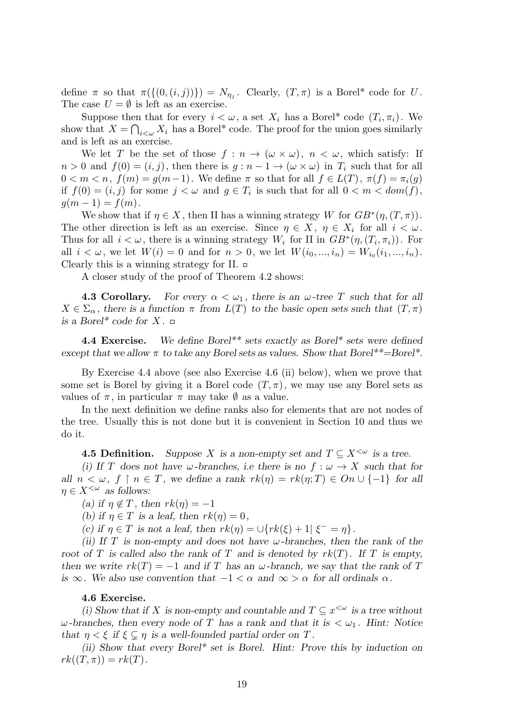define  $\pi$  so that  $\pi(\{(0, (i, j))\}) = N_{\eta_j}$ . Clearly,  $(T, \pi)$  is a Borel\* code for *U*. The case  $U = \emptyset$  is left as an exercise.

Suppose then that for every  $i < \omega$ , a set  $X_i$  has a Borel<sup>\*</sup> code  $(T_i, \pi_i)$ . We show that  $X = \bigcap_{i < \omega} X_i$  has a Borel<sup>\*</sup> code. The proof for the union goes similarly and is left as an exercise.

We let *T* be the set of those  $f: n \to (\omega \times \omega)$ ,  $n < \omega$ , which satisfy: If  $n > 0$  and  $f(0) = (i, j)$ , then there is  $g : n - 1 \rightarrow (\omega \times \omega)$  in  $T_i$  such that for all  $0 < m < n$ ,  $f(m) = g(m-1)$ . We define  $\pi$  so that for all  $f \in L(T)$ ,  $\pi(f) = \pi_i(g)$ if  $f(0) = (i, j)$  for some  $j < \omega$  and  $g \in T_i$  is such that for all  $0 < m < dom(f)$ ,  $g(m-1) = f(m)$ .

We show that if  $\eta \in X$ , then II has a winning strategy W for  $GB^*(\eta,(T,\pi))$ . The other direction is left as an exercise. Since  $\eta \in X$ ,  $\eta \in X_i$  for all  $i < \omega$ . Thus for all  $i < \omega$ , there is a winning strategy  $W_i$  for II in  $GB^*(\eta,(T_i,\pi_i))$ . For all  $i < \omega$ , we let  $W(i) = 0$  and for  $n > 0$ , we let  $W(i_0, ..., i_n) = W_{i_0}(i_1, ..., i_n)$ . Clearly this is a winning strategy for II.  $\Box$ 

A closer study of the proof of Theorem 4.2 shows:

**4.3 Corollary.** For every  $\alpha < \omega_1$ , there is an  $\omega$ -tree T such that for all  $X \in \Sigma_{\alpha}$ , there is a function  $\pi$  from  $L(T)$  to the basic open sets such that  $(T, \pi)$ *is a Borel\* code for*  $X$ .  $\Box$ 

**4.4 Exercise.** *We define Borel\*\* sets exactly as Borel\* sets were defined except that we allow*  $\pi$  *to take any Borel sets as values. Show that Borel*<sup>\*\*</sup>=Borel<sup>\*</sup>.

By Exercise 4.4 above (see also Exercise 4.6 (ii) below), when we prove that some set is Borel by giving it a Borel code  $(T, \pi)$ , we may use any Borel sets as values of  $\pi$ , in particular  $\pi$  may take  $\emptyset$  as a value.

In the next definition we define ranks also for elements that are not nodes of the tree. Usually this is not done but it is convenient in Section 10 and thus we do it.

**4.5 Definition.** *Suppose X is a non-empty set and*  $T \subseteq X^{\leq \omega}$  *is a tree.* 

*(i)* If *T* does not have *ω*-branches, i.e there is no  $f : \omega \to X$  such that for *all*  $n < \omega, f \restriction n \in T$ , we define a rank  $rk(\eta) = rk(\eta; T) \in On \cup \{-1\}$  for all  $\eta \in X^{\leq \omega}$  *as follows:* 

 $(a)$  *if*  $\eta \notin T$ *, then*  $rk(\eta) = -1$ 

*(b)* if  $\eta \in T$  is a leaf, then  $rk(\eta) = 0$ ,

*(c)* if  $\eta \in T$  is not a leaf, then  $rk(\eta) = \cup \{rk(\xi) + 1 | \xi^- = \eta\}.$ 

*(ii) If T is non-empty and does not have ω-branches, then the rank of the root of T is called also the rank of T and is denoted by*  $rk(T)$ *.* If *T is empty, then we write*  $rk(T) = -1$  *and if T has an*  $\omega$ *-branch, we say that the rank of T is*  $\infty$ *. We also use convention that*  $-1 < \alpha$  *and*  $\infty > \alpha$  *for all ordinals*  $\alpha$ *.* 

# **4.6 Exercise.**

*(i) Show that if X is non-empty and countable and*  $T \subseteq x^{\leq \omega}$  *is a tree without ω***-branches, then every node of** *T* has a rank and that it is  $\lt \omega_1$ . Hint: Notice *that*  $\eta < \xi$  if  $\xi \subseteq \eta$  is a well-founded partial order on T.

*(ii) Show that every Borel\* set is Borel. Hint: Prove this by induction on*  $rk((T,\pi)) = rk(T)$ .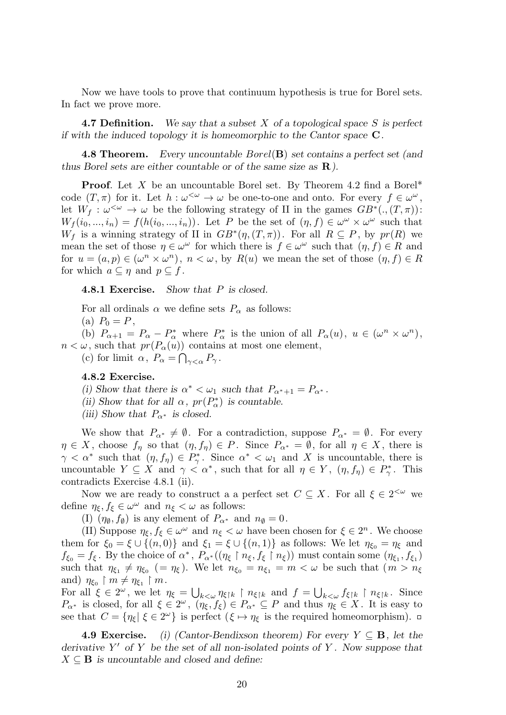Now we have tools to prove that continuum hypothesis is true for Borel sets. In fact we prove more.

**4.7 Definition.** *We say that a subset X of a topological space S is perfect if with the induced topology it is homeomorphic to the Cantor space* **C***.*

**4.8 Theorem.** *Every uncountable Borel*(**B**) *set contains a perfect set (and thus Borel sets are either countable or of the same size as* **R***).*

**Proof.** Let *X* be an uncountable Borel set. By Theorem 4.2 find a Borel\* code  $(T, \pi)$  for it. Let  $h : \omega^{\langle \omega \rangle} \to \omega$  be one-to-one and onto. For every  $f \in \omega^{\omega}$ , let  $W_f: \omega^{\leq \omega} \to \omega$  be the following strategy of II in the games  $GB^*(., (T, \pi))$ :  $W_f(i_0, ..., i_n) = f(h(i_0, ..., i_n))$ . Let *P* be the set of  $(\eta, f) \in \omega^{\omega} \times \omega^{\omega}$  such that *W*<sup>*f*</sup> is a winning strategy of II in  $GB^*(\eta,(T,\pi))$ . For all  $R \subseteq P$ , by  $pr(R)$  we mean the set of those  $\eta \in \omega^{\omega}$  for which there is  $f \in \omega^{\omega}$  such that  $(\eta, f) \in R$  and for  $u = (a, p) \in (\omega^n \times \omega^n)$ ,  $n < \omega$ , by  $R(u)$  we mean the set of those  $(\eta, f) \in R$ for which  $a \subseteq \eta$  and  $p \subseteq f$ .

**4.8.1 Exercise.** *Show that P is closed.*

For all ordinals  $\alpha$  we define sets  $P_{\alpha}$  as follows:

(a)  $P_0 = P$ ,

(b)  $P_{\alpha+1} = P_{\alpha} - P_{\alpha}^*$  where  $P_{\alpha}^*$  is the union of all  $P_{\alpha}(u)$ ,  $u \in (\omega^n \times \omega^n)$ ,  $n < \omega$ , such that  $pr(P_\alpha(u))$  contains at most one element,

(c) for limit  $\alpha$ ,  $P_{\alpha} = \bigcap_{\gamma < \alpha} P_{\gamma}$ .

# **4.8.2 Exercise.**

*(i)* Show that there is  $\alpha^* < \omega_1$  such that  $P_{\alpha^*+1} = P_{\alpha^*}$ .

- *(ii)* Show that for all  $\alpha$ ,  $pr(P^*_{\alpha})$  is countable.
- *(iii)* Show that  $P_{\alpha^*}$  *is closed.*

We show that  $P_{\alpha^*} \neq \emptyset$ . For a contradiction, suppose  $P_{\alpha^*} = \emptyset$ . For every  $\eta \in X$ , choose  $f_{\eta}$  so that  $(\eta, f_{\eta}) \in P$ . Since  $P_{\alpha^*} = \emptyset$ , for all  $\eta \in X$ , there is  $\gamma < \alpha^*$  such that  $(\eta, f_\eta) \in P^*_\gamma$ . Since  $\alpha^* < \omega_1$  and X is uncountable, there is uncountable  $Y \subseteq X$  and  $\gamma < \alpha^*$ , such that for all  $\eta \in Y$ ,  $(\eta, f_\eta) \in P_\gamma^*$ . This contradicts Exercise 4.8.1 (ii).

Now we are ready to construct a a perfect set  $C \subseteq X$ . For all  $\xi \in 2^{<\omega}$  we define  $\eta_{\xi}, f_{\xi} \in \omega^{\omega}$  and  $n_{\xi} < \omega$  as follows:

(I)  $(\eta_{\emptyset}, f_{\emptyset})$  is any element of  $P_{\alpha^*}$  and  $n_{\emptyset} = 0$ .

(II) Suppose  $\eta_{\xi}, f_{\xi} \in \omega^{\omega}$  and  $n_{\xi} < \omega$  have been chosen for  $\xi \in 2^{n}$ . We choose them for  $\xi_0 = \xi \cup \{(n,0)\}\$  and  $\xi_1 = \xi \cup \{(n,1)\}\$ as follows: We let  $\eta_{\xi_0} = \eta_{\xi}$  and  $f_{\xi_0} = f_{\xi}$ . By the choice of  $\alpha^*$ ,  $P_{\alpha^*}((\eta_{\xi} \restriction n_{\xi}, f_{\xi} \restriction n_{\xi}))$  must contain some  $(\eta_{\xi_1}, f_{\xi_1})$ such that  $\eta_{\xi_1} \neq \eta_{\xi_0}$  (=  $\eta_{\xi}$ ). We let  $n_{\xi_0} = n_{\xi_1} = m < \omega$  be such that ( $m > n_{\xi}$ and)  $\eta_{\xi_0} \restriction m \neq \eta_{\xi_1} \restriction m$ .

For all  $\xi \in 2^{\omega}$ , we let  $\eta_{\xi} = \bigcup_{k < \omega} \eta_{\xi|k} \upharpoonright n_{\xi|k}$  and  $f = \bigcup_{k < \omega} f_{\xi|k} \upharpoonright n_{\xi|k}$ . Since *P*<sub>α<sup>\*</sup></sub> is closed, for all  $\xi \in 2^{\omega}$ ,  $(\eta_{\xi}, f_{\xi}) \in P_{\alpha^*} \subseteq P$  and thus  $\eta_{\xi} \in X$ . It is easy to see that  $C = {\eta_{\xi} | \xi \in 2^{\omega}}$  is perfect  $(\xi \mapsto \eta_{\xi})$  is the required homeomorphism.

**4.9 Exercise.** *(i) (Cantor-Bendixson theorem) For every Y ⊆* **B***, let the derivative Y ′ of Y be the set of all non-isolated points of Y . Now suppose that*  $X \subseteq \mathbf{B}$  *is uncountable and closed and define:*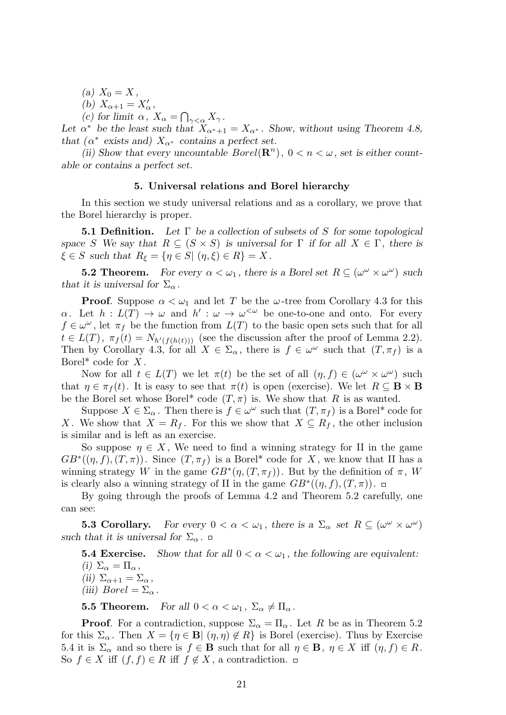- $(A)$   $X_0 = X$ ,
- *(b)*  $X_{\alpha+1} = X'_{\alpha}$ ,
- *(c)* for limit  $\alpha$ ,  $X_{\alpha} = \bigcap_{\gamma < \alpha} X_{\gamma}$ .

Let  $\alpha^*$  be the least such that  $X_{\alpha^*+1} = X_{\alpha^*}$ . Show, without using Theorem 4.8, *that*  $(\alpha^*$  *exists and*)  $X_{\alpha^*}$  *contains a perfect set.* 

(ii) Show that every uncountable  $Borel(\mathbf{R}^n)$ ,  $0 < n < \omega$ , set is either count*able or contains a perfect set.*

#### **5. Universal relations and Borel hierarchy**

In this section we study universal relations and as a corollary, we prove that the Borel hierarchy is proper.

**5.1 Definition.** *Let* Γ *be a collection of subsets of S for some topological space S* We say that  $R \subseteq (S \times S)$  *is universal for*  $\Gamma$  *if for all*  $X \in \Gamma$ *, there is*  $\xi \in S$  *such that*  $R_{\xi} = \{ \eta \in S | (\eta, \xi) \in R \} = X$ .

**5.2 Theorem.** For every  $\alpha < \omega_1$ , there is a Borel set  $R \subseteq (\omega^{\omega} \times \omega^{\omega})$  such *that it is universal for*  $\Sigma_{\alpha}$ .

**Proof.** Suppose  $\alpha < \omega_1$  and let *T* be the  $\omega$ -tree from Corollary 4.3 for this *α*. Let  $h: L(T) \to \omega$  and  $h': \omega \to \omega^{\langle \omega \rangle}$  be one-to-one and onto. For every  $f \in \omega^{\omega}$ , let  $\pi_f$  be the function from  $L(T)$  to the basic open sets such that for all  $t \in L(T)$ ,  $\pi_f(t) = N_{h'(f(h(t)))}$  (see the discussion after the proof of Lemma 2.2). Then by Corollary 4.3, for all  $X \in \Sigma_{\alpha}$ , there is  $f \in \omega^{\omega}$  such that  $(T, \pi_f)$  is a Borel\* code for *X* .

Now for all  $t \in L(T)$  we let  $\pi(t)$  be the set of all  $(\eta, f) \in (\omega^{\omega} \times \omega^{\omega})$  such that  $\eta \in \pi_f(t)$ . It is easy to see that  $\pi(t)$  is open (exercise). We let  $R \subseteq \mathbf{B} \times \mathbf{B}$ be the Borel set whose Borel<sup>\*</sup> code  $(T, \pi)$  is. We show that R is as wanted.

Suppose  $X \in \Sigma_{\alpha}$ . Then there is  $f \in \omega^{\omega}$  such that  $(T, \pi_f)$  is a Borel<sup>\*</sup> code for *X*. We show that  $X = R_f$ . For this we show that  $X \subseteq R_f$ , the other inclusion is similar and is left as an exercise.

So suppose  $\eta \in X$ , We need to find a winning strategy for II in the game  $GB^*(\eta, f), (T, \pi))$ . Since  $(T, \pi_f)$  is a Borel<sup>\*</sup> code for *X*, we know that II has a winning strategy *W* in the game  $GB^*(\eta,(T,\pi_f))$ . But by the definition of  $\pi$ , *W* is clearly also a winning strategy of II in the game  $GB^*(\eta, f), (T, \pi))$ .

By going through the proofs of Lemma 4.2 and Theorem 5.2 carefully, one can see:

**5.3 Corollary.** For every  $0 < \alpha < \omega_1$ , there is a  $\Sigma_{\alpha}$  set  $R \subseteq (\omega^{\omega} \times \omega^{\omega})$ *such that it is universal for*  $\Sigma_{\alpha}$ .  $\Box$ 

**5.4 Exercise.** Show that for all  $0 < \alpha < \omega_1$ , the following are equivalent: *(i)*  $\Sigma_{\alpha} = \Pi_{\alpha}$ *(ii)*  $\Sigma_{\alpha+1} = \Sigma_{\alpha}$ *(iii)*  $Borel = \sum_{\alpha}$ .

**5.5 Theorem.** *For all*  $0 < \alpha < \omega_1$ ,  $\Sigma_{\alpha} \neq \Pi_{\alpha}$ .

**Proof**. For a contradiction, suppose  $\Sigma_{\alpha} = \Pi_{\alpha}$ . Let *R* be as in Theorem 5.2 for this  $\Sigma_{\alpha}$ . Then  $X = \{ \eta \in \mathbf{B} | (\eta, \eta) \notin R \}$  is Borel (exercise). Thus by Exercise 5.4 it is  $\Sigma_{\alpha}$  and so there is  $f \in \mathbf{B}$  such that for all  $\eta \in \mathbf{B}$ ,  $\eta \in X$  iff  $(\eta, f) \in R$ . So  $f \in X$  iff  $(f, f) \in R$  iff  $f \notin X$ , a contradiction. □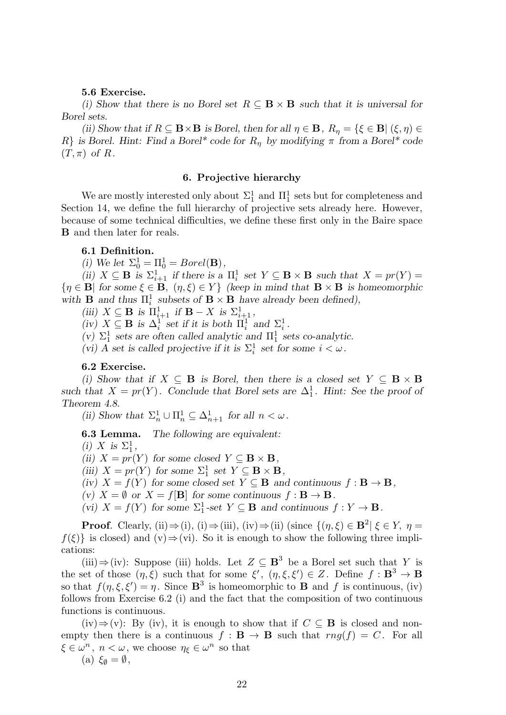### **5.6 Exercise.**

*(i)* Show that there is no Borel set  $R \subseteq \mathbf{B} \times \mathbf{B}$  such that it is universal for *Borel sets.*

*(ii)* Show that if  $R \subseteq \mathbf{B} \times \mathbf{B}$  is Borel, then for all  $\eta \in \mathbf{B}$ ,  $R_{\eta} = \{\xi \in \mathbf{B} | (\xi, \eta) \in$ *R*<sup>*}*</sup> *is Borel. Hint: Find a Borel\* code for*  $R_n$  *by modifying*  $\pi$  *from a Borel\* code*  $(T, \pi)$  *of*  $R$ *.* 

# **6. Projective hierarchy**

We are mostly interested only about  $\Sigma_1^1$  and  $\Pi_1^1$  sets but for completeness and Section 14, we define the full hierarchy of projective sets already here. However, because of some technical difficulties, we define these first only in the Baire space **B** and then later for reals.

# **6.1 Definition.**

*(i)* We let  $\Sigma_0^1 = \Pi_0^1 = Borel(\mathbf{B})$ ,

(*ii*)  $X \subseteq \mathbf{B}$  *is*  $\Sigma_{i+1}^1$  *if there is a*  $\Pi_i^1$  *set*  $Y \subseteq \mathbf{B} \times \mathbf{B}$  *such that*  $X = pr(Y) =$  ${n \in \mathbf{B} \mid \text{for some } \xi \in \mathbf{B}, \; (\eta, \xi) \in Y}$  (keep in mind that  $\mathbf{B} \times \mathbf{B}$  is homeomorphic with **B** and thus  $\Pi_i^1$  subsets of **B**  $\times$  **B** have already been defined),

 $(iii)$   $X \subseteq \mathbf{B}$  *is*  $\Pi_{i+1}^1$  *if*  $\mathbf{B} - X$  *is*  $\Sigma_{i+1}^1$ *,* 

 $f(iv)$   $X \subseteq \mathbf{B}$  *is*  $\Delta_i^1$  *set if it is both*  $\Pi_i^1$  *and*  $\Sigma_i^1$ *.* 

(*v*)  $\Sigma_1^1$  sets are often called analytic and  $\Pi_1^1$  sets co-analytic.

(*vi*) *A* set is called projective if it is  $\Sigma_i^1$  set for some  $i < \omega$ .

# **6.2 Exercise.**

*(i)* Show that if  $X \subseteq \mathbf{B}$  is Borel, then there is a closed set  $Y \subseteq \mathbf{B} \times \mathbf{B}$ such that  $X = pr(Y)$ . Conclude that Borel sets are  $\Delta_1^1$ . Hint: See the proof of *Theorem 4.8.*

(*ii*) Show that  $\Sigma_n^1 \cup \Pi_n^1 \subseteq \Delta_{n+1}^1$  for all  $n < \omega$ .

**6.3 Lemma.** *The following are equivalent:*

*(i) X is*  $\Sigma_1^1$ ,

(*ii*)  $X = pr(Y)$  *for some closed*  $Y \subseteq \mathbf{B} \times \mathbf{B}$ *,* 

(iii)  $X = pr(Y)$  for some  $\Sigma_1^1$  set  $Y \subseteq \mathbf{B} \times \mathbf{B}$ ,

 $f: \mathbf{B} \to \mathbf{B}$ ,  $f(Y)$  *for some closed set*  $Y \subseteq \mathbf{B}$  *and continuous*  $f: \mathbf{B} \to \mathbf{B}$ ,

 $f(x)$   $X = \emptyset$  or  $X = f[B]$  for some continuous  $f : B \to B$ .

 $f(Y)$  *X* =  $f(Y)$  *for some*  $\Sigma_1^1$ -set  $Y \subseteq \mathbf{B}$  *and continuous*  $f: Y \to \mathbf{B}$ *.* 

**Proof**. Clearly, (ii) $\Rightarrow$  (i), (i) $\Rightarrow$  (iii), (iv) $\Rightarrow$  (ii) (since  $\{(\eta, \xi) \in \mathbf{B}^2 | \xi \in Y, \eta =$  $f(\xi)$ } is closed) and (v) $\Rightarrow$ (vi). So it is enough to show the following three implications:

(iii)  $\Rightarrow$  (iv): Suppose (iii) holds. Let *Z* ⊆ **B**<sup>3</sup> be a Borel set such that *Y* is the set of those  $(\eta, \xi)$  such that for some  $\xi'$ ,  $(\eta, \xi, \xi') \in Z$ . Define  $f : \mathbf{B}^3 \to \mathbf{B}$ so that  $f(\eta, \xi, \xi') = \eta$ . Since  $\mathbf{B}^3$  is homeomorphic to **B** and f is continuous, (iv) follows from Exercise 6.2 (i) and the fact that the composition of two continuous functions is continuous.

(iv)*⇒*(v): By (iv), it is enough to show that if *C ⊆* **B** is closed and nonempty then there is a continuous  $f : \mathbf{B} \to \mathbf{B}$  such that  $rng(f) = C$ . For all  $\xi \in \omega^n$ ,  $n < \omega$ , we choose  $\eta_{\xi} \in \omega^n$  so that

$$
(a) \ \xi_{\emptyset} = \emptyset,
$$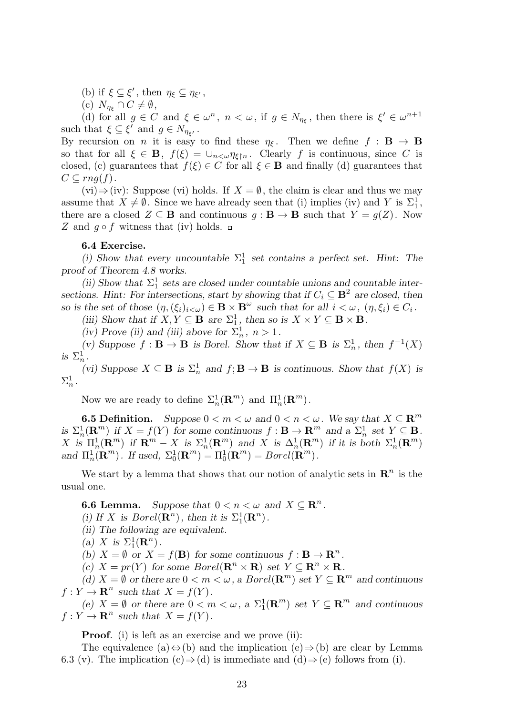- (b) if  $\xi \subseteq \xi'$ , then  $\eta_{\xi} \subseteq \eta_{\xi'}$ ,
- $(C)$   $N_{\eta_{\xi}} \cap C \neq \emptyset$ ,

(d) for all  $g \in C$  and  $\xi \in \omega^n$ ,  $n < \omega$ , if  $g \in N_{\eta_{\xi}}$ , then there is  $\xi' \in \omega^{n+1}$ such that  $\xi \subseteq \xi'$  and  $g \in N_{\eta_{\xi'}}$ .

By recursion on *n* it is easy to find these  $\eta_{\xi}$ . Then we define  $f : \mathbf{B} \to \mathbf{B}$ so that for all  $\xi \in \mathbf{B}$ ,  $f(\xi) = \bigcup_{n \leq \omega} \eta_{\xi \upharpoonright n}$ . Clearly f is continuous, since C is closed, (c) guarantees that  $f(\xi) \in C$  for all  $\xi \in \mathbf{B}$  and finally (d) guarantees that  $C \subseteq rng(f).$ 

(vi) $\Rightarrow$ (iv): Suppose (vi) holds. If *X* =  $\emptyset$ , the claim is clear and thus we may assume that  $X \neq \emptyset$ . Since we have already seen that (i) implies (iv) and *Y* is  $\Sigma_1^1$ , there are a closed  $Z \subseteq \mathbf{B}$  and continuous  $g : \mathbf{B} \to \mathbf{B}$  such that  $Y = g(Z)$ . Now *Z* and  $q \circ f$  witness that (iv) holds. □

# **6.4 Exercise.**

(i) Show that every uncountable  $\Sigma_1^1$  set contains a perfect set. Hint: The *proof of Theorem 4.8 works.*

(ii) Show that  $\Sigma_1^1$  sets are closed under countable unions and countable inter*sections. Hint: For intersections, start by showing that if*  $C_i \subseteq \mathbf{B}^2$  *are closed, then so* is the set of those  $(\eta, (\xi_i)_{i < \omega}) \in \mathbf{B} \times \mathbf{B}^\omega$  such that for all  $i < \omega$ ,  $(\eta, \xi_i) \in C_i$ .

*(iii)* Show that if  $X, Y \subseteq \mathbf{B}$  are  $\Sigma_1^1$ , then so is  $X \times Y \subseteq \mathbf{B} \times \mathbf{B}$ .

*(iv)* Prove *(ii)* and *(iii)* above for  $\Sigma_n^1$ ,  $n > 1$ .

*(v)* Suppose *f* : **B** → **B** *is Borel. Show that if X* ⊆ **B** *is*  $\Sigma_n^1$ *, then*  $f^{-1}(X)$ *is*  $\Sigma_n^1$ .

*(vi)* Suppose  $X \subseteq \mathbf{B}$  *is*  $\Sigma_n^1$  *and*  $f; \mathbf{B} \to \mathbf{B}$  *is continuous. Show that*  $f(X)$  *is*  $\Sigma^1_n$  .

Now we are ready to define  $\Sigma_n^1(\mathbf{R}^m)$  and  $\Pi_n^1(\mathbf{R}^m)$ .

**6.5 Definition.** *Suppose*  $0 < m < \omega$  *and*  $0 < n < \omega$ *. We say that*  $X \subseteq \mathbb{R}^m$ is  $\Sigma^1_n(\mathbf{R}^m)$  if  $X = f(Y)$  for some continuous  $f: \mathbf{B} \to \mathbf{R}^m$  and a  $\Sigma^1_n$  set  $Y \subseteq \mathbf{B}$ .  $X$  is  $\Pi_n^1(\mathbf{R}^m)$  if  $\mathbf{R}^m - X$  is  $\Sigma_n^1(\mathbf{R}^m)$  and X is  $\Delta_n^1(\mathbf{R}^m)$  if it is both  $\Sigma_n^1(\mathbf{R}^m)$ *and*  $\Pi_n^1(\mathbf{R}^m)$ *. If used,*  $\Sigma_0^1(\mathbf{R}^m) = \Pi_0^1(\mathbf{R}^m) = Borel(\mathbf{R}^m)$ *.* 

We start by a lemma that shows that our notion of analytic sets in  $\mathbb{R}^n$  is the usual one.

**6.6 Lemma.** *Suppose that*  $0 < n < \omega$  *and*  $X \subseteq \mathbb{R}^n$ *.* 

(*i*) If *X* is  $Borel(\mathbf{R}^n)$ , then it is  $\Sigma_1^1(\mathbf{R}^n)$ .

*(ii) The following are equivalent.*

(a) *X* is  $\Sigma_1^1(\mathbf{R}^n)$ .

(b)  $X = \emptyset$  *or*  $X = f(\mathbf{B})$  *for some continuous*  $f: \mathbf{B} \to \mathbf{R}^n$ *.* 

 $f(c)$   $X = pr(Y)$  for some  $Borel(\mathbb{R}^n \times \mathbb{R})$  set  $Y \subseteq \mathbb{R}^n \times \mathbb{R}$ .

*(d) X* = *Ø or there are*  $0 < m < ω$ , *a Borel*( $\mathbb{R}^m$ ) *set Y* ⊆  $\mathbb{R}^m$  *and continuous*  $f: Y \to \mathbf{R}^n$  such that  $X = f(Y)$ .

(e)  $X = \emptyset$  *or there are*  $0 < m < \omega$ , a  $\Sigma_1^1(\mathbb{R}^m)$  *set*  $Y \subseteq \mathbb{R}^m$  *and continuous*  $f: Y \to \mathbf{R}^n$  such that  $X = f(Y)$ .

**Proof.** (i) is left as an exercise and we prove (ii):

The equivalence (a)*⇔*(b) and the implication (e)*⇒*(b) are clear by Lemma 6.3 (v). The implication  $(c) \Rightarrow d$  is immediate and  $(d) \Rightarrow (e)$  follows from (i).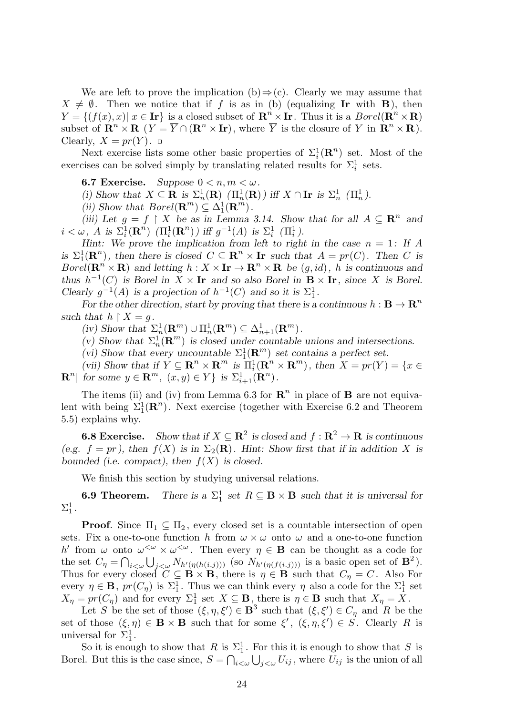We are left to prove the implication (b) $\Rightarrow$ (c). Clearly we may assume that  $X \neq \emptyset$ . Then we notice that if *f* is as in (b) (equalizing **Ir** with **B**), then  $Y = \{ (f(x), x) | x \in \mathbf{Ir} \}$  is a closed subset of  $\mathbf{R}^n \times \mathbf{Ir}$ . Thus it is a  $Borel(\mathbf{R}^n \times \mathbf{R})$ subset of  $\mathbf{R}^n \times \mathbf{R}$  ( $Y = \overline{Y} \cap (\mathbf{R}^n \times \mathbf{I_r})$ , where  $\overline{Y}$  is the closure of Y in  $\mathbf{R}^n \times \mathbf{R}$ ). Clearly,  $X = pr(Y)$ .

Next exercise lists some other basic properties of  $\Sigma_i^1(\mathbf{R}^n)$  set. Most of the exercises can be solved simply by translating related results for  $\Sigma_i^1$  sets.

**6.7 Exercise.** *Suppose*  $0 < n, m < \omega$ *.* 

(*i)* Show that  $X \subseteq \mathbf{R}$  is  $\Sigma_n^1(\mathbf{R})$   $(\Pi_n^1(\mathbf{R}))$  iff  $X \cap \mathbf{I}_n$  is  $\Sigma_n^1$   $(\Pi_n^1)$ .

(*ii*) Show that  $Borel(\mathbf{R}^m) \subseteq \Delta_1^1(\mathbf{R}^m)$ .

*(iii)* Let  $g = f \restriction X$  be as in Lemma 3.14. Show that for all  $A \subseteq \mathbb{R}^n$  and  $i < \omega$ , *A* is  $\Sigma_i^1(\mathbf{R}^n)$  ( $\Pi_i^1(\mathbf{R}^n)$ ) iff  $g^{-1}(A)$  is  $\Sigma_i^1$  ( $\Pi_i^1$ ).

*Hint:* We prove the implication from left to right in the case  $n = 1$ : If A *is*  $\Sigma_1^1(\mathbb{R}^n)$ , then there is closed  $C \subseteq \mathbb{R}^n \times \text{Ir}$  such that  $A = pr(C)$ . Then *C* is *Borel*( $\mathbb{R}^n \times \mathbb{R}$ ) *and letting*  $h: X \times \mathbb{I}r \to \mathbb{R}^n \times \mathbb{R}$  *be*  $(g, id)$ *, h is continuous and thus*  $h^{-1}(C)$  *is Borel in*  $X \times \mathbf{I}r$  *and so also Borel in*  $\mathbf{B} \times \mathbf{I}r$ *, since X is Borel. Clearly*  $g^{-1}(A)$  *is a projection of*  $h^{-1}(C)$  *and so it is*  $\Sigma_1^1$ *.* 

*For the other direction, start by proving that there is a continuous*  $h : \mathbf{B} \to \mathbf{R}^n$ *such that*  $h \upharpoonright X = g$ .

 $(iv)$  Show that  $\Sigma_n^1(\mathbf{R}^m) \cup \Pi_n^1(\mathbf{R}^m) \subseteq \Delta_{n+1}^1(\mathbf{R}^m)$ .

(*v*) Show that  $\Sigma_n^1(\mathbf{R}^m)$  is closed under countable unions and intersections.

(vi) Show that every uncountable  $\Sigma_1^1(\mathbf{R}^m)$  set contains a perfect set.

(vii) Show that if  $Y \subseteq \mathbb{R}^n \times \mathbb{R}^m$  is  $\Pi_i^1(\mathbb{R}^n \times \mathbb{R}^m)$ , then  $X = pr(Y) = \{x \in \mathbb{R}^n : E \subseteq \mathbb{R}^n \times \mathbb{R}^m\}$  $\mathbf{R}^n | \text{ for some } y \in \mathbf{R}^m, \ (x, y) \in Y \} \text{ is } \Sigma_{i+1}^1(\mathbf{R}^n).$ 

The items (ii) and (iv) from Lemma 6.3 for  $\mathbb{R}^n$  in place of **B** are not equivalent with being  $\Sigma_1^1(\mathbf{R}^n)$ . Next exercise (together with Exercise 6.2 and Theorem 5.5) explains why.

**6.8 Exercise.** Show that if  $X \subseteq \mathbb{R}^2$  is closed and  $f : \mathbb{R}^2 \to \mathbb{R}$  is continuous *(e.g.*  $f = pr$ ), then  $f(X)$  is in  $\Sigma_2(\mathbf{R})$ . Hint: Show first that if in addition X is *bounded (i.e. compact), then f*(*X*) *is closed.*

We finish this section by studying universal relations.

**6.9 Theorem.**  $\frac{1}{1}$  set  $R \subseteq \mathbf{B} \times \mathbf{B}$  such that it is universal for  $\Sigma^1_1$ .

**Proof.** Since  $\Pi_1 \subseteq \Pi_2$ , every closed set is a countable intersection of open sets. Fix a one-to-one function *h* from  $\omega \times \omega$  onto  $\omega$  and a one-to-one function *h*<sup>'</sup> from  $\omega$  onto  $\omega^{\leq \omega} \times \omega^{\leq \omega}$ . Then every  $\eta \in \mathbf{B}$  can be thought as a code for the set  $C_{\eta} = \bigcap_{i < \omega} \bigcup_{j < \omega} N_{h'(\eta(h(i,j)))}$  (so  $N_{h'(\eta(f(i,j)))}$  is a basic open set of  $\mathbf{B}^2$ ). Thus for every closed  $C \subseteq \mathbf{B} \times \mathbf{B}$ , there is  $\eta \in \mathbf{B}$  such that  $C_{\eta} = C$ . Also For every  $\eta \in \mathbf{B}$ ,  $pr(C_{\eta})$  is  $\Sigma_1^1$ . Thus we can think every  $\eta$  also a code for the  $\Sigma_1^1$  set  $X_{\eta} = pr(C_{\eta})$  and for every  $\Sigma_1^1$  set  $X \subseteq \mathbf{B}$ , there is  $\eta \in \mathbf{B}$  such that  $X_{\eta} = X$ .

Let *S* be the set of those  $(\xi, \eta, \xi') \in \mathbf{B}^3$  such that  $(\xi, \xi') \in C_\eta$  and *R* be the set of those  $(\xi, \eta) \in \mathbf{B} \times \mathbf{B}$  such that for some  $\xi'$ ,  $(\xi, \eta, \xi') \in S$ . Clearly R is universal for  $\Sigma_1^1$ .

So it is enough to show that *R* is  $\Sigma_1^1$ . For this it is enough to show that *S* is Borel. But this is the case since,  $S = \bigcap_{i < \omega} \bigcup_{j < \omega} U_{ij}$ , where  $U_{ij}$  is the union of all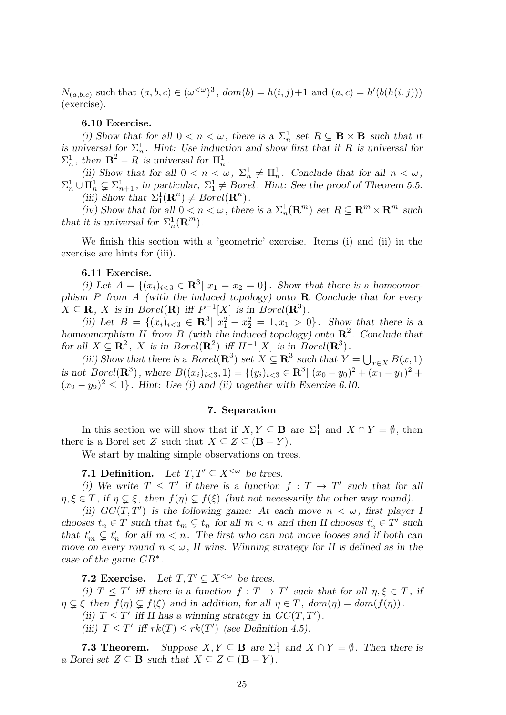*N*<sub>(*a,b,c*)</sub> such that  $(a, b, c) \in (\omega^{\langle \omega \rangle})^3$ ,  $dom(b) = h(i, j) + 1$  and  $(a, c) = h'(b(h(i, j)))$  $(exercise)$ .  $\Box$ 

#### **6.10 Exercise.**

(i) Show that for all  $0 < n < \omega$ , there is a  $\Sigma_n^1$  set  $R \subseteq \mathbf{B} \times \mathbf{B}$  such that it *is universal for*  $\Sigma_n^1$ . Hint: Use induction and show first that if R is universal for  $\Sigma_n^1$ , then  $\mathbf{B}^2 - R$  *is universal for*  $\Pi_n^1$ .

(ii) Show that for all  $0 < n < \omega$ ,  $\Sigma_n^1 \neq \Pi_n^1$ . Conclude that for all  $n < \omega$ ,  $\Sigma_n^1 \cup \Pi_n^1 \subsetneq \Sigma_{n+1}^1$ , in particular,  $\Sigma_1^1 \neq Borel$ *. Hint: See the proof of Theorem 5.5.* (*iii*) Show that  $\Sigma_1^1(\mathbf{R}^n) \neq Borel(\mathbf{R}^n)$ .

*(iv)* Show that for all  $0 < n < \omega$ , there is a  $\Sigma_n^1(\mathbb{R}^m)$  set  $R \subseteq \mathbb{R}^m \times \mathbb{R}^m$  such *that it is universal for*  $\Sigma_n^1(\mathbf{R}^m)$ .

We finish this section with a 'geometric' exercise. Items (i) and (ii) in the exercise are hints for (iii).

# **6.11 Exercise.**

*(i)* Let  $A = \{(x_i)_{i \leq 3} \in \mathbb{R}^3 | x_1 = x_2 = 0\}$ . Show that there is a homeomor*phism P from A (with the induced topology) onto* **R** *Conclude that for every*  $X \subseteq \mathbf{R}$ , *X* is in *Borel*( $\mathbf{R}$ ) *iff*  $P^{-1}[X]$  *is in Borel*( $\mathbf{R}^3$ )*.* 

(*ii*) Let  $B = \{(x_i)_{i \leq 3} \in \mathbb{R}^3 \mid x_1^2 + x_2^2 = 1, x_1 > 0\}$ . Show that there is a *homeomorphism H from B (with the induced topology) onto* **R** 2 *. Conclude that for all*  $X \subseteq \mathbb{R}^2$ , *X is in Borel*( $\mathbb{R}^2$ ) *iff*  $H^{-1}[X]$  *is in Borel*( $\mathbb{R}^3$ )*.* 

(*iii*) Show that there is a *Borel*( $\mathbb{R}^3$ ) set  $X \subseteq \mathbb{R}^3$  such that  $Y = \bigcup_{x \in X} \overline{B}(x, 1)$ is not Borel( $\mathbb{R}^3$ ), where  $\overline{B}((x_i)_{i\leq 3}, 1) = \{(y_i)_{i\leq 3} \in \mathbb{R}^3 | (x_0 - y_0)^2 + (x_1 - y_1)^2 + (x_1 - y_1)^2\}$  $(x_2 - y_2)^2 \leq 1$ . Hint: Use (i) and (ii) together with Exercise 6.10.

# **7. Separation**

In this section we will show that if  $X, Y \subseteq \mathbf{B}$  are  $\Sigma_1^1$  and  $X \cap Y = \emptyset$ , then there is a Borel set *Z* such that  $X \subseteq Z \subseteq (\mathbf{B} - Y)$ .

We start by making simple observations on trees.

**7.1 Definition.** Let  $T, T' \subseteq X^{\leq \omega}$  be trees.

(i) We write  $T \leq T'$  if there is a function  $f : T \to T'$  such that for all  $\eta, \xi \in T$ , if  $\eta \subsetneq \xi$ , then  $f(\eta) \subsetneq f(\xi)$  (but not necessarily the other way round).

*(ii)*  $GC(T, T')$  *is the following game:* At each move  $n < \omega$ , first player I *chooses*  $t_n \in T$  *such that*  $t_m \subsetneq t_n$  *for all*  $m < n$  *and then II chooses*  $t'_n \in T'$  *such that*  $t'_m \subsetneq t'_n$  for all  $m < n$ . The first who can not move looses and if both can *move on every round*  $n < \omega$ , *II wins. Winning strategy for II is defined as in the case of the game GB<sup>∗</sup> .*

**7.2 Exercise.** Let  $T, T' \subset X^{\leq \omega}$  be trees.

*(i)*  $T \leq T'$  *iff there is a function*  $f: T \to T'$  *such that for all*  $\eta, \xi \in T$ *, if*  $\eta \subsetneq \xi$  then  $f(\eta) \subsetneq f(\xi)$  and in addition, for all  $\eta \in T$ ,  $dom(\eta) = dom(f(\eta))$ .

- *(ii)*  $T \leq T'$  *iff II has a winning strategy in*  $GC(T, T')$ *.*
- *(iii)*  $T \leq T'$  *iff*  $rk(T) \leq rk(T')$  *(see Definition 4.5).*

**7.3 Theorem.** Suppose  $X, Y \subseteq \mathbf{B}$  are  $\Sigma_1^1$  and  $X \cap Y = \emptyset$ . Then there is *a Borel set*  $Z \subseteq$  **B** *such that*  $X \subseteq Z \subseteq$   $(\mathbf{B} - Y)$ .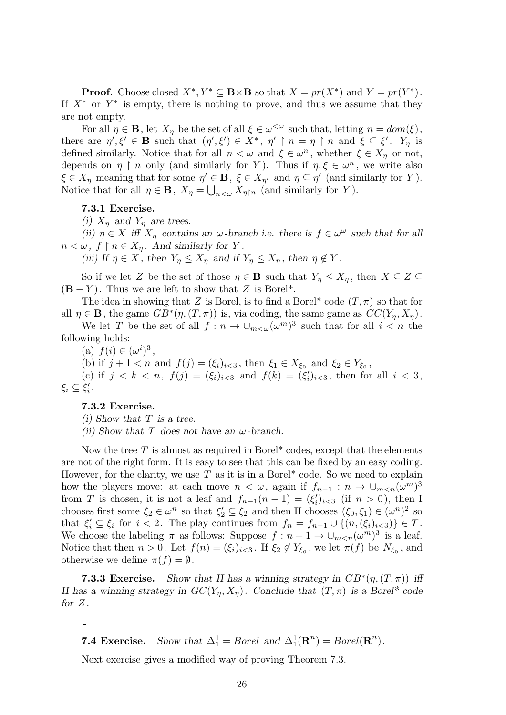**Proof**. Choose closed  $X^*$ ,  $Y^* \subseteq \mathbf{B} \times \mathbf{B}$  so that  $X = pr(X^*)$  and  $Y = pr(Y^*)$ . If  $X^*$  or  $Y^*$  is empty, there is nothing to prove, and thus we assume that they are not empty.

For all  $\eta \in \mathbf{B}$ , let  $X_{\eta}$  be the set of all  $\xi \in \omega^{\langle \omega \rangle}$  such that, letting  $n = dom(\xi)$ , there are  $\eta', \xi' \in \mathbf{B}$  such that  $(\eta', \xi') \in X^*$ ,  $\eta' \restriction n = \eta \restriction n$  and  $\xi \subseteq \xi'$ .  $Y_{\eta}$  is defined similarly. Notice that for all  $n < \omega$  and  $\xi \in \omega^n$ , whether  $\xi \in X_\eta$  or not, depends on  $\eta \restriction n$  only (and similarly for *Y*). Thus if  $\eta, \xi \in \omega^n$ , we write also  $\xi \in X_\eta$  meaning that for some  $\eta' \in \mathbf{B}$ ,  $\xi \in X_{\eta'}$  and  $\eta \subseteq \eta'$  (and similarly for *Y*). Notice that for all  $\eta \in \mathbf{B}$ ,  $X_{\eta} = \bigcup_{n<\omega} X_{\eta\upharpoonright n}$  (and similarly for *Y*).

# **7.3.1 Exercise.**

*(i)*  $X_n$  and  $Y_n$  are trees.

*(ii)*  $\eta \in X$  *iff*  $X_{\eta}$  *contains an*  $\omega$ *-branch i.e. there is*  $f \in \omega^{\omega}$  *such that for all*  $n < \omega, f \restriction n \in X_n$ . And similarly for *Y*.

*(iii)* If  $\eta \in X$ , then  $Y_{\eta} \leq X_{\eta}$  and if  $Y_{\eta} \leq X_{\eta}$ , then  $\eta \notin Y$ .

So if we let *Z* be the set of those  $\eta \in \mathbf{B}$  such that  $Y_{\eta} \leq X_{\eta}$ , then  $X \subseteq Z \subseteq$  $(\mathbf{B} - Y)$ . Thus we are left to show that Z is Borel<sup>\*</sup>.

The idea in showing that *Z* is Borel, is to find a Borel<sup>\*</sup> code  $(T, \pi)$  so that for all  $\eta \in \mathbf{B}$ , the game  $GB^*(\eta,(T,\pi))$  is, via coding, the same game as  $GC(Y_{\eta}, X_{\eta})$ .

We let *T* be the set of all  $f: n \to \bigcup_{m < \omega} (\omega^m)^3$  such that for all  $i < n$  the following holds:

(a)  $f(i) \in (\omega^i)^3$ ,

(b) if  $j + 1 < n$  and  $f(j) = (\xi_i)_{i \le 3}$ , then  $\xi_1 \in X_{\xi_0}$  and  $\xi_2 \in Y_{\xi_0}$ ,

(c) if  $j < k < n$ ,  $f(j) = (\xi_i)_{i \le 3}$  and  $f(k) = (\xi'_i)_{i \le 3}$ , then for all  $i < 3$ ,  $\xi_i \subseteq \xi'_i$ .

# **7.3.2 Exercise.**

*(i) Show that T is a tree.*

*(ii) Show that T does not have an ω-branch.*

Now the tree *T* is almost as required in Borel\* codes, except that the elements are not of the right form. It is easy to see that this can be fixed by an easy coding. However, for the clarity, we use  $T$  as it is in a Borel<sup>\*</sup> code. So we need to explain how the players move: at each move  $n < \omega$ , again if  $f_{n-1} : n \to \cup_{m < n} (\omega^m)^3$ from *T* is chosen, it is not a leaf and  $f_{n-1}(n-1) = (\xi_i')_{i < 3}$  (if  $n > 0$ ), then I chooses first some  $\xi_2 \in \omega^n$  so that  $\xi'_2 \subseteq \xi_2$  and then II chooses  $(\xi_0, \xi_1) \in (\omega^n)^2$  so that  $\xi'_i \subseteq \xi_i$  for  $i < 2$ . The play continues from  $f_n = f_{n-1} \cup \{(n, (\xi_i)_{i \leq 3})\} \in T$ . We choose the labeling  $\pi$  as follows: Suppose  $f: n+1 \to \bigcup_{m \leq n} (\omega^m)^3$  is a leaf. Notice that then  $n > 0$ . Let  $f(n) = (\xi_i)_{i \leq 3}$ . If  $\xi_2 \notin Y_{\xi_0}$ , we let  $\pi(f)$  be  $N_{\xi_0}$ , and otherwise we define  $\pi(f) = \emptyset$ .

**7.3.3 Exercise.** *Show that II has a winning strategy in*  $GB^*(\eta,(T,\pi))$  *iff II has a winning strategy in*  $GC(Y_n, X_n)$ *. Conclude that*  $(T, \pi)$  *is a Borel\* code for Z .*

**7.4 Exercise.** *Show that*  $\Delta_1^1 = Borel$  *and*  $\Delta_1^1(\mathbf{R}^n) = Borel(\mathbf{R}^n)$ *.* 

Next exercise gives a modified way of proving Theorem 7.3.

 $\Box$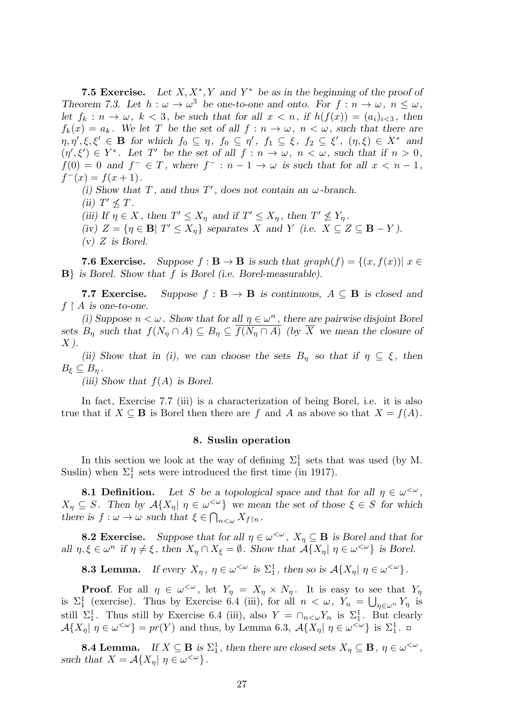**7.5 Exercise.** Let  $X, X^*, Y$  and  $Y^*$  be as in the beginning of the proof of *Theorem 7.3. Let*  $h : \omega \to \omega^3$  *be one-to-one and onto. For*  $f : n \to \omega, n \leq \omega$ , *let*  $f_k: n \to \omega$ ,  $k < 3$ , be such that for all  $x < n$ , if  $h(f(x)) = (a_i)_{i \leq 3}$ , then  $f_k(x) = a_k$ . We let *T* be the set of all  $f : n \to \omega$ ,  $n < \omega$ , such that there are  $\eta, \eta', \xi, \xi' \in \mathbf{B}$  for which  $f_0 \subseteq \eta$ ,  $f_0 \subseteq \eta'$ ,  $f_1 \subseteq \xi$ ,  $f_2 \subseteq \xi'$ ,  $(\eta, \xi) \in X^*$  and  $(\eta', \xi') \in Y^*$ . Let T' be the set of all  $f : n \to \omega$ ,  $n < \omega$ , such that if  $n > 0$ ,  $f(0) = 0$  and  $f^{-} \in T$ , where  $f^{-} : n - 1 \to \omega$  is such that for all  $x < n - 1$ ,  $f^-(x) = f(x+1)$ .

*(i)* Show that  $T$ , and thus  $T'$ , does not contain an  $\omega$ -branch. *(ii)*  $T' \nleq T$ .

(iii) If  $\eta \in X$ , then  $T' \leq X_{\eta}$  and if  $T' \leq X_{\eta}$ , then  $T' \nleq Y_{\eta}$ . (iv)  $Z = \{ \eta \in \mathbf{B} | T' \le X_{\eta} \}$  separates X and Y (i.e.  $X \subseteq Z \subseteq \mathbf{B} - Y$ ). *(v) Z is Borel.*

**7.6 Exercise.** Suppose  $f : \mathbf{B} \to \mathbf{B}$  is such that  $graph(f) = \{(x, f(x)) | x \in \mathbf{B}\}$ **B***} is Borel. Show that f is Borel (i.e. Borel-measurable).*

**7.7 Exercise.** Suppose  $f : \mathbf{B} \to \mathbf{B}$  is continuous,  $A \subseteq \mathbf{B}$  is closed and  $f \upharpoonright A$  *is one-to-one.* 

*(i)* Suppose  $n < \omega$ . Show that for all  $\eta \in \omega^n$ , there are pairwise disjoint Borel *sets*  $B_n$  *such that*  $f(N_n \cap A) \subseteq B_n \subseteq \overline{f(N_n \cap A)}$  *(by*  $\overline{X}$  *we mean the closure of X ).*

*(ii)* Show that in *(i)*, we can choose the sets  $B_\eta$  so that if  $\eta \subseteq \xi$ , then  $B_{\xi} \subseteq B_n$ .

*(iii) Show that f*(*A*) *is Borel.*

In fact, Exercise 7.7 (iii) is a characterization of being Borel, i.e. it is also true that if  $X \subseteq \mathbf{B}$  is Borel then there are *f* and *A* as above so that  $X = f(A)$ .

#### **8. Suslin operation**

In this section we look at the way of defining  $\Sigma_1^1$  sets that was used (by M. Suslin) when  $\Sigma_1^1$  sets were introduced the first time (in 1917).

**8.1 Definition.** Let *S* be a topological space and that for all  $\eta \in \omega^{\leq \omega}$ ,  $X_{\eta} \subseteq S$ . Then by  $\mathcal{A}\{X_{\eta} | \eta \in \omega^{\langle \omega \rangle}\}\$  we mean the set of those  $\xi \in S$  for which *there is*  $f: \omega \to \omega$  *such that*  $\xi \in \bigcap_{n \leq \omega} X_{f \upharpoonright n}$ *.* 

**8.2 Exercise.** Suppose that for all  $\eta \in \omega^{\leq \omega}$ ,  $X_{\eta} \subseteq \mathbf{B}$  is Borel and that for all  $\eta, \xi \in \omega^n$  if  $\eta \neq \xi$ , then  $X_{\eta} \cap X_{\xi} = \emptyset$ . Show that  $\mathcal{A}\{X_{\eta} | \eta \in \omega^{\langle \omega \rangle}\}\)$  is Borel.

**8.3 Lemma.** *If every*  $X_{\eta}$ ,  $\eta \in \omega^{\leq \omega}$  *is*  $\Sigma_1^1$ , *then so is*  $\mathcal{A}\{X_{\eta} | \eta \in \omega^{\leq \omega}\}$ .

**Proof**. For all  $\eta \in \omega^{\leq \omega}$ , let  $Y_{\eta} = X_{\eta} \times N_{\eta}$ . It is easy to see that  $Y_{\eta}$ is  $\Sigma_1^1$  (exercise). Thus by Exercise 6.4 (iii), for all  $n < \omega$ ,  $Y_n = \bigcup_{\eta \in \omega^n} Y_\eta$  is still  $\Sigma_1^1$ . Thus still by Exercise 6.4 (iii), also  $Y = \bigcap_{n \leq \omega} Y_n$  is  $\Sigma_1^1$ . But clearly  $\mathcal{A}\lbrace X_{\eta} | \eta \in \omega^{\langle \omega \rangle} \rbrace = pr(Y)$  and thus, by Lemma 6.3,  $\mathcal{A}\lbrace X_{\eta} | \eta \in \omega^{\langle \omega \rangle} \rbrace$  is  $\Sigma_1^1$ .

**8.4 Lemma.** *If*  $X \subseteq \mathbf{B}$  *is*  $\Sigma_1^1$ *, then there are closed sets*  $X_\eta \subseteq \mathbf{B}$ *,*  $\eta \in \omega^{\leq \omega}$ *, such that*  $X = \mathcal{A}\{X_{\eta} | \eta \in \omega^{\langle \omega \rangle}\}.$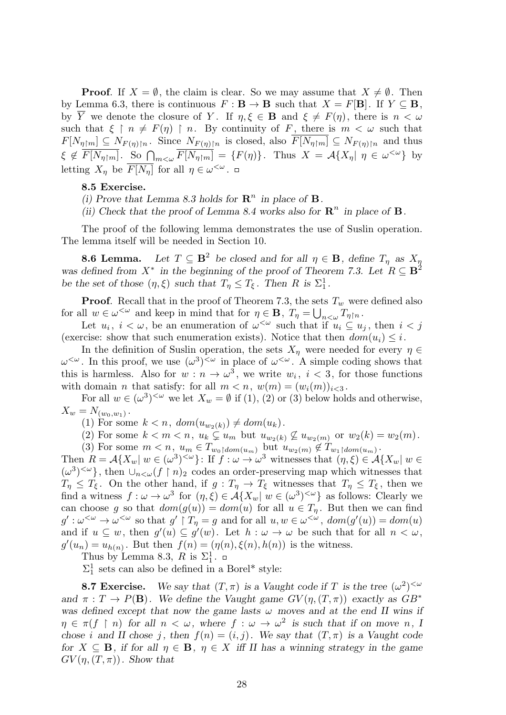**Proof.** If  $X = \emptyset$ , the claim is clear. So we may assume that  $X \neq \emptyset$ . Then by Lemma 6.3, there is continuous  $F : \mathbf{B} \to \mathbf{B}$  such that  $X = F[\mathbf{B}]$ . If  $Y \subseteq \mathbf{B}$ , by  $\overline{Y}$  we denote the closure of *Y*. If  $\eta, \xi \in \mathbf{B}$  and  $\xi \neq F(\eta)$ , there is  $n < \omega$ such that  $\xi \restriction n \neq F(\eta) \restriction n$ . By continuity of *F*, there is  $m < \omega$  such that  $F[N_{\eta\upharpoonright m}]\subseteq N_{F(\eta)\upharpoonright n}$ . Since  $N_{F(\eta)\upharpoonright n}$  is closed, also  $\overline{F[N_{\eta\upharpoonright m}]} \subseteq N_{F(\eta)\upharpoonright n}$  and thus  $\xi \notin \overline{F[N_{\eta|m}]}$ . So  $\bigcap_{m < \omega} \overline{F[N_{\eta|m}]} = \{F(\eta)\}\$ . Thus  $X = \mathcal{A}\{X_{\eta} | \eta \in \omega^{\langle \omega \rangle}\}\$ by letting  $X_{\eta}$  be  $\overline{F[N_{\eta}]}$  for all  $\eta \in \omega^{\langle \omega \rangle}$ .

#### **8.5 Exercise.**

(i) Prove that Lemma 8.3 holds for  $\mathbb{R}^n$  in place of  $\mathbb{B}$ .

*(ii)* Check that the proof of Lemma 8.4 works also for  $\mathbb{R}^n$  in place of **B**.

The proof of the following lemma demonstrates the use of Suslin operation. The lemma itself will be needed in Section 10.

**8.6 Lemma.** Let  $T \subseteq \mathbf{B}^2$  be closed and for all  $\eta \in \mathbf{B}$ , define  $T_\eta$  as  $X_\eta$ *was defined from*  $X^*$  *in the beginning of the proof of Theorem 7.3. Let*  $R \subseteq \mathbf{B}^2$ *be the set of those*  $(\eta, \xi)$  *such that*  $T_{\eta} \leq T_{\xi}$ *. Then R is*  $\Sigma_1^1$ *.* 

**Proof.** Recall that in the proof of Theorem 7.3, the sets  $T_w$  were defined also for all  $w \in \omega^{\lt \omega}$  and keep in mind that for  $\eta \in \mathbf{B}$ ,  $T_{\eta} = \bigcup_{n \lt \omega} T_{\eta \upharpoonright n}$ .

Let  $u_i, i < \omega$ , be an enumeration of  $\omega^{\omega}$  such that if  $u_i \subseteq u_j$ , then  $i < j$ (exercise: show that such enumeration exists). Notice that then  $dom(u_i) \leq i$ .

In the definition of Suslin operation, the sets  $X_\eta$  were needed for every  $\eta \in$  $\omega^{\langle \omega \rangle}$ . In this proof, we use  $(\omega^3)^{\langle \omega \rangle}$  in place of  $\omega^{\langle \omega \rangle}$ . A simple coding shows that this is harmless. Also for  $w : n \to \omega^3$ , we write  $w_i$ ,  $i < 3$ , for those functions with domain *n* that satisfy: for all  $m < n$ ,  $w(m) = (w_i(m))_{i \leq 3}$ .

For all  $w \in (\omega^3)^{<\omega}$  we let  $X_w = \emptyset$  if (1), (2) or (3) below holds and otherwise,  $X_w = N_{(w_0, w_1)}$ .

(1) For some  $k < n$ ,  $dom(u_{w_2(k)}) \neq dom(u_k)$ .

(2) For some  $k < m < n$ ,  $u_k \subsetneq u_m$  but  $u_{w_2(k)} \not\subseteq u_{w_2(m)}$  or  $w_2(k) = w_2(m)$ .

(3) For some  $m < n$ ,  $u_m \in T_{w_0 \upharpoonright dom(u_m)}$  but  $u_{w_2(m)} \notin T_{w_1 \upharpoonright dom(u_m)}$ .

Then  $R = \mathcal{A}\{X_w | w \in (\omega^3)^{<\omega}\}\$ : If  $f: \omega \to \omega^3$  witnesses that  $(\eta, \xi) \in \mathcal{A}\{X_w | w \in \mathcal{A}\}$  $(\omega^3)^{<\omega}$ , then  $\cup_{n<\omega}$  (*f* | *n*)<sub>2</sub> codes an order-preserving map which witnesses that  $T_{\eta} \leq T_{\xi}$ . On the other hand, if  $g: T_{\eta} \to T_{\xi}$  witnesses that  $T_{\eta} \leq T_{\xi}$ , then we find a witness  $f: \omega \to \omega^3$  for  $(\eta, \xi) \in \mathcal{A}\lbrace X_w | w \in (\omega^3)^{<\omega} \rbrace$  as follows: Clearly we can choose *g* so that  $dom(g(u)) = dom(u)$  for all  $u \in T_n$ . But then we can find  $g':\omega^{\leq \omega} \to \omega^{\leq \omega}$  so that  $g' \upharpoonright T_\eta = g$  and for all  $u, w \in \omega^{\leq \omega}$ ,  $dom(g'(u)) = dom(u)$ and if  $u \subseteq w$ , then  $g'(u) \subseteq g'(w)$ . Let  $h : \omega \to \omega$  be such that for all  $n < \omega$ ,  $g'(u_n) = u_{h(n)}$ . But then  $f(n) = (\eta(n), \xi(n), h(n))$  is the witness.

Thus by Lemma 8.3,  $R$  is  $\Sigma_1^1$ .

 $\Sigma_1^1$  sets can also be defined in a Borel\* style:

**8.7 Exercise.** We say that  $(T, \pi)$  is a Vaught code if *T* is the tree  $(\omega^2)^{<\omega}$ *and*  $\pi$  :  $T \rightarrow P(\mathbf{B})$ *. We define the Vaught game*  $GV(\eta,(T,\pi))$  *exactly as GB<sup>\*</sup> was defined except that now the game lasts ω moves and at the end II wins if*  $\eta \in \pi(f \restriction n)$  for all  $n < \omega$ , where  $f : \omega \to \omega^2$  is such that if on move *n*, I *chose i* and II chose *j*, then  $f(n) = (i, j)$ . We say that  $(T, \pi)$  is a Vaught code *for*  $X \subseteq \mathbf{B}$ *, if for all*  $\eta \in \mathbf{B}$ *,*  $\eta \in X$  *iff II has a winning strategy in the game*  $GV(\eta,(T,\pi))$ *. Show that*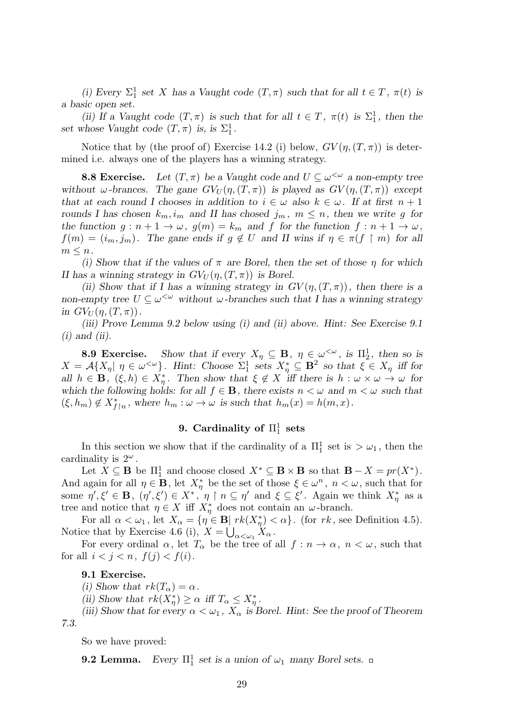(*i*) Every  $\Sigma_1^1$  set *X* has a Vaught code  $(T, \pi)$  such that for all  $t \in T$ ,  $\pi(t)$  is *a basic open set.*

*(ii)* If a Vaught code  $(T, \pi)$  is such that for all  $t \in T$ ,  $\pi(t)$  is  $\Sigma_1^1$ , then the set whose Vaught code  $(T, \pi)$  is, is  $\Sigma_1^1$ .

Notice that by (the proof of) Exercise 14.2 (i) below,  $GV(\eta,(T,\pi))$  is determined i.e. always one of the players has a winning strategy.

**8.8 Exercise.** Let  $(T, \pi)$  be a Vaught code and  $U \subseteq \omega^{\leq \omega}$  a non-empty tree *without*  $\omega$ -brances. The gane  $GV_U(\eta,(T,\pi))$  is played as  $GV(\eta,(T,\pi))$  except *that at each round I chooses in addition to*  $i \in \omega$  also  $k \in \omega$ *. If at first*  $n + 1$ *rounds I has chosen*  $k_m$ ,  $i_m$  and II has chosed  $j_m$ ,  $m \leq n$ , then we write g for *the function*  $g: n+1 \to \omega$ ,  $g(m) = k_m$  and  $f$  for the function  $f: n+1 \to \omega$ ,  $f(m) = (i_m, j_m)$ . The gane ends if  $g \notin U$  and II wins if  $\eta \in \pi(f \restriction m)$  for all  $m \leq n$ .

*(i) Show that if the values of π are Borel, then the set of those η for which II* has a winning strategy in  $GV_U(\eta,(T,\pi))$  is Borel.

*(ii)* Show that if I has a winning strategy in  $GV(\eta,(T,\pi))$ , then there is a *non-empty tree*  $U \subseteq \omega^{\leq \omega}$  without  $\omega$ -branches such that I has a winning strategy *in*  $GV_U(\eta,(T,\pi))$ .

*(iii) Prove Lemma 9.2 below using (i) and (ii) above. Hint: See Exercise 9.1 (i) and (ii).*

**8.9 Exercise.** Show that if every  $X_{\eta} \subseteq \mathbf{B}$ ,  $\eta \in \omega^{\leq \omega}$ , is  $\Pi_2^1$ , then so is  $X = \mathcal{A}\lbrace X_{\eta} | \eta \in \omega^{\leq \omega} \rbrace$ . Hint: Choose  $\Sigma_1^1$  sets  $X_{\eta}^* \subseteq \mathbf{B}^2$  so that  $\xi \in X_{\eta}$  iff for all  $h \in \mathbf{B}$ ,  $(\xi, h) \in X_{\eta}^*$ . Then show that  $\xi \notin X$  iff there is  $h : \omega \times \omega \to \omega$  for *which the following holds: for all*  $f \in \mathbf{B}$ *, there exists*  $n < \omega$  *and*  $m < \omega$  *such that*  $(\xi, h_m) \notin X^*_{f \upharpoonright n}$ , where  $h_m : \omega \to \omega$  is such that  $h_m(x) = h(m, x)$ .

# $9.$  Cardinality of  $\Pi^1_1$  sets

In this section we show that if the cardinality of a  $\Pi_1^1$  set is  $> \omega_1$ , then the cardinality is  $2^{\omega}$ .

Let  $X \subseteq \mathbf{B}$  be  $\Pi_1^1$  and choose closed  $X^* \subseteq \mathbf{B} \times \mathbf{B}$  so that  $\mathbf{B} - X = pr(X^*)$ . And again for all  $\eta \in \mathbf{B}$ , let  $X^*_{\eta}$  be the set of those  $\xi \in \omega^n$ ,  $n < \omega$ , such that for some  $\eta', \xi' \in \mathbf{B}$ ,  $(\eta', \xi') \in X^*$ ,  $\eta \restriction n \subseteq \eta'$  and  $\xi \subseteq \xi'$ . Again we think  $X^*_{\eta}$  as a tree and notice that  $\eta \in X$  iff  $X^*_{\eta}$  does not contain an *ω*-branch.

For all  $\alpha < \omega_1$ , let  $X_\alpha = \{ \eta \in \mathbf{B} | \ rk(X_\eta^*) < \alpha \}.$  (for  $rk$ , see Definition 4.5). Notice that by Exercise 4.6 (i),  $X = \bigcup_{\alpha < \omega_1} X_\alpha$ .

For every ordinal  $\alpha$ , let  $T_{\alpha}$  be the tree of all  $f: n \to \alpha$ ,  $n < \omega$ , such that for all  $i < j < n$ ,  $f(j) < f(i)$ .

# **9.1 Exercise.**

*(i)* Show that  $rk(T_\alpha) = \alpha$ .

(*ii*) Show that  $rk(X_{\eta}^*) \ge \alpha$  *iff*  $T_{\alpha} \le X_{\eta}^*$ .

*(iii) Show that for every*  $\alpha < \omega_1$ ,  $X_\alpha$  *is Borel. Hint: See the proof of Theorem 7.3.*

So we have proved:

**9.2 Lemma.** *Every*  $\Pi_1^1$  *set is a union of*  $\omega_1$  *many Borel sets.*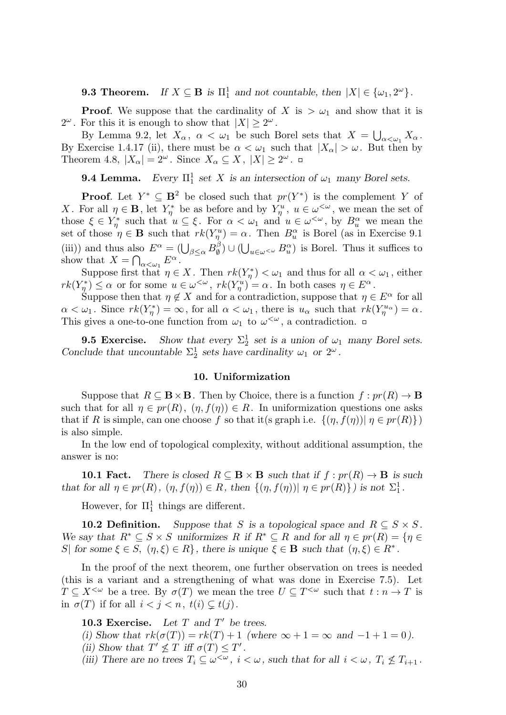**9.3 Theorem.** *If*  $X \subseteq \mathbf{B}$  *is*  $\Pi_1^1$  *and not countable, then*  $|X| \in {\omega_1, 2^{\omega}}$ .

**Proof.** We suppose that the cardinality of *X* is  $> \omega_1$  and show that it is 2<sup> $\omega$ </sup>. For this it is enough to show that  $|X| \geq 2^{\omega}$ .

By Lemma 9.2, let  $X_{\alpha}$ ,  $\alpha < \omega_1$  be such Borel sets that  $X = \bigcup_{\alpha < \omega_1} X_{\alpha}$ . By Exercise 1.4.17 (ii), there must be  $\alpha < \omega_1$  such that  $|X_{\alpha}| > \omega$ . But then by Theorem 4.8,  $|X_{\alpha}| = 2^{\omega}$ . Since  $X_{\alpha} \subseteq X$ ,  $|X| \geq 2^{\omega}$ .

**9.4 Lemma.** *Every*  $\Pi_1^1$  *set X is an intersection of*  $\omega_1$  *many Borel sets.* 

**Proof.** Let  $Y^* \subseteq \mathbf{B}^2$  be closed such that  $pr(Y^*)$  is the complement *Y* of *X*. For all  $\eta \in \mathbf{B}$ , let  $Y_{\eta}^*$  be as before and by  $Y_{\eta}^u$ ,  $u \in \omega^{\langle \omega \rangle}$ , we mean the set of those  $\xi \in Y^*_{\eta}$  such that  $u \subseteq \xi$ . For  $\alpha < \omega_1$  and  $u \in \omega^{\leq \omega}$ , by  $B_u^{\alpha}$  we mean the set of those  $\eta \in \mathbf{B}$  such that  $rk(Y_{\eta}^u) = \alpha$ . Then  $B_u^{\alpha}$  is Borel (as in Exercise 9.1) (iii)) and thus also  $E^{\alpha} = (\bigcup_{\beta \leq \alpha} B^{\beta}_{\emptyset})$  $\binom{β}{0}$  ∪ (∪<sub>*u*∈ω <ω</sub>  $B_u^{\alpha}$ ) is Borel. Thus it suffices to show that  $X = \bigcap_{\alpha < \omega_1} E^{\alpha}$ .

Suppose first that  $\eta \in X$ . Then  $rk(Y_{\eta}^*) < \omega_1$  and thus for all  $\alpha < \omega_1$ , either  $rk(Y_{\eta}^{*}) \leq \alpha$  or for some  $u \in \omega^{\lt \omega}$ ,  $rk(Y_{\eta}^{u}) = \alpha$ . In both cases  $\eta \in E^{\alpha}$ .

Suppose then that  $\eta \notin X$  and for a contradiction, suppose that  $\eta \in E^{\alpha}$  for all  $\alpha < \omega_1$ . Since  $rk(Y^*_{\eta}) = \infty$ , for all  $\alpha < \omega_1$ , there is  $u_{\alpha}$  such that  $rk(Y^{\nu_{\alpha}}_{\eta}) = \alpha$ . This gives a one-to-one function from  $\omega_1$  to  $\omega^{\langle\omega\rangle}$ , a contradiction.

**9.5 Exercise.** Show that every  $\Sigma_2^1$  set is a union of  $\omega_1$  many Borel sets. *Conclude that uncountable*  $\Sigma_2^1$  sets have cardinality  $\omega_1$  or  $2^{\omega}$ .

# **10. Uniformization**

Suppose that  $R \subseteq \mathbf{B} \times \mathbf{B}$ . Then by Choice, there is a function  $f : pr(R) \to \mathbf{B}$ such that for all  $\eta \in pr(R)$ ,  $(\eta, f(\eta)) \in R$ . In uniformization questions one asks that if *R* is simple, can one choose *f* so that it(s graph i.e.  $\{(\eta, f(\eta)) | \eta \in pr(R)\}\$ ) is also simple.

In the low end of topological complexity, without additional assumption, the answer is no:

**10.1 Fact.** There is closed  $R \subseteq \mathbf{B} \times \mathbf{B}$  such that if  $f : pr(R) \to \mathbf{B}$  is such that for all  $\eta \in pr(R)$ ,  $(\eta, f(\eta)) \in R$ , then  $\{(\eta, f(\eta)) | \eta \in pr(R)\}$  is not  $\Sigma_1^1$ .

However, for  $\Pi_1^1$  things are different.

**10.2 Definition.** Suppose that *S* is a topological space and  $R \subseteq S \times S$ . We say that  $R^* \subseteq S \times S$  uniformizes R if  $R^* \subseteq R$  and for all  $\eta \in pr(R) = \{ \eta \in R \}$ *S*<sup> $|$ </sup> *for some*  $\xi \in S$ *,*  $(\eta, \xi) \in R$ <sup>*}*</sup>*, there is unique*  $\xi \in \mathbf{B}$  *such that*  $(\eta, \xi) \in R^*$ .

In the proof of the next theorem, one further observation on trees is needed (this is a variant and a strengthening of what was done in Exercise 7.5). Let  $T \subseteq X^{\leq \omega}$  be a tree. By  $\sigma(T)$  we mean the tree  $U \subseteq T^{\leq \omega}$  such that  $t : n \to T$  is in  $\sigma(T)$  if for all  $i < j < n$ ,  $t(i) \subsetneq t(j)$ .

**10.3 Exercise.** *Let T and T ′ be trees.*

- (i) Show that  $rk(\sigma(T)) = rk(T) + 1$  (where  $\infty + 1 = \infty$  and  $-1 + 1 = 0$ ).
- (*ii*) Show that  $T' \nleq T$  *iff*  $\sigma(T) \leq T'$ .

*(iii)* There are no trees  $T_i \subseteq \omega^{\leq \omega}$ ,  $i < \omega$ , such that for all  $i < \omega$ ,  $T_i \nleq T_{i+1}$ .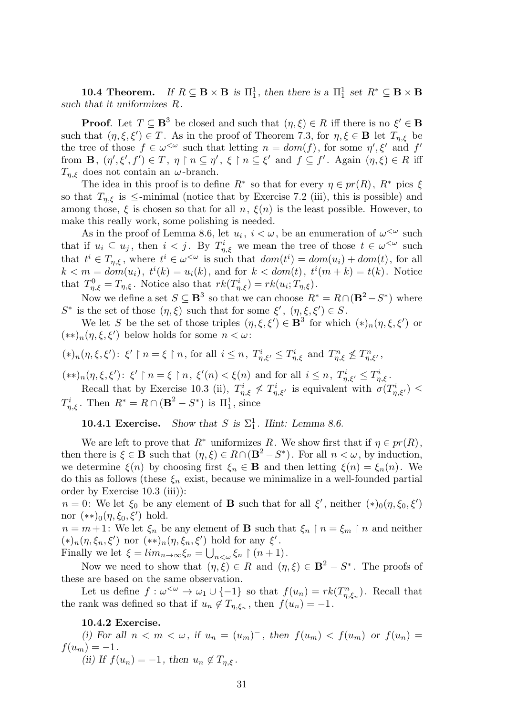**10.4 Theorem.** *If*  $R \subseteq \mathbf{B} \times \mathbf{B}$  *is*  $\Pi_1^1$ *, then there is a*  $\Pi_1^1$  *set*  $R^* \subseteq \mathbf{B} \times \mathbf{B}$ *such that it uniformizes R.*

**Proof**. Let  $T \subseteq \mathbf{B}^3$  be closed and such that  $(\eta, \xi) \in R$  iff there is no  $\xi' \in \mathbf{B}$ such that  $(\eta, \xi, \xi') \in T$ . As in the proof of Theorem 7.3, for  $\eta, \xi \in \mathbf{B}$  let  $T_{\eta, \xi}$  be the tree of those  $f \in \omega^{\leq \omega}$  such that letting  $n = dom(f)$ , for some  $\eta', \xi'$  and  $f'$ from  $\mathbf{B}, \ (\eta', \xi', f') \in T, \ \eta \restriction n \subseteq \eta', \ \xi \restriction n \subseteq \xi' \text{ and } f \subseteq f'. \text{ Again } (\eta, \xi) \in R \text{ iff }$ *T*<sub>*n,ξ*</sub> does not contain an *ω*-branch.

The idea in this proof is to define  $R^*$  so that for every  $\eta \in pr(R)$ ,  $R^*$  pics  $\xi$ so that  $T_{\eta,\xi}$  is  $\leq$ -minimal (notice that by Exercise 7.2 (iii), this is possible) and among those,  $\xi$  is chosen so that for all  $n$ ,  $\xi(n)$  is the least possible. However, to make this really work, some polishing is needed.

As in the proof of Lemma 8.6, let  $u_i$ ,  $i < \omega$ , be an enumeration of  $\omega^{\langle \omega \rangle}$  such that if  $u_i \subseteq u_j$ , then  $i < j$ . By  $T^i_{\eta,\xi}$  we mean the tree of those  $t \in \omega^{\leq \omega}$  such that  $t^i \in T_{\eta,\xi}$ , where  $t^i \in \omega^{\langle \omega \rangle}$  is such that  $dom(t^i) = dom(u_i) + dom(t)$ , for all  $k < m = dom(u_i), t^i(k) = u_i(k),$  and for  $k < dom(t), t^i(m + k) = t(k)$ . Notice that  $T_{\eta,\xi}^0 = T_{\eta,\xi}$ . Notice also that  $rk(T_{\eta,\xi}^i) = rk(u_i; T_{\eta,\xi})$ .

Now we define a set  $S \subseteq \mathbf{B}^3$  so that we can choose  $R^* = R \cap (\mathbf{B}^2 - S^*)$  where *S*<sup>\*</sup> is the set of those  $(η, ξ)$  such that for some  $ξ'$ ,  $(η, ξ, ξ') ∈ S$ .

We let *S* be the set of those triples  $(\eta, \xi, \xi') \in \mathbf{B}^3$  for which  $(*)_n(\eta, \xi, \xi')$  or (*∗∗*)*n*(*η, ξ, ξ′* ) below holds for some *n < ω*:

$$
(*)_n(\eta,\xi,\xi')\colon\ \xi'\restriction n=\xi\restriction n,\ \text{for all}\ \ i\leq n,\ T^i_{\eta,\xi'}\leq T^i_{\eta,\xi}\ \text{and}\ T^n_{\eta,\xi}\nleq T^n_{\eta,\xi'},
$$

 $(**)_n(\eta,\xi,\xi')\colon \xi' \upharpoonright n=\xi \upharpoonright n, \xi'(n)<\xi(n)$  and for all  $i \leq n, T^i_{\eta,\xi'} \leq T^i_{\eta,\xi}.$ 

Recall that by Exercise 10.3 (ii),  $T_{\eta,\xi}^i \nleq T_{\eta,\xi'}^i$  is equivalent with  $\sigma(T_{\eta,\xi'}^i) \leq$ *T*<sup>*i*</sup><sub>*n*</sub>, $\xi$ </sub>. Then  $R^* = R \cap (\mathbf{B}^2 - S^*)$  is  $\Pi_1^1$ , since

**10.4.1 Exercise.** *Show that S* is  $\Sigma_1^1$ *. Hint: Lemma 8.6.* 

We are left to prove that  $R^*$  uniformizes  $R$ . We show first that if  $\eta \in pr(R)$ , then there is  $\xi \in \mathbf{B}$  such that  $(\eta, \xi) \in R \cap (\mathbf{B}^2 - S^*)$ . For all  $n < \omega$ , by induction, we determine  $\xi(n)$  by choosing first  $\xi_n \in \mathbf{B}$  and then letting  $\xi(n) = \xi_n(n)$ . We do this as follows (these  $\xi_n$  exist, because we minimalize in a well-founded partial order by Exercise 10.3 (iii)):

*n* = 0: We let  $\xi_0$  be any element of **B** such that for all  $\xi'$ , neither  $(*)_{0}(\eta, \xi_0, \xi')$ nor (*∗∗*)0(*η, ξ*0*, ξ′* ) hold.

 $n = m + 1$ : We let  $\xi_n$  be any element of **B** such that  $\xi_n \restriction n = \xi_m \restriction n$  and neither  $(\ast)_n(\eta, \xi_n, \xi')$  nor  $(\ast \ast)_n(\eta, \xi_n, \xi')$  hold for any  $\xi'$ .

Finally we let  $\xi = \lim_{n \to \infty} \xi_n = \bigcup_{n < \omega} \xi_n \restriction (n+1)$ .

Now we need to show that  $(\eta, \xi) \in R$  and  $(\eta, \xi) \in \mathbf{B}^2 - S^*$ . The proofs of these are based on the same observation.

Let us define  $f: \omega^{\leq \omega} \to \omega_1 \cup \{-1\}$  so that  $f(u_n) = rk(T^n_{\eta,\xi_n})$ . Recall that the rank was defined so that if  $u_n \notin T_{\eta,\xi_n}$ , then  $f(u_n) = -1$ .

**10.4.2 Exercise.**

(i) For all  $n < m < \omega$ , if  $u_n = (u_m)^-$ , then  $f(u_m) < f(u_m)$  or  $f(u_n) =$  $f(u_m) = -1$ . *(ii)* If  $f(u_n) = -1$ , then  $u_n \notin T_{n,\xi}$ .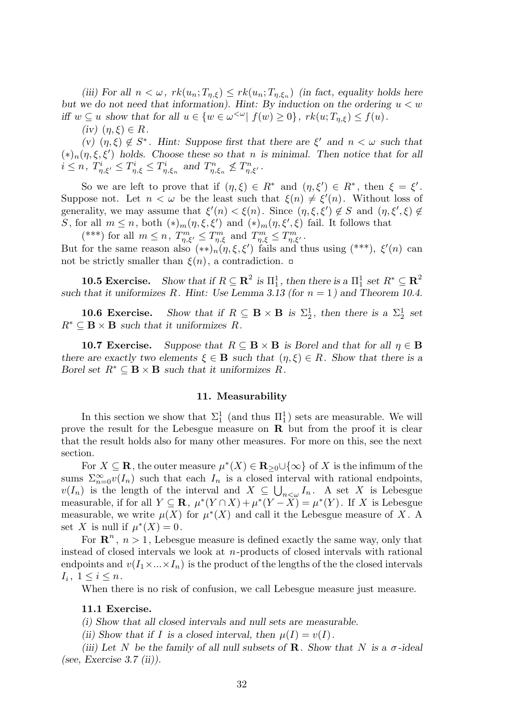(*iii*) For all  $n < \omega$ ,  $rk(u_n; T_{\eta,\xi}) \leq rk(u_n; T_{\eta,\xi_n})$  (*in fact, equality holds here but we do not need that information). Hint: By induction on the ordering u < w* iff  $w \subseteq u$  show that for all  $u \in \{w \in \omega^{\leq \omega} | f(w) \geq 0\}$ ,  $rk(u; T_{\eta,\xi}) \leq f(u)$ .

 $(iv)$   $(\eta, \xi) \in R$ *.* 

 $(v)$   $(\eta, \xi) \notin S^*$ . Hint: Suppose first that there are  $\xi'$  and  $n < \omega$  such that  $(*)_n(\eta, \xi, \xi')$  holds. Choose these so that *n* is minimal. Then notice that for all  $i \leq n$ ,  $T^i_{\eta,\xi'} \leq T^i_{\eta,\xi} \leq T^i_{\eta,\xi_n}$  and  $T^n_{\eta,\xi_n} \nleq T^n_{\eta,\xi'}$ .

So we are left to prove that if  $(\eta, \xi) \in R^*$  and  $(\eta, \xi') \in R^*$ , then  $\xi = \xi'$ . Suppose not. Let  $n < \omega$  be the least such that  $\xi(n) \neq \xi'(n)$ . Without loss of generality, we may assume that  $\xi'(n) < \xi(n)$ . Since  $(\eta, \xi, \xi') \notin S$  and  $(\eta, \xi', \xi) \notin$ *S*, for all  $m \leq n$ , both  $(*)_{m}(\eta, \xi, \xi')$  and  $(*)_{m}(\eta, \xi', \xi)$  fail. It follows that

 $(\lambda^{***})$  for all  $m \leq n$ ,  $T_{\eta,\xi'}^m \leq T_{\eta,\xi}^m$  and  $T_{\eta,\xi}^m \leq T_{\eta,\xi'}^m$ .

But for the same reason also  $(**)_n(\eta, \xi, \xi')$  fails and thus using  $(***), \xi'(n)$  can not be strictly smaller than  $\xi(n)$ , a contradiction.  $\Box$ 

**10.5 Exercise.** Show that if  $R \subseteq \mathbb{R}^2$  is  $\Pi_1^1$ , then there is a  $\Pi_1^1$  set  $R^* \subseteq \mathbb{R}^2$ such that it uniformizes  $R$ *. Hint: Use Lemma 3.13 (for*  $n = 1$ ) and Theorem 10.4.

**10.6 Exercise.** *Show that if*  $R \subseteq \mathbf{B} \times \mathbf{B}$  *is*  $\Sigma_2^1$ *, then there is a*  $\Sigma_2^1$  *set*  $R^* \subseteq \mathbf{B} \times \mathbf{B}$  *such that it uniformizes*  $R$ *.* 

**10.7 Exercise.** *Suppose that*  $R \subseteq \mathbf{B} \times \mathbf{B}$  *is Borel and that for all*  $\eta \in \mathbf{B}$ *there are exactly two elements*  $\xi \in \mathbf{B}$  *such that*  $(\eta, \xi) \in R$ *. Show that there is a Borel set*  $R^* \subseteq B \times B$  *such that it uniformizes*  $R$ *.* 

# **11. Measurability**

In this section we show that  $\Sigma_1^1$  (and thus  $\Pi_1^1$ ) sets are measurable. We will prove the result for the Lebesgue measure on **R** but from the proof it is clear that the result holds also for many other measures. For more on this, see the next section.

For  $X \subseteq \mathbf{R}$ , the outer measure  $\mu^*(X) \in \mathbf{R}_{\geq 0} \cup \{\infty\}$  of  $X$  is the infimum of the sums  $\sum_{n=0}^{\infty} v(I_n)$  such that each  $I_n$  is a closed interval with rational endpoints,  $v(I_n)$  is the length of the interval and  $X \subseteq \bigcup_{n<\omega} I_n$ . A set *X* is Lebesgue measurable, if for all  $Y \subseteq \mathbf{R}$ ,  $\mu^*(Y \cap X) + \mu^*(Y - X) = \mu^*(Y)$ . If X is Lebesgue measurable, we write  $\mu(X)$  for  $\mu^*(X)$  and call it the Lebesgue measure of X. A set *X* is null if  $\mu^*(X) = 0$ .

For  $\mathbb{R}^n$ ,  $n > 1$ , Lebesgue measure is defined exactly the same way, only that instead of closed intervals we look at *n*-products of closed intervals with rational endpoints and  $v(I_1 \times \ldots \times I_n)$  is the product of the lengths of the the closed intervals  $I_i, 1 \leq i \leq n$ .

When there is no risk of confusion, we call Lebesgue measure just measure.

# **11.1 Exercise.**

*(i) Show that all closed intervals and null sets are measurable.*

*(ii)* Show that if *I* is a closed interval, then  $\mu(I) = \nu(I)$ .

*(iii) Let N be the family of all null subsets of* **R***. Show that N is a σ-ideal (see, Exercise 3.7 (ii)).*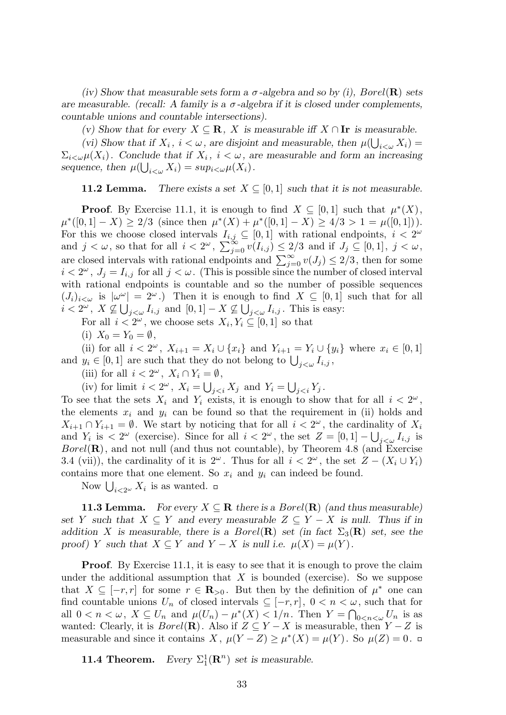*(iv) Show that measurable sets form a σ-algebra and so by (i), Borel*(**R**) *sets are measurable. (recall: A family is a*  $\sigma$ *-algebra if it is closed under complements, countable unions and countable intersections).*

*(v)* Show that for every  $X \subseteq \mathbb{R}$ , *X* is measurable iff  $X \cap \mathbb{I}$  is measurable.

(vi) Show that if  $X_i$ ,  $i < \omega$ , are disjoint and measurable, then  $\mu(\bigcup_{i<\omega} X_i)$  =  $\Sigma_{i\lt\omega}\mu(X_i)$ . Conclude that if  $X_i$ ,  $i<\omega$ , are measurable and form an increasing *sequence, then*  $\mu(\bigcup_{i<\omega} X_i) = \sup_{i<\omega} \mu(X_i)$ .

**11.2 Lemma.** *There exists a set*  $X \subseteq [0,1]$  *such that it is not measurable.* 

**Proof**. By Exercise 11.1, it is enough to find  $X \subseteq [0,1]$  such that  $\mu^*(X)$ ,  $\mu^*([0,1]-X) \geq 2/3$  (since then  $\mu^*(X) + \mu^*([0,1]-X) \geq 4/3 > 1 = \mu([0,1])$ ). For this we choose closed intervals  $I_{i,j} \subseteq [0,1]$  with rational endpoints,  $i < 2^{\omega}$ and  $j < \omega$ , so that for all  $i < 2^{\omega}$ ,  $\sum_{j=0}^{\infty} v(I_{i,j}) \leq 2/3$  and if  $J_j \subseteq [0,1]$ ,  $j < \omega$ , are closed intervals with rational endpoints and  $\sum_{j=0}^{\infty} v(J_j) \leq 2/3$ , then for some  $i < 2^{\omega}$ ,  $J_j = I_{i,j}$  for all  $j < \omega$ . (This is possible since the number of closed interval with rational endpoints is countable and so the number of possible sequences  $(J_i)_{i<\omega}$  is  $|\omega^{\omega}| = 2^{\omega}$ .) Then it is enough to find  $X \subseteq [0,1]$  such that for all  $i < 2^{\omega}$ ,  $X \not\subseteq \bigcup_{j < \omega} I_{i,j}$  and  $[0, 1] - X \not\subseteq \bigcup_{j < \omega} I_{i,j}$ . This is easy:

For all  $i < 2^{\omega}$ , we choose sets  $X_i, Y_i \subseteq [0, 1]$  so that

(i)  $X_0 = Y_0 = \emptyset$ ,

(ii) for all  $i < 2^{\omega}$ ,  $X_{i+1} = X_i \cup \{x_i\}$  and  $Y_{i+1} = Y_i \cup \{y_i\}$  where  $x_i \in [0,1]$ and  $y_i \in [0,1]$  are such that they do not belong to  $\bigcup_{j < \omega} I_{i,j}$ ,

(iii) for all  $i < 2^{\omega}$ ,  $X_i \cap Y_i = \emptyset$ ,

(iv) for limit  $i < 2^{\omega}$ ,  $X_i = \bigcup_{j < i} X_j$  and  $Y_i = \bigcup_{j < i} Y_j$ .

To see that the sets  $X_i$  and  $Y_i$  exists, it is enough to show that for all  $i < 2^{\omega}$ , the elements  $x_i$  and  $y_i$  can be found so that the requirement in (ii) holds and *X*<sub>*i*+1</sub> ∩ *Y*<sub>*i*+1</sub> =  $\emptyset$ . We start by noticing that for all *i* <  $2^{\omega}$ , the cardinality of *X<sub>i</sub>* and *Y<sub>i</sub>* is  $\langle 2^{\omega} \rangle$  (exercise). Since for all  $i \langle 2^{\omega} \rangle$ , the set  $Z = [0, 1] - \bigcup_{j \langle \omega} I_{i,j}$  is *Borel*(**R**), and not null (and thus not countable), by Theorem 4.8 (and Exercise 3.4 (vii)), the cardinality of it is  $2^{\omega}$ . Thus for all  $i < 2^{\omega}$ , the set  $Z - (X_i \cup Y_i)$ contains more that one element. So  $x_i$  and  $y_i$  can indeed be found.

Now  $\bigcup_{i<2^{\omega}} X_i$  is as wanted.

**11.3 Lemma.** *For every*  $X \subseteq \mathbb{R}$  *there is a Borel*( $\mathbb{R}$ ) *(and thus measurable) set Y such that*  $X \subseteq Y$  *and every measurable*  $Z \subseteq Y - X$  *is null. Thus if in addition X is measurable, there is a Borel*(**R**) *set (in fact*  $\Sigma_3(\mathbf{R})$  *set, see the proof*) *Y such that*  $X \subseteq Y$  *and*  $Y - X$  *is null i.e.*  $\mu(X) = \mu(Y)$ .

**Proof.** By Exercise 11.1, it is easy to see that it is enough to prove the claim under the additional assumption that  $X$  is bounded (exercise). So we suppose that  $X \subseteq [-r, r]$  for some  $r \in \mathbb{R}_{>0}$ . But then by the definition of  $\mu^*$  one can find countable unions  $U_n$  of closed intervals  $\subseteq [-r, r]$ ,  $0 < n < \omega$ , such that for all  $0 < n < \omega$ ,  $X \subseteq U_n$  and  $\mu(U_n) - \mu^*(X) < 1/n$ . Then  $Y = \bigcap_{0 \le n < \omega} U_n$  is as wanted: Clearly, it is  $Borel(\mathbf{R})$ . Also if  $Z \subseteq Y - X$  is measurable, then  $Y - Z$  is measurable and since it contains *X*,  $\mu(Y - Z) \ge \mu^*(X) = \mu(Y)$ . So  $\mu(Z) = 0$ .

**11.4 Theorem.** *Every*  $\Sigma_1^1(\mathbf{R}^n)$  *set is measurable.*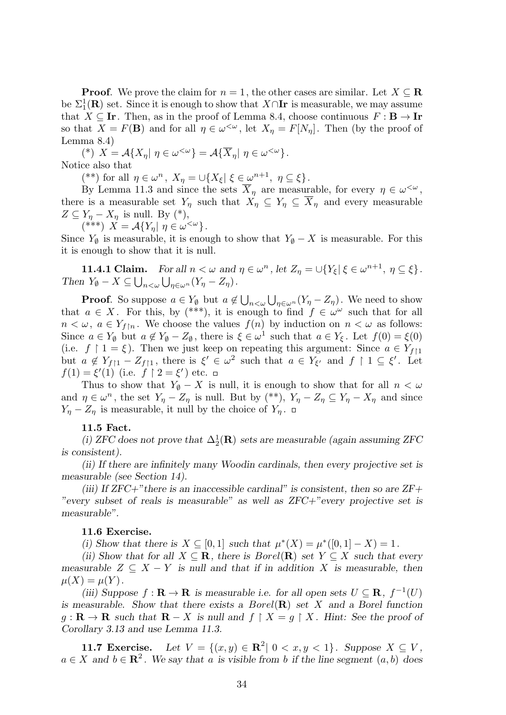**Proof**. We prove the claim for  $n = 1$ , the other cases are similar. Let  $X \subseteq \mathbb{R}$ be  $\Sigma_1^1(\mathbf{R})$  set. Since it is enough to show that  $X \cap \mathbf{I}$  is measurable, we may assume that  $X \subseteq \mathbf{Ir}$ . Then, as in the proof of Lemma 8.4, choose continuous  $F : \mathbf{B} \to \mathbf{Ir}$ so that  $X = F(B)$  and for all  $\eta \in \omega^{\leq \omega}$ , let  $X_{\eta} = F[N_{\eta}]$ . Then (by the proof of Lemma 8.4)

 $(X^*)$   $X = \mathcal{A}\{X_\eta | \eta \in \omega^{\langle \omega \rangle}\} = \mathcal{A}\{\overline{X}_\eta | \eta \in \omega^{\langle \omega \rangle}\}.$ Notice also that

 $(*^*)$  for all  $\eta \in \omega^n$ ,  $X_{\eta} = \cup \{X_{\xi} | \xi \in \omega^{n+1}, \eta \subseteq \xi\}.$ 

By Lemma 11.3 and since the sets  $\overline{X}_{\eta}$  are measurable, for every  $\eta \in \omega^{\leq \omega}$ , there is a measurable set  $Y_\eta$  such that  $X_\eta \subseteq Y_\eta \subseteq \overline{X}_\eta$  and every measurable  $Z \subseteq Y_\eta - X_\eta$  is null. By (\*),

$$
(***) X = \mathcal{A}\{Y_{\eta} | \eta \in \omega^{<\omega}\}.
$$

Since  $Y_{\emptyset}$  is measurable, it is enough to show that  $Y_{\emptyset} - X$  is measurable. For this it is enough to show that it is null.

**11.4.1 Claim.** For all  $n < \omega$  and  $\eta \in \omega^n$ , let  $Z_{\eta} = \bigcup \{Y_{\xi} | \xi \in \omega^{n+1}, \eta \subseteq \xi\}.$ *Then*  $Y_{\emptyset} - X \subseteq \bigcup_{n < \omega} \bigcup_{\eta \in \omega^n} (Y_{\eta} - Z_{\eta}).$ 

**Proof**. So suppose  $a \in Y_\emptyset$  but  $a \notin \bigcup_{n \leq \omega} \bigcup_{\eta \in \omega^n} (Y_\eta - Z_\eta)$ . We need to show that  $a \in X$ . For this, by (\*\*\*), it is enough to find  $f \in \omega^{\omega}$  such that for all  $n < \omega$ ,  $a \in Y_{f \upharpoonright n}$ . We choose the values  $f(n)$  by induction on  $n < \omega$  as follows: Since  $a \in Y_\emptyset$  but  $a \notin Y_\emptyset - Z_\emptyset$ , there is  $\xi \in \omega^1$  such that  $a \in Y_\xi$ . Let  $f(0) = \xi(0)$ (i.e.  $f \upharpoonright 1 = \xi$ ). Then we just keep on repeating this argument: Since  $a \in Y_{f \upharpoonright 1}$ but  $a \notin Y_{f\upharpoonright 1} - Z_{f\upharpoonright 1}$ , there is  $\xi' \in \omega^2$  such that  $a \in Y_{\xi'}$  and  $f \upharpoonright 1 \subseteq \xi'$ . Let  $f(1) = \xi'(1)$  (i.e.  $f \upharpoonright 2 = \xi'$ ) etc.

Thus to show that  $Y_{\emptyset} - X$  is null, it is enough to show that for all  $n < \omega$ and  $\eta \in \omega^n$ , the set  $Y_\eta - Z_\eta$  is null. But by (\*\*),  $Y_\eta - Z_\eta \subseteq Y_\eta - X_\eta$  and since *Y*<sup>*η*</sup> − *Z*<sup>*η*</sup> is measurable, it null by the choice of *Y*<sup>*n*</sup>. □

# **11.5 Fact.**

(*i*) *ZFC* does not prove that  $\Delta_2^1(\mathbf{R})$  sets are measurable (again assuming *ZFC is consistent).*

*(ii) If there are infinitely many Woodin cardinals, then every projective set is measurable (see Section 14).*

*(iii) If ZFC+"there is an inaccessible cardinal" is consistent, then so are ZF+ "every subset of reals is measurable" as well as ZFC+"every projective set is measurable".*

# **11.6 Exercise.**

*(i)* Show that there is  $X \subseteq [0,1]$  such that  $\mu^*(X) = \mu^*([0,1] - X) = 1$ .

*(ii)* Show that for all  $X \subseteq \mathbf{R}$ , there is  $Borel(\mathbf{R})$  set  $Y \subseteq X$  such that every *measurable*  $Z \subseteq X - Y$  *is null and that if in addition* X *is measurable, then*  $\mu(X) = \mu(Y)$ .

*(iii)* Suppose  $f: \mathbf{R} \to \mathbf{R}$  *is measurable i.e. for all open sets*  $U \subseteq \mathbf{R}$ *,*  $f^{-1}(U)$ *is measurable. Show that there exists a Borel*(**R**) *set X and a Borel function g* : **R** → **R** such that **R** − *X* is null and  $f \upharpoonright X = g \upharpoonright X$ . Hint: See the proof of *Corollary 3.13 and use Lemma 11.3.*

**11.7 Exercise.** Let  $V = \{(x, y) \in \mathbb{R}^2 | 0 < x, y < 1\}$ . Suppose  $X \subseteq V$ ,  $a \in X$  and  $b \in \mathbb{R}^2$ . We say that *a* is visible from *b* if the line segment  $(a, b)$  does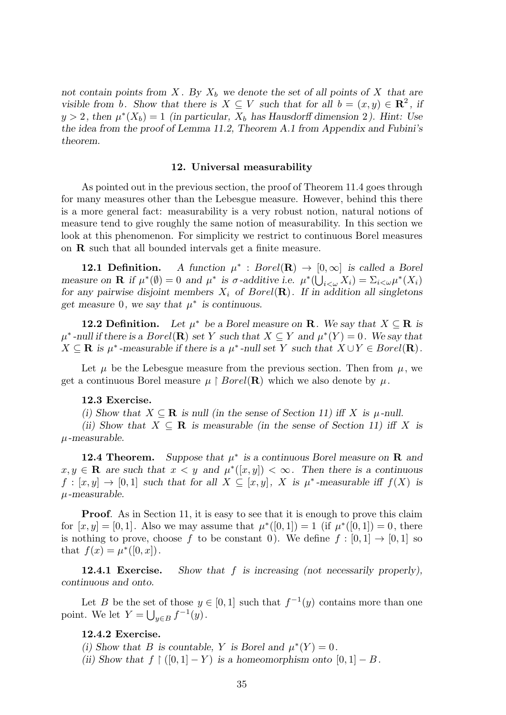*not contain points from X . By X<sup>b</sup> we denote the set of all points of X that are visible from b. Show that there is*  $X \subseteq V$  *such that for all*  $b = (x, y) \in \mathbb{R}^2$ , *if*  $y > 2$ , then  $\mu^*(X_b) = 1$  *(in particular,*  $X_b$  *has Hausdorff dimension* 2*). Hint: Use the idea from the proof of Lemma 11.2, Theorem A.1 from Appendix and Fubini's theorem.*

#### **12. Universal measurability**

As pointed out in the previous section, the proof of Theorem 11.4 goes through for many measures other than the Lebesgue measure. However, behind this there is a more general fact: measurability is a very robust notion, natural notions of measure tend to give roughly the same notion of measurability. In this section we look at this phenomenon. For simplicity we restrict to continuous Borel measures on **R** such that all bounded intervals get a finite measure.

**12.1 Definition.** *∗* : *Borel*(**R**) *→* [0*, ∞*] *is called a Borel* measure on **R** if  $\mu^*(\emptyset) = 0$  and  $\mu^*$  is  $\sigma$ -additive i.e.  $\mu^*(\bigcup_{i < \omega} X_i) = \sum_{i < \omega} \mu^*(X_i)$ *for any pairwise disjoint members*  $X_i$  *of Borel*( $\mathbb{R}$ ). If in addition all singletons *get measure* 0*, we say that*  $\mu^*$  *is continuous.* 

**12.2 Definition.** Let  $\mu^*$  be a Borel measure on **R**. We say that  $X \subseteq \mathbb{R}$  is  $\mu^*$ -null if there is a *Borel*(**R**) set Y such that  $X \subseteq Y$  and  $\mu^*(Y) = 0$ . We say that  $X \subseteq \mathbf{R}$  is  $\mu^*$ -measurable if there is a  $\mu^*$ -null set  $Y$  such that  $X \cup Y \in Borel(\mathbf{R})$ .

Let  $\mu$  be the Lebesgue measure from the previous section. Then from  $\mu$ , we get a continuous Borel measure  $\mu \restriction Borel(\mathbf{R})$  which we also denote by  $\mu$ .

# **12.3 Exercise.**

*(i)* Show that  $X \subseteq \mathbb{R}$  *is null (in the sense of Section 11) iff*  $X$  *is*  $\mu$ *-null.* 

*(ii)* Show that  $X \subseteq \mathbb{R}$  *is measurable (in the sense of Section 11) iff X is µ-measurable.*

**12.4 Theorem.** Suppose that  $\mu^*$  is a continuous Borel measure on **R** and  $x, y \in \mathbf{R}$  are such that  $x < y$  and  $\mu^*(x, y) < \infty$ . Then there is a continuous  $f: [x, y] \to [0, 1]$  *such that for all*  $X \subseteq [x, y]$ *,*  $X$  *is*  $\mu^*$ -measurable iff  $f(X)$  *is µ-measurable.*

**Proof.** As in Section 11, it is easy to see that it is enough to prove this claim for  $[x, y] = [0, 1]$ . Also we may assume that  $\mu^*([0, 1]) = 1$  (if  $\mu^*([0, 1]) = 0$ , there is nothing to prove, choose f to be constant 0). We define  $f : [0,1] \rightarrow [0,1]$  so that  $f(x) = \mu^*([0, x])$ .

**12.4.1 Exercise.** *Show that f is increasing (not necessarily properly), continuous and onto.*

Let *B* be the set of those  $y \in [0,1]$  such that  $f^{-1}(y)$  contains more than one point. We let  $Y = \bigcup_{y \in B} f^{-1}(y)$ .

# **12.4.2 Exercise.**

- *(i)* Show that *B* is countable, *Y* is Borel and  $\mu^*(Y) = 0$ .
- *(ii)* Show that  $f \restriction (0,1] Y$  is a homeomorphism onto  $[0,1] B$ .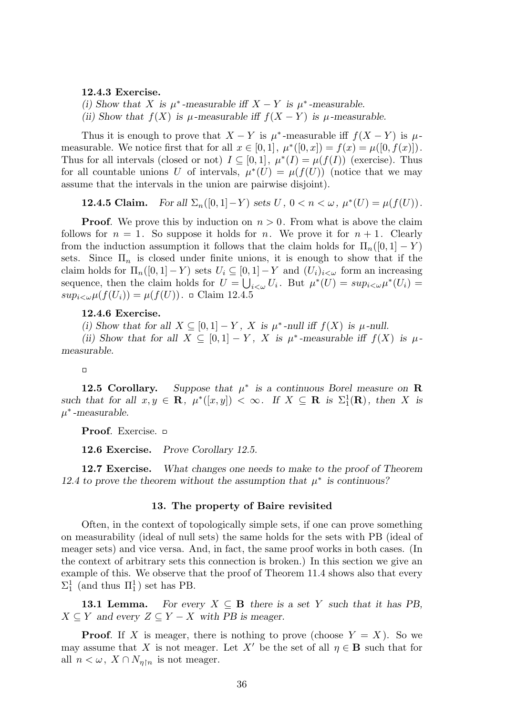#### **12.4.3 Exercise.**

*(i)* Show that *X* is  $\mu^*$ -measurable iff  $X - Y$  is  $\mu^*$ -measurable.

*(ii)* Show that  $f(X)$  is  $\mu$ -measurable iff  $f(X - Y)$  is  $\mu$ -measurable.

Thus it is enough to prove that  $X - Y$  is  $\mu^*$ -measurable iff  $f(X - Y)$  is  $\mu$ measurable. We notice first that for all  $x \in [0,1]$ ,  $\mu^*([0,x]) = f(x) = \mu([0, f(x)])$ . Thus for all intervals (closed or not)  $I \subseteq [0,1]$ ,  $\mu^*(I) = \mu(f(I))$  (exercise). Thus for all countable unions *U* of intervals,  $\mu^*(U) = \mu(f(U))$  (notice that we may assume that the intervals in the union are pairwise disjoint).

**12.4.5 Claim.** For all  $\Sigma_n([0,1]-Y)$  sets  $U, 0 < n < \omega, \mu^*(U) = \mu(f(U))$ .

**Proof.** We prove this by induction on  $n > 0$ . From what is above the claim follows for  $n = 1$ . So suppose it holds for *n*. We prove it for  $n + 1$ . Clearly from the induction assumption it follows that the claim holds for  $\Pi_n([0,1]-Y)$ sets. Since  $\Pi_n$  is closed under finite unions, it is enough to show that if the claim holds for  $\Pi_n([0,1]-Y)$  sets  $U_i \subseteq [0,1]-Y$  and  $(U_i)_{i<\omega}$  form an increasing sequence, then the claim holds for  $U = \bigcup_{i < \omega} U_i$ . But  $\mu^*(U) = \sup_{i < \omega} \mu^*(U_i) =$  $sup_{i < \omega} \mu(f(U_i)) = \mu(f(U))$ . Claim 12.4.5

# **12.4.6 Exercise.**

*(i)* Show that for all  $X \subseteq [0,1] - Y$ , X is  $\mu^*$ -null iff  $f(X)$  is  $\mu$ -null.

*(ii)* Show that for all  $X \subseteq [0,1] - Y$ , X is  $\mu^*$ -measurable iff  $f(X)$  is  $\mu$ *measurable.*

#### $\Box$

**12.5 Corollary.** Suppose that  $\mu^*$  is a continuous Borel measure on **R** *such that for all*  $x, y \in \mathbb{R}$ ,  $\mu^*([x, y]) < \infty$ . If  $X \subseteq \mathbb{R}$  is  $\Sigma_1^1(\mathbb{R})$ , then X is *µ ∗ -measurable.*

**Proof**. Exercise.

**12.6 Exercise.** *Prove Corollary 12.5.*

**12.7 Exercise.** *What changes one needs to make to the proof of Theorem 12.4 to prove the theorem without the assumption that*  $\mu^*$  is continuous?

# **13. The property of Baire revisited**

Often, in the context of topologically simple sets, if one can prove something on measurability (ideal of null sets) the same holds for the sets with PB (ideal of meager sets) and vice versa. And, in fact, the same proof works in both cases. (In the context of arbitrary sets this connection is broken.) In this section we give an example of this. We observe that the proof of Theorem 11.4 shows also that every  $\Sigma_1^1$  (and thus  $\Pi_1^1$ ) set has PB.

**13.1 Lemma.** For every  $X \subseteq B$  there is a set Y such that it has PB,  $X \subseteq Y$  *and every*  $Z \subseteq Y - X$  *with PB is meager.* 

**Proof.** If *X* is meager, there is nothing to prove (choose  $Y = X$ ). So we may assume that *X* is not meager. Let *X'* be the set of all  $\eta \in \mathbf{B}$  such that for all  $n < \omega$ ,  $X \cap N_{\eta \upharpoonright n}$  is not meager.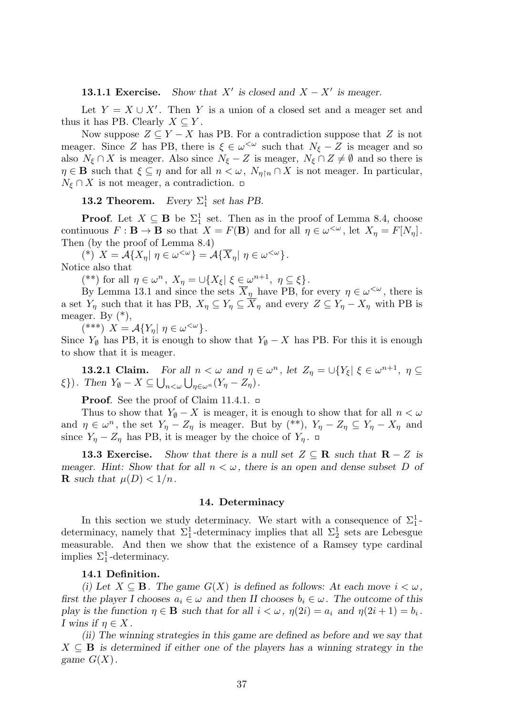**13.1.1 Exercise.** *is closed and*  $X - X'$  *is meager.* 

Let  $Y = X \cup X'$ . Then Y is a union of a closed set and a meager set and thus it has PB. Clearly  $X \subseteq Y$ .

Now suppose  $Z \subseteq Y - X$  has PB. For a contradiction suppose that  $Z$  is not meager. Since *Z* has PB, there is  $\xi \in \omega^{\leq \omega}$  such that  $N_{\xi} - Z$  is meager and so also  $N_{\xi} \cap X$  is meager. Also since  $N_{\xi} - Z$  is meager,  $N_{\xi} \cap Z \neq \emptyset$  and so there is  $\eta \in \mathbf{B}$  such that  $\xi \subseteq \eta$  and for all  $n < \omega$ ,  $N_{\eta \upharpoonright n} \cap X$  is not meager. In particular,  $N_{\xi} \cap X$  is not meager, a contradiction.  $\Box$ 

**13.2 Theorem.** *Every*  $\Sigma_1^1$  *set has PB.* 

**Proof.** Let  $X \subseteq \mathbf{B}$  be  $\Sigma_1^1$  set. Then as in the proof of Lemma 8.4, choose continuous  $F: \mathbf{B} \to \mathbf{B}$  so that  $X = F(\mathbf{B})$  and for all  $\eta \in \omega^{\langle \omega \rangle}$ , let  $X_{\eta} = F[N_{\eta}]$ . Then (by the proof of Lemma 8.4)

 $(X^*)$   $X = \mathcal{A}\{X_\eta | \eta \in \omega^{\langle \omega \rangle}\} = \mathcal{A}\{\overline{X}_\eta | \eta \in \omega^{\langle \omega \rangle}\}.$ Notice also that

 $(*^*)$  for all  $\eta \in \omega^n$ ,  $X_{\eta} = \cup \{X_{\xi} | \xi \in \omega^{n+1}, \eta \subseteq \xi\}.$ 

By Lemma 13.1 and since the sets  $\overline{X}_{\eta}$  have PB, for every  $\eta \in \omega^{\leq \omega}$ , there is a set  $Y_\eta$  such that it has PB,  $X_\eta \subseteq Y_\eta \subseteq \overline{X}_\eta$  and every  $Z \subseteq Y_\eta - X_\eta$  with PB is meager. By  $(*)$ ,

 $(***)$   $X = \mathcal{A}\lbrace Y_{\eta} | \eta \in \omega^{\langle \omega \rangle} \rbrace$ .

Since  $Y_{\emptyset}$  has PB, it is enough to show that  $Y_{\emptyset} - X$  has PB. For this it is enough to show that it is meager.

**13.2.1 Claim.** For all  $n < \omega$  and  $\eta \in \omega^n$ , let  $Z_{\eta} = \cup \{Y_{\xi} | \xi \in \omega^{n+1}, \eta \subseteq \omega\}$ *ξ*})*. Then*  $Y_{\emptyset} - X \subseteq \bigcup_{n < \omega} \bigcup_{\eta \in \omega^n} (Y_{\eta} - Z_{\eta})$ *.* 

**Proof.** See the proof of Claim 11.4.1. □

Thus to show that  $Y_{\emptyset} - X$  is meager, it is enough to show that for all  $n < \omega$ and  $\eta \in \omega^n$ , the set  $Y_\eta - Z_\eta$  is meager. But by (\*\*),  $Y_\eta - Z_\eta \subseteq Y_\eta - X_\eta$  and since  $Y_{\eta} - Z_{\eta}$  has PB, it is meager by the choice of  $Y_{\eta}$ .  $\Box$ 

**13.3 Exercise.** Show that there is a null set  $Z \subseteq \mathbb{R}$  such that  $\mathbb{R} - Z$  is *meager. Hint: Show that for all*  $n < \omega$ , there is an open and dense subset D of **R** such that  $\mu(D) < 1/n$ .

#### **14. Determinacy**

In this section we study determinacy. We start with a consequence of  $\Sigma_1^1$ determinacy, namely that  $\Sigma_1^1$ -determinacy implies that all  $\Sigma_2^1$  sets are Lebesgue measurable. And then we show that the existence of a Ramsey type cardinal implies  $\Sigma_1^1$ -determinacy.

# **14.1 Definition.**

*(i)* Let  $X \subseteq \mathbf{B}$ . The game  $G(X)$  is defined as follows: At each move  $i < \omega$ , *first the player I chooses*  $a_i \in \omega$  *and then II chooses*  $b_i \in \omega$ *. The outcome of this play is the function*  $\eta \in \mathbf{B}$  *such that for all*  $i < \omega$ ,  $\eta(2i) = a_i$  *and*  $\eta(2i+1) = b_i$ . *I* wins if  $\eta \in X$ .

*(ii) The winning strategies in this game are defined as before and we say that*  $X \subseteq \mathbf{B}$  *is determined if either one of the players has a winning strategy in the game*  $G(X)$ .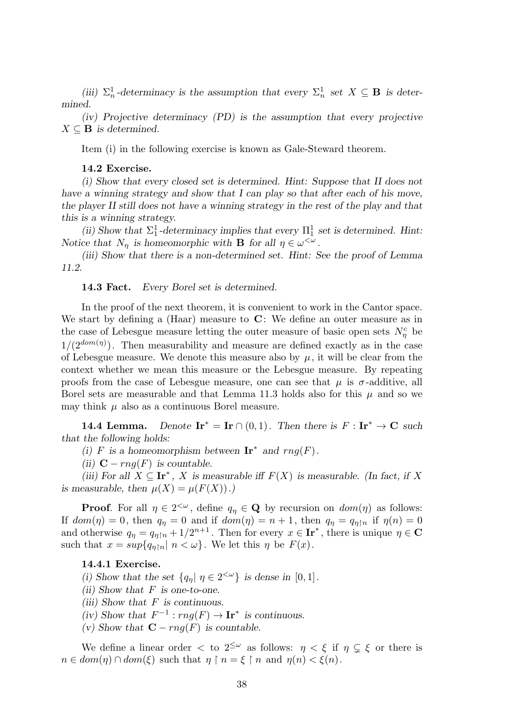(*iii*)  $\Sigma_n^1$ -determinacy is the assumption that every  $\Sigma_n^1$  set  $X \subseteq \mathbf{B}$  is deter*mined.*

*(iv) Projective determinacy (PD) is the assumption that every projective*  $X \subseteq \mathbf{B}$  *is determined.* 

Item (i) in the following exercise is known as Gale-Steward theorem.

#### **14.2 Exercise.**

*(i) Show that every closed set is determined. Hint: Suppose that II does not have a winning strategy and show that I can play so that after each of his move, the player II still does not have a winning strategy in the rest of the play and that this is a winning strategy.*

(ii) Show that  $\Sigma_1^1$ -determinacy implies that every  $\Pi_1^1$  set is determined. Hint: *Notice that*  $N_{\eta}$  *is homeomorphic with* **B** *for all*  $\eta \in \omega^{\leq \omega}$ *.* 

*(iii) Show that there is a non-determined set. Hint: See the proof of Lemma 11.2.*

#### **14.3 Fact.** *Every Borel set is determined.*

In the proof of the next theorem, it is convenient to work in the Cantor space. We start by defining a (Haar) measure to **C**: We define an outer measure as in the case of Lebesgue measure letting the outer measure of basic open sets  $N^c_\eta$  be  $1/(2^{dom(\eta)})$ . Then measurability and measure are defined exactly as in the case of Lebesgue measure. We denote this measure also by  $\mu$ , it will be clear from the context whether we mean this measure or the Lebesgue measure. By repeating proofs from the case of Lebesgue measure, one can see that  $\mu$  is  $\sigma$ -additive, all Borel sets are measurable and that Lemma 11.3 holds also for this  $\mu$  and so we may think  $\mu$  also as a continuous Borel measure.

**14.4 Lemma.** *Denote*  $\mathbf{Ir}^* = \mathbf{Ir} \cap (0,1)$ *. Then there is*  $F : \mathbf{Ir}^* \to \mathbf{C}$  *such that the following holds:*

*(i) F* is a homeomorphism between  $\mathbf{Ir}^*$  and  $rng(F)$ .

*(ii)*  $\mathbf{C}$  *− rng*(*F*) *is countable.* 

*(iii)* For all  $X \subseteq \mathbf{Ir}^*$ , *X* is measurable iff  $F(X)$  is measurable. (In fact, if X *is measurable, then*  $\mu(X) = \mu(F(X))$ .)

**Proof**. For all  $\eta \in 2^{<\omega}$ , define  $q_{\eta} \in \mathbf{Q}$  by recursion on  $dom(\eta)$  as follows: If  $dom(\eta) = 0$ , then  $q_{\eta} = 0$  and if  $dom(\eta) = n + 1$ , then  $q_{\eta} = q_{\eta \upharpoonright n}$  if  $\eta(n) = 0$ and otherwise  $q_{\eta} = q_{\eta \upharpoonright n} + 1/2^{n+1}$ . Then for every  $x \in \textbf{Ir}^*$ , there is unique  $\eta \in \mathbf{C}$ such that  $x = \sup\{q_{\eta \restriction n} | n < \omega\}$ . We let this  $\eta$  be  $F(x)$ .

# **14.4.1 Exercise.**

*(i)* Show that the set  $\{q_{\eta} | \eta \in 2^{<\omega}\}\)$  is dense in  $[0,1]$ .

- *(ii) Show that F is one-to-one.*
- *(iii) Show that F is continuous.*
- *(iv)* Show that  $F^{-1}: rng(F) \to \mathbf{Ir}^*$  is continuous.
- *(v)* Show that  $\mathbf{C}$  −  $rng(F)$  is countable.

We define a linear order  $\langle \cdot \rangle$  to  $2^{\leq \omega}$  as follows:  $\eta \leq \xi$  if  $\eta \subsetneq \xi$  or there is  $n \in dom(\eta) \cap dom(\xi)$  such that  $\eta \restriction n = \xi \restriction n$  and  $\eta(n) < \xi(n)$ .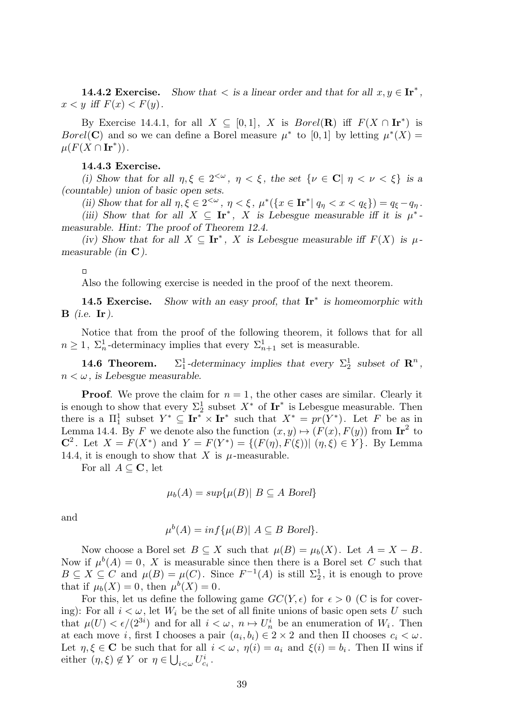**14.4.2 Exercise.** *Show that*  $\lt$  *is a linear order and that for all*  $x, y \in \mathbf{Ir}^*$ ,  $x < y$  *iff*  $F(x) < F(y)$ .

By Exercise 14.4.1, for all  $X \subseteq [0,1]$ , *X* is *Borel*(**R**) iff  $F(X \cap \mathbf{Ir}^*)$  is *Borel*(**C**) and so we can define a Borel measure  $\mu^*$  to [0,1] by letting  $\mu^*(X)$  =  $\mu(F(X \cap \mathbf{Ir}^*))$ .

### **14.4.3 Exercise.**

*(i)* Show that for all  $\eta, \xi \in 2^{<\omega}$ ,  $\eta < \xi$ , the set  $\{\nu \in \mathbb{C} \mid \eta < \nu < \xi\}$  is a *(countable) union of basic open sets.*

(ii) Show that for all  $\eta, \xi \in 2^{<\omega}$ ,  $\eta < \xi$ ,  $\mu^*(\{x \in \mathbf{I}r^* | q_{\eta} < x < q_{\xi}\}) = q_{\xi} - q_{\eta}$ . *(iii)* Show that for all  $X \subseteq \mathbf{Ir}^*$ , X is Lebesgue measurable iff it is  $\mu^*$ 

*measurable. Hint: The proof of Theorem 12.4.*

*(iv)* Show that for all  $X \subseteq \mathbf{Ir}^*$ , *X* is Lebesgue measurable iff  $F(X)$  is  $\mu$ *measurable (in* **C***).*

 $\Box$ 

Also the following exercise is needed in the proof of the next theorem.

**14.5 Exercise.** *Show with an easy proof, that* **Ir***<sup>∗</sup> is homeomorphic with* **B** *(i.e.* **Ir***).*

Notice that from the proof of the following theorem, it follows that for all  $n \geq 1$ ,  $\Sigma_n^1$ -determinacy implies that every  $\Sigma_{n+1}^1$  set is measurable.

**14.6 Theorem.** <sup>1</sup><sub>1</sub>-determinacy implies that every  $\Sigma^1_2$  subset of  $\mathbb{R}^n$ , *n < ω, is Lebesgue measurable.*

**Proof.** We prove the claim for  $n = 1$ , the other cases are similar. Clearly it is enough to show that every  $\Sigma_2^1$  subset  $X^*$  of  $Ir^*$  is Lebesgue measurable. Then there is a  $\Pi_1^1$  subset  $Y^* \subseteq \mathbf{Ir}^* \times \mathbf{Ir}^*$  such that  $X^* = pr(Y^*)$ . Let F be as in Lemma 14.4. By *F* we denote also the function  $(x, y) \mapsto (F(x), F(y))$  from  $\mathbf{Ir}^2$  to **C**<sup>2</sup>. Let  $X = F(X^*)$  and  $Y = F(Y^*) = \{(F(\eta), F(\xi)) | (\eta, \xi) \in Y\}$ . By Lemma 14.4, it is enough to show that *X* is  $\mu$ -measurable.

For all  $A \subseteq \mathbf{C}$ , let

$$
\mu_b(A) = \sup \{ \mu(B) | B \subseteq A \text{ Borel} \}
$$

and

$$
\mu^{b}(A) = \inf \{ \mu(B) | A \subseteq B \text{ Borel} \}.
$$

Now choose a Borel set  $B \subseteq X$  such that  $\mu(B) = \mu_b(X)$ . Let  $A = X - B$ . Now if  $\mu^{b}(A) = 0$ , X is measurable since then there is a Borel set C such that  $B \subseteq X \subseteq C$  and  $\mu(B) = \mu(C)$ . Since  $F^{-1}(A)$  is still  $\Sigma_2^1$ , it is enough to prove that if  $\mu_b(X) = 0$ , then  $\mu^b(X) = 0$ .

For this, let us define the following game  $GC(Y, \epsilon)$  for  $\epsilon > 0$  (C is for covering): For all  $i < \omega$ , let  $W_i$  be the set of all finite unions of basic open sets *U* such that  $\mu(U) < \epsilon/(2^{3i})$  and for all  $i < \omega, n \mapsto U_n^i$  be an enumeration of  $W_i$ . Then at each move *i*, first I chooses a pair  $(a_i, b_i) \in 2 \times 2$  and then II chooses  $c_i < \omega$ . Let  $\eta, \xi \in \mathbf{C}$  be such that for all  $i < \omega, \eta(i) = a_i$  and  $\xi(i) = b_i$ . Then II wins if either  $(\eta, \xi) \notin Y$  or  $\eta \in \bigcup_{i < \omega} U_{c_i}^i$ .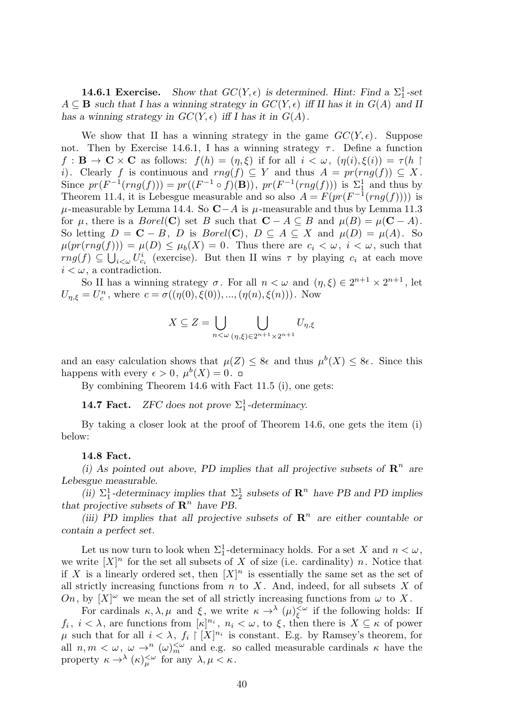**14.6.1 Exercise.** Show that  $GC(Y, \epsilon)$  is determined. Hint: Find a  $\Sigma_1^1$ -set  $A \subseteq \mathbf{B}$  *such that I has a winning strategy in*  $GC(Y, \epsilon)$  *iff II has it in*  $G(A)$  *and II has a winning strategy in*  $GC(Y, \epsilon)$  *iff* I has it in  $G(A)$ .

We show that II has a winning strategy in the game  $GC(Y, \epsilon)$ . Suppose not. Then by Exercise 14.6.1, I has a winning strategy  $\tau$ . Define a function  $f: \mathbf{B} \to \mathbf{C} \times \mathbf{C}$  as follows:  $f(h) = (\eta, \xi)$  if for all  $i < \omega$ ,  $(\eta(i), \xi(i)) = \tau(h)$ *i*). Clearly *f* is continuous and  $rng(f) \subseteq Y$  and thus  $A = pr(rng(f)) \subseteq X$ . Since  $pr(F^{-1}(rng(f))) = pr((F^{-1} \circ f)(\mathbf{B}))$ ,  $pr(F^{-1}(rng(f)))$  is  $\Sigma_1^1$  and thus by Theorem 11.4, it is Lebesgue measurable and so also  $A = F(pr(F^{-1}(rng(f))))$  is *µ*-measurable by Lemma 14.4. So  $C−A$  is *µ*-measurable and thus by Lemma 11.3 for  $\mu$ , there is a *Borel*(**C**) set *B* such that  $\mathbf{C} - A \subseteq B$  and  $\mu(B) = \mu(\mathbf{C} - A)$ . So letting  $D = \mathbf{C} - B$ ,  $D$  is  $Borel(\mathbf{C})$ ,  $D \subseteq A \subseteq X$  and  $\mu(D) = \mu(A)$ . So  $\mu(pr(rng(f))) = \mu(D) \leq \mu_b(X) = 0$ . Thus there are  $c_i < \omega$ ,  $i < \omega$ , such that  $rng(f) \subseteq \bigcup_{i<\omega} U_{c_i}^i$  (exercise). But then II wins  $\tau$  by playing  $c_i$  at each move  $i < \omega$ , a contradiction.

So II has a winning strategy  $\sigma$ . For all  $n < \omega$  and  $(\eta, \xi) \in 2^{n+1} \times 2^{n+1}$ , let *U*<sub>*n*</sub>, $\xi = U_c^n$ , where  $c = \sigma((\eta(0), \xi(0)), ..., (\eta(n), \xi(n)))$ . Now

$$
X \subseteq Z = \bigcup_{n < \omega} \bigcup_{(\eta,\xi) \in 2^{n+1} \times 2^{n+1}} U_{\eta,\xi}
$$

and an easy calculation shows that  $\mu(Z) \leq 8\epsilon$  and thus  $\mu^b(X) \leq 8\epsilon$ . Since this happens with every  $\epsilon > 0$ ,  $\mu^{b}(X) = 0$ .

By combining Theorem 14.6 with Fact 11.5 (i), one gets:

**14.7 Fact.** *ZFC* does not prove  $\Sigma_1^1$ -determinacy.

By taking a closer look at the proof of Theorem 14.6, one gets the item (i) below:

#### **14.8 Fact.**

(i) As pointed out above, PD implies that all projective subsets of  $\mathbb{R}^n$  are *Lebesgue measurable.*

(*ii*)  $\Sigma_1^1$ -determinacy implies that  $\Sigma_2^1$  subsets of  $\mathbb{R}^n$  have PB and PD implies *that projective subsets of*  $\mathbb{R}^n$  *have PB.* 

*(iii) PD implies that all projective subsets of*  $\mathbb{R}^n$  are either countable or *contain a perfect set.*

Let us now turn to look when  $\Sigma_1^1$ -determinacy holds. For a set *X* and  $n < \omega$ , we write  $[X]^n$  for the set all subsets of X of size (i.e. cardinality) *n*. Notice that if *X* is a linearly ordered set, then  $[X]^n$  is essentially the same set as the set of all strictly increasing functions from *n* to *X* . And, indeed, for all subsets *X* of *On*, by  $[X]^\omega$  we mean the set of all strictly increasing functions from  $\omega$  to X.

For cardinals  $\kappa, \lambda, \mu$  and  $\xi$ , we write  $\kappa \to^{\lambda} (\mu)_{\xi}^{\leq \omega}$ *ξ* if the following holds: If *f<sub>i</sub>*,  $i < \lambda$ , are functions from  $[\kappa]^{n_i}$ ,  $n_i < \omega$ , to  $\xi$ , then there is  $X \subseteq \kappa$  of power  $\mu$  such that for all  $i < \lambda$ ,  $f_i \restriction [X]^{n_i}$  is constant. E.g. by Ramsey's theorem, for all  $n, m < \omega$ ,  $\omega \to^n (\omega)_m^{\omega}$  and e.g. so called measurable cardinals  $\kappa$  have the property  $\kappa \to^{\lambda} (\kappa)_{\mu}^{<\omega}$  for any  $\lambda, \mu < \kappa$ .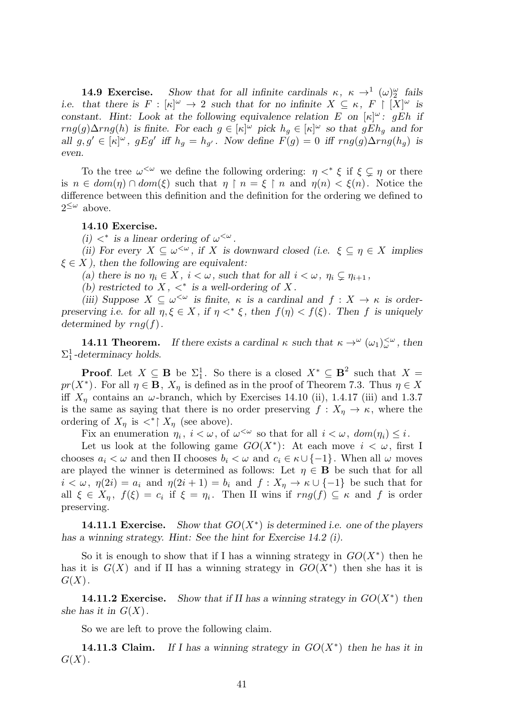**14.9 Exercise.** Show that for all infinite cardinals  $\kappa$ ,  $\kappa \to^1 (\omega)_2^{\omega}$  fails *i.e.* that there is  $F : [\kappa]^\omega \to 2$  such that for no infinite  $X \subseteq \kappa$ ,  $F \upharpoonright [X]^\omega$  is *constant.* Hint: Look at the following equivalence relation E on  $[\kappa]^\omega$ : gEh if *rng*(*g*)∆*rng*(*h*) *is finite. For each*  $g \in [\kappa]^\omega$  *pick*  $h_g \in [\kappa]^\omega$  *so that*  $gEh_g$  *and for* all  $g, g' \in [\kappa]^{\omega}$ ,  $gEg'$  iff  $h_g = h_{g'}$ . Now define  $F(g) = 0$  iff  $rng(g)\Delta rng(h_g)$  is *even.*

To the tree  $\omega^{\leq \omega}$  we define the following ordering:  $\eta \lt^* \xi$  if  $\xi \subsetneq \eta$  or there is  $n \in dom(\eta) \cap dom(\xi)$  such that  $\eta \restriction n = \xi \restriction n$  and  $\eta(n) < \xi(n)$ . Notice the difference between this definition and the definition for the ordering we defined to  $2^{\leq \omega}$  above.

# **14.10 Exercise.**

*(i)*  $\langle \cdot \cdot \cdot \rangle$  *is a linear ordering of*  $\omega^{\langle \omega \rangle}$ .

*(ii)* For every  $X \subseteq \omega^{\leq \omega}$ , if X is downward closed (i.e.  $\xi \subseteq \eta \in X$  implies *ξ ∈ X ), then the following are equivalent:*

*(a)* there is no  $\eta_i \in X$ ,  $i < \omega$ , such that for all  $i < \omega$ ,  $\eta_i \subsetneq \eta_{i+1}$ ,

(b) restricted to  $X$ ,  $\lt^*$  is a well-ordering of  $X$ .

*(iii)* Suppose  $X \subseteq \omega^{\lt \omega}$  *is finite,*  $\kappa$  *is a cardinal and*  $f : X \to \kappa$  *is orderpreserving i.e. for all*  $\eta, \xi \in X$ , *if*  $\eta <^* \xi$ , *then*  $f(\eta) < f(\xi)$ *. Then f is uniquely determined by rng*(*f*)*.*

**14.11 Theorem.** If there exists a cardinal  $\kappa$  such that  $\kappa \to^{\omega} (\omega_1)_{\omega}^{<\omega}$ , then  $\Sigma_1^1$ -determinacy holds.

**Proof**. Let  $X \subseteq \mathbf{B}$  be  $\Sigma_1^1$ . So there is a closed  $X^* \subseteq \mathbf{B}^2$  such that  $X =$ *pr*( $X^*$ ). For all  $\eta \in \mathbf{B}$ ,  $X_{\eta}$  is defined as in the proof of Theorem 7.3. Thus  $\eta \in X$ iff  $X_n$  contains an  $\omega$ -branch, which by Exercises 14.10 (ii), 1.4.17 (iii) and 1.3.7 is the same as saying that there is no order preserving  $f: X_\eta \to \kappa$ , where the ordering of  $X_{\eta}$  is  $\lt^*$   $\mid$   $X_{\eta}$  (see above).

Fix an enumeration  $\eta_i$ ,  $i < \omega$ , of  $\omega^{<\omega}$  so that for all  $i < \omega$ ,  $dom(\eta_i) \leq i$ .

Let us look at the following game  $GO(X^*)$ : At each move  $i < \omega$ , first I chooses  $a_i < \omega$  and then II chooses  $b_i < \omega$  and  $c_i \in \kappa \cup \{-1\}$ . When all  $\omega$  moves are played the winner is determined as follows: Let  $\eta \in \mathbf{B}$  be such that for all  $i < \omega, \eta(2i) = a_i$  and  $\eta(2i+1) = b_i$  and  $f: X_\eta \to \kappa \cup \{-1\}$  be such that for all  $\xi \in X_\eta$ ,  $f(\xi) = c_i$  if  $\xi = \eta_i$ . Then II wins if  $rng(f) \subseteq \kappa$  and f is order preserving.

**14.11.1 Exercise.** Show that  $GO(X^*)$  is determined i.e. one of the players *has a winning strategy. Hint: See the hint for Exercise 14.2 (i).*

So it is enough to show that if I has a winning strategy in  $GO(X^*)$  then he has it is  $G(X)$  and if II has a winning strategy in  $GO(X^*)$  then she has it is *G*(*X*).

**14.11.2 Exercise.** Show that if II has a winning strategy in  $GO(X^*)$  then *she has it in*  $G(X)$ .

So we are left to prove the following claim.

**14.11.3 Claim.** If I has a winning strategy in  $GO(X^*)$  then he has it in *G*(*X*)*.*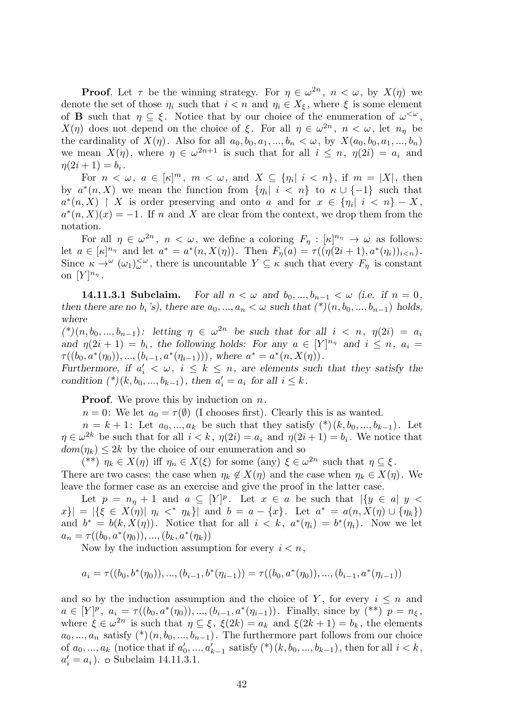**Proof**. Let  $\tau$  be the winning strategy. For  $\eta \in \omega^{2n}$ ,  $n < \omega$ , by  $X(\eta)$  we denote the set of those  $\eta_i$  such that  $i < n$  and  $\eta_i \in X_{\xi}$ , where  $\xi$  is some element of **B** such that  $\eta \subseteq \xi$ . Notice that by our choice of the enumeration of  $\omega^{\leq \omega}$ , *X*(*η*) does not depend on the choice of *ξ*. For all  $η ∈ ω^{2n}$ ,  $n < ω$ , let  $nη$  be the cardinality of  $X(\eta)$ . Also for all  $a_0, b_0, a_1, ..., b_n < \omega$ , by  $X(a_0, b_0, a_1, ..., b_n)$ we mean  $X(\eta)$ , where  $\eta \in \omega^{2n+1}$  is such that for all  $i \leq n, \eta(2i) = a_i$  and  $\eta(2i + 1) = b_i$ .

For  $n < \omega$ ,  $a \in [\kappa]^m$ ,  $m < \omega$ , and  $X \subseteq {\eta_i | i < n}$ , if  $m = |X|$ , then by  $a^*(n, X)$  we mean the function from  $\{\eta_i | i \leq n\}$  to  $\kappa \cup \{-1\}$  such that  $a^*(n, X)$  | *X* is order preserving and onto *a* and for  $x \in {\eta_i | i < n} - X$ ,  $a^*(n, X)(x) = -1$ . If *n* and *X* are clear from the context, we drop them from the notation.

For all  $\eta \in \omega^{2n}$ ,  $n < \omega$ , we define a coloring  $F_{\eta}: [\kappa]^{n_{\eta}} \to \omega$  as follows: let  $a \in [\kappa]^{n_{\eta}}$  and let  $a^* = a^*(n, X(\eta))$ . Then  $F_{\eta}(a) = \tau((\eta(2i+1), a^*(\eta_i))_{i \leq n})$ . Since  $\kappa \to^{\omega} (\omega_1)_{\omega}^{\leq \omega}$ , there is uncountable  $Y \subseteq \kappa$  such that every  $F_{\eta}$  is constant on  $[Y]^{n_{\eta}}$ .

**14.11.3.1 Subclaim.** For all  $n < \omega$  and  $b_0, ..., b_{n-1} < \omega$  (i.e. if  $n = 0$ ) *then there are no*  $b_i$  *'s*), there are  $a_0, ..., a_n < \omega$  such that  $(*) (n, b_0, ..., b_{n-1})$  holds, *where*

 $({*})(n, b_0, ..., b_{n-1})$ : letting  $\eta \in \omega^{2n}$  be such that for all  $i < n, \eta(2i) = a_i$ *and*  $\eta(2i + 1) = b_i$ , the following holds: For any  $a \in [Y]^{n_{\eta}}$  and  $i \leq n$ ,  $a_i =$  $\tau((b_0, a^*(\eta_0)), ..., (b_{i-1}, a^*(\eta_{i-1})))$ , where  $a^* = a^*(n, X(\eta))$ .

*Furthermore, if*  $a'_i < \omega$ ,  $i \leq k \leq n$ , are elements such that they satisfy the *condition*  $({}^*)$  $(k, b_0, ..., b_{k-1})$ *, then*  $a'_i = a_i$  *for all*  $i \leq k$ *.* 

**Proof**. We prove this by induction on *n*.

*n* = 0: We let  $a_0 = \tau(\emptyset)$  (I chooses first). Clearly this is as wanted.

 $n = k + 1$ : Let  $a_0, ..., a_k$  be such that they satisfy  $({}^*)(k, b_0, ..., b_{k-1})$ . Let  $\eta \in \omega^{2k}$  be such that for all  $i < k$ ,  $\eta(2i) = a_i$  and  $\eta(2i+1) = b_i$ . We notice that  $dom(\eta_k) \leq 2k$  by the choice of our enumeration and so

(\*\*)  $\eta_k \in X(\eta)$  iff  $\eta_n \in X(\xi)$  for some (any)  $\xi \in \omega^{2n}$  such that  $\eta \subseteq \xi$ . There are two cases: the case when  $\eta_k \notin X(\eta)$  and the case when  $\eta_k \in X(\eta)$ . We leave the former case as an exercise and give the proof in the latter case.

Let  $p = n<sub>\eta</sub> + 1$  and  $a \subseteq [Y]^p$ . Let  $x \in a$  be such that  $|\{y \in a | y \leq a\}|$  $|x\rangle = |\{\xi \in X(\eta)| \eta_i \leq^* \eta_k\}|$  and  $b = a - \{x\}$ . Let  $a^* = a(n, X(\eta) \cup \{\eta_k\})$ and  $b^* = b(k, X(\eta))$ . Notice that for all  $i < k$ ,  $a^*(\eta_i) = b^*(\eta_i)$ . Now we let  $a_n = \tau((b_0, a^*(\eta_0)), ..., (b_k, a^*(\eta_k)))$ 

Now by the induction assumption for every  $i < n$ ,

$$
a_i = \tau((b_0, b^*(\eta_0)), ..., (b_{i-1}, b^*(\eta_{i-1})) = \tau((b_0, a^*(\eta_0)), ..., (b_{i-1}, a^*(\eta_{i-1}))
$$

and so by the induction assumption and the choice of *Y*, for every  $i \leq n$  and  $a \in [Y]^p$ ,  $a_i = \tau((b_0, a^*(\eta_0)), ..., (b_{i-1}, a^*(\eta_{i-1}))$ . Finally, since by  $(*^*)$   $p = n_{\xi}$ , where  $\xi \in \omega^{2n}$  is such that  $\eta \subseteq \xi$ ,  $\xi(2k) = a_k$  and  $\xi(2k+1) = b_k$ , the elements  $a_0, \ldots, a_n$  satisfy  $(*) (n, b_0, \ldots, b_{n-1})$ . The furthermore part follows from our choice of  $a_0, ..., a_k$  (notice that if  $a'_0, ..., a'_{k-1}$  satisfy  $({}^*) (k, b_0, ..., b_{k-1})$ , then for all  $i < k$ ,  $a'_i = a_i$ ).  $\Box$  Subclaim 14.11.3.1.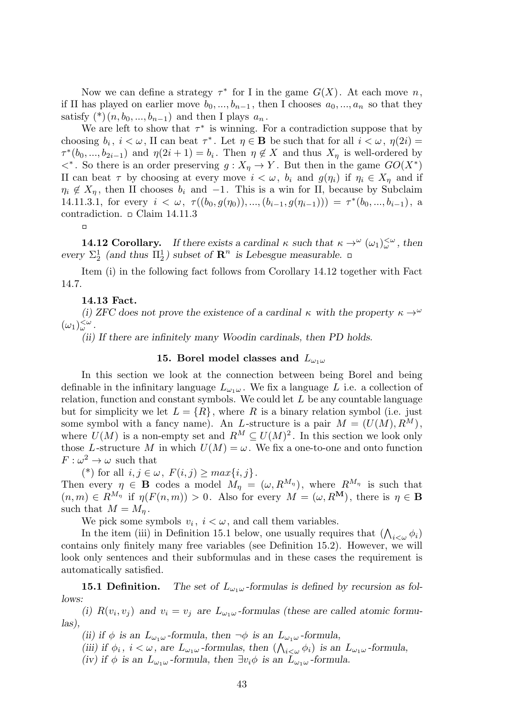Now we can define a strategy  $\tau^*$  for I in the game  $G(X)$ . At each move *n*, if II has played on earlier move  $b_0, ..., b_{n-1}$ , then I chooses  $a_0, ..., a_n$  so that they satisfy  $({}^*)$  ( $n, b_0, ..., b_{n-1}$ ) and then I plays  $a_n$ .

We are left to show that  $\tau^*$  is winning. For a contradiction suppose that by choosing  $b_i$ ,  $i < \omega$ , II can beat  $\tau^*$ . Let  $\eta \in \mathbf{B}$  be such that for all  $i < \omega$ ,  $\eta(2i) =$  $\tau^*(b_0, ..., b_{2i-1})$  and  $\eta(2i+1) = b_i$ . Then  $\eta \notin X$  and thus  $X_{\eta}$  is well-ordered by  $\langle f \rangle$ . So there is an order preserving *g* :  $X_{\eta} \to Y$ . But then in the game *GO*(*X*<sup>\*</sup>) II can beat  $\tau$  by choosing at every move  $i < \omega$ ,  $b_i$  and  $g(\eta_i)$  if  $\eta_i \in X_{\eta}$  and if  $\eta_i \notin X_n$ , then II chooses  $b_i$  and  $-1$ . This is a win for II, because by Subclaim 14.11.3.1, for every  $i < \omega$ ,  $\tau((b_0, g(\eta_0)), ..., (b_{i-1}, g(\eta_{i-1}))) = \tau^*(b_0, ..., b_{i-1}),$  a contradiction.  $\Box$  Claim 14.11.3

 $\Box$ 

**14.12 Corollary.** If there exists a cardinal  $\kappa$  such that  $\kappa \to^{\omega} (\omega_1)_{\omega}^{<\omega}$ , then every  $\Sigma_2^1$  (and thus  $\Pi_2^1$ ) subset of  $\mathbb{R}^n$  is Lebesgue measurable.

Item (i) in the following fact follows from Corollary 14.12 together with Fact 14.7.

# **14.13 Fact.**

*(i) ZFC does not prove the existence of a cardinal*  $\kappa$  with the property  $\kappa \rightarrow \omega$  $(\omega_1)_{\omega}^{\leq \omega}$ .

*(ii) If there are infinitely many Woodin cardinals, then PD holds.*

# **15. Borel model classes and** *L<sup>ω</sup>*1*<sup>ω</sup>*

In this section we look at the connection between being Borel and being definable in the infinitary language  $L_{\omega_1\omega}$ . We fix a language L i.e. a collection of relation, function and constant symbols. We could let *L* be any countable language but for simplicity we let  $L = \{R\}$ , where R is a binary relation symbol (i.e. just some symbol with a fancy name). An *L*-structure is a pair  $M = (U(M), R^M)$ , where  $U(M)$  is a non-empty set and  $R^M \subseteq U(M)^2$ . In this section we look only those *L*-structure *M* in which  $U(M) = \omega$ . We fix a one-to-one and onto function  $F: \omega^2 \to \omega$  such that

 $(*)$  for all  $i, j \in \omega$ ,  $F(i, j) \geq max\{i, j\}.$ 

Then every  $\eta \in \mathbf{B}$  codes a model  $M_{\eta} = (\omega, R^{M_{\eta}})$ , where  $R^{M_{\eta}}$  is such that  $(n, m) \in R^{M_{\eta}}$  if  $\eta(F(n, m)) > 0$ . Also for every  $M = (\omega, R^M)$ , there is  $\eta \in \mathbf{B}$ such that  $M = M_n$ .

We pick some symbols  $v_i$ ,  $i < \omega$ , and call them variables.

In the item (iii) in Definition 15.1 below, one usually requires that  $(\bigwedge_{i<\omega}\phi_i)$ contains only finitely many free variables (see Definition 15.2). However, we will look only sentences and their subformulas and in these cases the requirement is automatically satisfied.

**15.1 Definition.** The set of  $L_{\omega_1\omega}$ -formulas is defined by recursion as fol*lows:*

*(i)*  $R(v_i, v_j)$  and  $v_i = v_j$  are  $L_{\omega_1\omega}$ -formulas (these are called atomic formu*las),*

*(ii) if*  $\phi$  *is an*  $L_{\omega_1\omega}$  *-formula, then*  $\neg \phi$  *is an*  $L_{\omega_1\omega}$  *-formula,* 

(*iii*) *if*  $\phi_i$ ,  $i < \omega$ , are  $L_{\omega_1\omega}$ -formulas, then  $(\bigwedge_{i<\omega}\phi_i)$  *is an*  $L_{\omega_1\omega}$ -formula,

*(iv) if*  $\phi$  *is an*  $L_{\omega_1\omega}$  *-formula, then*  $\exists v_i\phi$  *is an*  $L_{\omega_1\omega}$  *-formula.*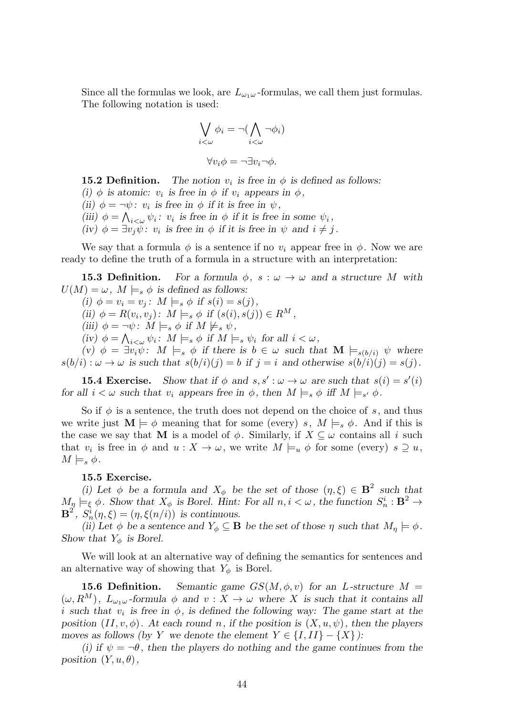Since all the formulas we look, are  $L_{\omega_1\omega}$ -formulas, we call them just formulas. The following notation is used:

$$
\bigvee_{i < \omega} \phi_i = \neg(\bigwedge_{i < \omega} \neg \phi_i)
$$

$$
\forall v_i \phi = \neg \exists v_i \neg \phi.
$$

**15.2 Definition.** The notion  $v_i$  is free in  $\phi$  is defined as follows:

(i)  $\phi$  is atomic:  $v_i$  is free in  $\phi$  if  $v_i$  appears in  $\phi$ , (ii)  $\phi = -\psi$ : *v<sub>i</sub>* is free in  $\phi$  if it is free in  $\psi$ , (iii)  $\phi = \bigwedge_{i < \omega} \psi_i$ : *v<sub>i</sub>* is free in  $\phi$  if it is free in some  $\psi_i$ ,  $(iv)$   $\phi = \exists v_j \psi : v_i$  *is free in*  $\phi$  *if it is free in*  $\psi$  *and*  $i \neq j$ .

We say that a formula  $\phi$  is a sentence if no  $v_i$  appear free in  $\phi$ . Now we are ready to define the truth of a formula in a structure with an interpretation:

**15.3 Definition.** For a formula  $\phi$ ,  $s : \omega \to \omega$  and a structure M with  $U(M) = \omega, M \models_s \phi$  *is defined as follows:* 

 $(i) \phi = v_i = v_j$ :  $M \models_s \phi$  if  $s(i) = s(j)$ ,  $(iii) \phi = R(v_i, v_j)$ :  $M \models_s \phi \text{ if } (s(i), s(j)) \in R^M$ ,  $(iii)$   $\phi = \neg \psi$ :  $M \models_s \phi$  *if*  $M \not\models_s \psi$ ,  $f(iv)$   $\phi = \bigwedge_{i < \omega} \psi_i$ :  $M \models_s \phi$  if  $M \models_s \psi_i$  for all  $i < \omega$ ,  $(v)$   $\phi = \exists v_i \psi : M \models_s \phi$  *if there is*  $b \in \omega$  *such that*  $\mathbf{M} \models_{s(b/i)} \psi$  *where*  $s(b/i): \omega \to \omega$  is such that  $s(b/i)(j) = b$  if  $j = i$  and otherwise  $s(b/i)(j) = s(j)$ .

**15.4 Exercise.** Show that if  $\phi$  and  $s, s' : \omega \to \omega$  are such that  $s(i) = s'(i)$ *for all*  $i < \omega$  *such that*  $v_i$  *appears free in*  $\phi$ *, then*  $M \models_s \phi$  *iff*  $M \models_{s'} \phi$ *.* 

So if  $\phi$  is a sentence, the truth does not depend on the choice of *s*, and thus we write just  $\mathbf{M} \models \phi$  meaning that for some (every) *s*,  $M \models_s \phi$ . And if this is the case we say that **M** is a model of  $\phi$ . Similarly, if  $X \subseteq \omega$  contains all *i* such that  $v_i$  is free in  $\phi$  and  $u: X \to \omega$ , we write  $M \models_u \phi$  for some (every)  $s \supseteq u$ ,  $M \models_s \phi$ .

# **15.5 Exercise.**

(i) Let  $\phi$  be a formula and  $X_{\phi}$  be the set of those  $(\eta, \xi) \in \mathbf{B}^2$  such that  $M_{\mathcal{D}} \models_{\xi} \phi$ . Show that  $X_{\phi}$  is Borel. Hint: For all  $n, i < \omega$ , the function  $S_n^i : \mathbf{B}^2 \to \mathbf{B}$  $\mathbf{B}^2$ ,  $S_n^i(\eta, \xi) = (\eta, \xi(n/i))$  *is continuous.* 

*(ii)* Let  $\phi$  *be a sentence and*  $Y_{\phi} \subseteq \mathbf{B}$  *be the set of those*  $\eta$  *such that*  $M_{\eta} \models \phi$ . *Show that*  $Y_{\phi}$  *is Borel.* 

We will look at an alternative way of defining the semantics for sentences and an alternative way of showing that  $Y_{\phi}$  is Borel.

**15.6 Definition.** *Semantic game*  $GS(M, \phi, v)$  *for an L-structure*  $M =$  $(\omega, R^M)$ ,  $L_{\omega_1\omega}$ -formula  $\phi$  and  $v: X \to \omega$  where X is such that it contains all *i* such that  $v_i$  is free in  $\phi$ , is defined the following way: The game start at the *position*  $(II, v, \phi)$ *. At each round n,* if the position is  $(X, u, \psi)$ *, then the players moves as follows (by Y we denote the element*  $Y \in \{I, II\} - \{X\}$ *):* 

*(i)* if  $\psi = -\theta$ , then the players do nothing and the game continues from the *position*  $(Y, u, \theta)$ *,*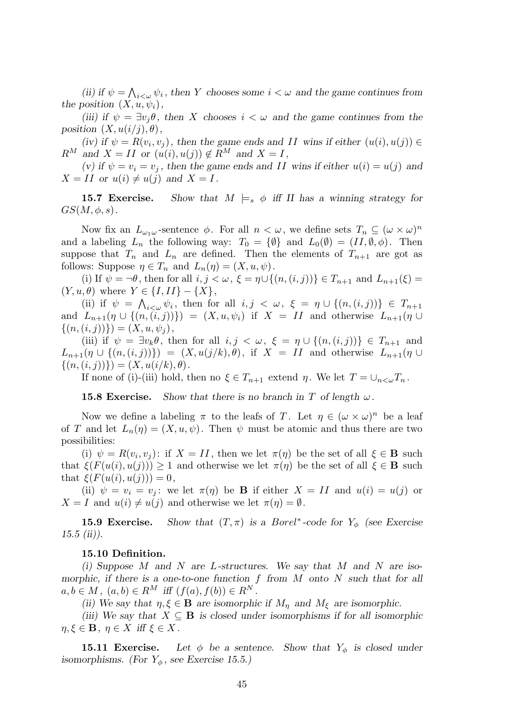*(ii)* if  $\psi = \bigwedge_{i < \omega} \psi_i$ , then *Y* chooses some  $i < \omega$  and the game continues from *the position*  $(X, u, \psi_i)$ *,* 

*(iii)* if  $\psi = \exists v_i \theta$ , then *X* chooses  $i < \omega$  and the game continues from the *position*  $(X, u(i/j), \theta)$ *,* 

 $(iv)$  if  $\psi = R(v_i, v_j)$ , then the game ends and *II* wins if either  $(u(i), u(j)) \in$  $R^M$  *and*  $X = II$  *or*  $(u(i), u(j)) \notin R^M$  *and*  $X = I$ *,* 

 $(v)$  *if*  $\psi = v_i = v_j$ , then the game ends and II wins if either  $u(i) = u(j)$  and  $X = II$  or  $u(i) \neq u(j)$  and  $X = I$ .

**15.7 Exercise.** Show that  $M \models_s \phi$  iff II has a winning strategy for  $GS(M, \phi, s)$ .

Now fix an  $L_{\omega_1\omega}$ -sentence  $\phi$ . For all  $n < \omega$ , we define sets  $T_n \subseteq (\omega \times \omega)^n$ and a labeling  $L_n$  the following way:  $T_0 = {\emptyset}$  and  $L_0(\emptyset) = (II, \emptyset, \phi)$ . Then suppose that  $T_n$  and  $L_n$  are defined. Then the elements of  $T_{n+1}$  are got as follows: Suppose  $\eta \in T_n$  and  $L_n(\eta) = (X, u, \psi)$ .

(i) If  $\psi = \neg \theta$ , then for all  $i, j < \omega$ ,  $\xi = \eta \cup \{(n, (i, j))\} \in T_{n+1}$  and  $L_{n+1}(\xi) =$  $(Y, u, \theta)$  where  $Y \in \{I, II\} - \{X\},$ 

(ii) if  $\psi = \bigwedge_{i < \omega} \psi_i$ , then for all  $i, j < \omega$ ,  $\xi = \eta \cup \{(n, (i, j))\} \in T_{n+1}$ and  $L_{n+1}(\eta \cup \{(n,(i,j))\}) = (X, u, \psi_i)$  if  $X = II$  and otherwise  $L_{n+1}(\eta \cup$  $\{(n, (i, j))\}) = (X, u, \psi_j),$ 

(iii) if  $\psi = \exists v_k \theta$ , then for all  $i, j < \omega$ ,  $\xi = \eta \cup \{(n, (i, j))\} \in T_{n+1}$  and  $L_{n+1}(\eta \cup \{(n,(i,j))\}) = (X, u(j/k), \theta)$ , if  $X = II$  and otherwise  $L_{n+1}(\eta \cup$  $\{(n, (i, j))\}) = (X, u(i/k), \theta).$ 

If none of (i)-(iii) hold, then no  $\xi \in T_{n+1}$  extend  $\eta$ . We let  $T = \bigcup_{n \leq \omega} T_n$ .

**15.8 Exercise.** *Show that there is no branch in*  $T$  *of length*  $\omega$ *.* 

Now we define a labeling  $\pi$  to the leafs of *T*. Let  $\eta \in (\omega \times \omega)^n$  be a leaf of *T* and let  $L_n(\eta) = (X, u, \psi)$ . Then  $\psi$  must be atomic and thus there are two possibilities:

(i)  $\psi = R(v_i, v_j)$ : if  $X = II$ , then we let  $\pi(\eta)$  be the set of all  $\xi \in \mathbf{B}$  such that  $\xi(F(u(i), u(j))) \geq 1$  and otherwise we let  $\pi(\eta)$  be the set of all  $\xi \in \mathbf{B}$  such that  $\xi(F(u(i), u(j))) = 0$ ,

(ii)  $\psi = v_i = v_j$ ; we let  $\pi(\eta)$  be **B** if either  $X = II$  and  $u(i) = u(j)$  or  $X = I$  and  $u(i) \neq u(j)$  and otherwise we let  $\pi(\eta) = \emptyset$ .

**15.9 Exercise.** Show that  $(T, \pi)$  is a *Borel*<sup>\*</sup>-code for  $Y_{\phi}$  (see Exercise *15.5 (ii)).*

# **15.10 Definition.**

*(i) Suppose M and N are L-structures. We say that M and N are isomorphic, if there is a one-to-one function f from M onto N such that for all*  $a, b \in M$ ,  $(a, b) \in R^M$  *iff*  $(f(a), f(b)) \in R^N$ .

*(ii)* We say that  $\eta, \xi \in \mathbf{B}$  are isomorphic if  $M_n$  and  $M_\xi$  are isomorphic.

*(iii)* We say that  $X \subseteq \mathbf{B}$  is closed under isomorphisms if for all isomorphic  $\eta, \xi \in \mathbf{B}$ ,  $\eta \in X$  *iff*  $\xi \in X$ *.* 

**15.11 Exercise.** Let  $\phi$  be a sentence. Show that  $Y_{\phi}$  is closed under *isomorphisms.* (For  $Y_{\phi}$ , see Exercise 15.5.)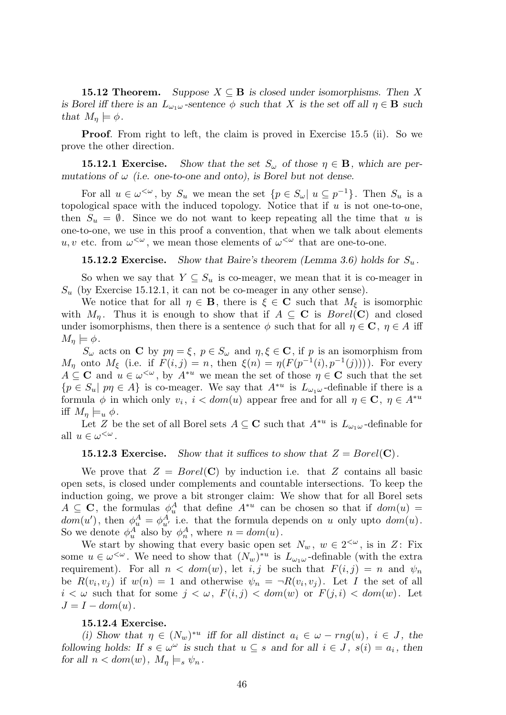**15.12 Theorem.** Suppose  $X \subseteq \mathbf{B}$  is closed under isomorphisms. Then X *is Borel iff there is an*  $L_{\omega_1\omega}$  *-sentence*  $\phi$  *such that X is the set off all*  $\eta \in \mathbf{B}$  *such that*  $M_{\eta} \models \phi$ .

**Proof.** From right to left, the claim is proved in Exercise 15.5 (ii). So we prove the other direction.

**15.12.1 Exercise.** *Show that the set*  $S_\omega$  *of those*  $\eta \in \mathbf{B}$ *, which are permutations of*  $\omega$  *(i.e. one-to-one and onto), is Borel but not dense.* 

For all  $u \in \omega^{\leq \omega}$ , by  $S_u$  we mean the set  $\{p \in S_\omega | u \subseteq p^{-1}\}\$ . Then  $S_u$  is a topological space with the induced topology. Notice that if *u* is not one-to-one, then  $S_u = \emptyset$ . Since we do not want to keep repeating all the time that *u* is one-to-one, we use in this proof a convention, that when we talk about elements *u, v* etc. from  $\omega^{\langle \omega \rangle}$ , we mean those elements of  $\omega^{\langle \omega \rangle}$  that are one-to-one.

**15.12.2 Exercise.** *Show that Baire's theorem (Lemma 3.6) holds for*  $S_u$ .

So when we say that  $Y \subseteq S_u$  is co-meager, we mean that it is co-meager in  $S_u$  (by Exercise 15.12.1, it can not be co-meager in any other sense).

We notice that for all  $\eta \in \mathbf{B}$ , there is  $\xi \in \mathbf{C}$  such that  $M_{\xi}$  is isomorphic with  $M_n$ . Thus it is enough to show that if  $A \subseteq \mathbf{C}$  is  $Borel(\mathbf{C})$  and closed under isomorphisms, then there is a sentence  $\phi$  such that for all  $\eta \in \mathbb{C}$ ,  $\eta \in A$  iff  $M_n \models \phi$ .

*S*<sup>*w*</sup> acts on **C** by  $p\eta = \xi$ ,  $p \in S$ <sup>*w*</sup> and  $\eta, \xi \in \mathbf{C}$ , if *p* is an isomorphism from *M*<sup>*η*</sup> onto *M*<sub>ξ</sub> (i.e. if *F*(*i, j*) = *n*, then  $\xi(n) = \eta(F(p^{-1}(i), p^{-1}(j)))$ ). For every  $A \subseteq \mathbf{C}$  and  $u \in \omega^{\leq \omega}$ , by  $A^{*u}$  we mean the set of those  $\eta \in \mathbf{C}$  such that the set  ${p \in S_u | p\eta \in A}$  is co-meager. We say that  $A^{*u}$  is  $L_{\omega_1\omega}$ -definable if there is a formula  $\phi$  in which only  $v_i$ ,  $i < dom(u)$  appear free and for all  $\eta \in \mathbb{C}$ ,  $\eta \in A^{*u}$ iff  $M_n \models_u \phi$ .

Let *Z* be the set of all Borel sets  $A \subseteq \mathbb{C}$  such that  $A^{*u}$  is  $L_{\omega_1\omega}$ -definable for all  $u \in \omega^{\lt \omega}$ .

# **15.12.3 Exercise.** Show that it suffices to show that  $Z = Borel(C)$ .

We prove that  $Z = Borel(C)$  by induction i.e. that  $Z$  contains all basic open sets, is closed under complements and countable intersections. To keep the induction going, we prove a bit stronger claim: We show that for all Borel sets  $A \subseteq \mathbf{C}$ , the formulas  $\phi_u^A$  that define  $A^{*u}$  can be chosen so that if  $dom(u)$  $dom(u')$ , then  $\phi_u^A = \phi_{u'}^A$  i.e. that the formula depends on *u* only upto  $dom(u)$ . So we denote  $\phi_u^A$  also by  $\phi_n^A$ , where  $n = dom(u)$ .

We start by showing that every basic open set  $N_w$ ,  $w \in 2^{<\omega}$ , is in *Z*: Fix some  $u \in \omega^{\leq \omega}$ . We need to show that  $(N_w)^{*u}$  is  $L_{\omega_1\omega}$ -definable (with the extra requirement). For all  $n < dom(w)$ , let *i, j* be such that  $F(i, j) = n$  and  $\psi_n$ be  $R(v_i, v_j)$  if  $w(n) = 1$  and otherwise  $\psi_n = \neg R(v_i, v_j)$ . Let *I* the set of all  $i < \omega$  such that for some  $j < \omega$ ,  $F(i, j) < dom(w)$  or  $F(j, i) < dom(w)$ . Let  $J = I - dom(u)$ .

#### **15.12.4 Exercise.**

*(i)* Show that  $\eta \in (N_w)^{*u}$  iff for all distinct  $a_i \in \omega - rng(u), i \in J$ , the *following holds:* If  $s \in \omega^{\omega}$  *is such that*  $u \subseteq s$  *and for all*  $i \in J$ ,  $s(i) = a_i$ , then *for all*  $n < dom(w)$ ,  $M_n \models_s \psi_n$ .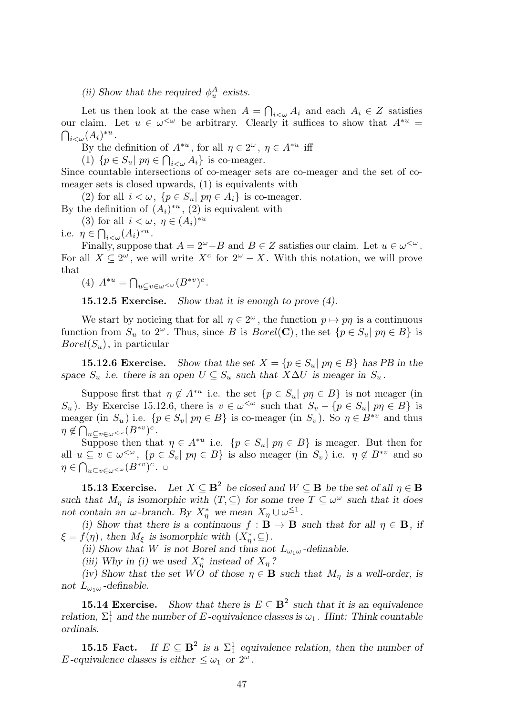# *(ii)* Show that the required  $\phi_u^A$  exists.

Let us then look at the case when  $A = \bigcap_{i < \omega} A_i$  and each  $A_i \in \mathbb{Z}$  satisfies our claim. Let  $u \in \omega^{\leq \omega}$  be arbitrary. Clearly it suffices to show that  $A^{*u} =$  $\bigcap_{i<\omega}(A_i)^{*u}.$ 

By the definition of  $A^{*u}$ , for all  $\eta \in 2^{\omega}$ ,  $\eta \in A^{*u}$  iff

(1)  $\{p \in S_u | p\eta \in \bigcap_{i < \omega} A_i\}$  is co-meager.

Since countable intersections of co-meager sets are co-meager and the set of comeager sets is closed upwards, (1) is equivalents with

(2) for all  $i < \omega$ ,  $\{p \in S_u | p\eta \in A_i\}$  is co-meager.

By the definition of  $(A_i)^{*u}$ ,  $(2)$  is equivalent with

(3) for all  $i < \omega, \eta \in (A_i)^{*u}$ 

i.e.  $\eta \in \bigcap_{i < \omega} (A_i)^{*u}$ .

Finally, suppose that  $A = 2^{\omega} - B$  and  $B \in \mathbb{Z}$  satisfies our claim. Let  $u \in \omega^{\leq \omega}$ . For all  $X \subseteq 2^{\omega}$ , we will write  $X^{c}$  for  $2^{\omega} - X$ . With this notation, we will prove that

(4)  $A^{*u} = \bigcap_{u \subseteq v \in \omega} \leq \omega} (B^{*v})^c$ .

**15.12.5 Exercise.** *Show that it is enough to prove (4).*

We start by noticing that for all  $\eta \in 2^{\omega}$ , the function  $p \mapsto p\eta$  is a continuous function from  $S_u$  to  $2^\omega$ . Thus, since *B* is *Borel*(**C**), the set  $\{p \in S_u | p\eta \in B\}$  is *Borel*(*Su*), in particular

**15.12.6 Exercise.** Show that the set  $X = \{p \in S_u | p \in B\}$  has PB in the *space*  $S_u$  *i.e.* there is an open  $U \subseteq S_u$  such that  $X \Delta U$  is meager in  $S_u$ .

Suppose first that  $\eta \notin A^{*u}$  i.e. the set  $\{p \in S_u | p\eta \in B\}$  is not meager (in *S*<sup>*u*</sup>). By Exercise 15.12.6, there is  $v \in \omega^{\leq \omega}$  such that  $S_v - \{p \in S_u | p\eta \in B\}$  is meager (in  $S_u$ ) i.e.  $\{p \in S_v | p\eta \in B\}$  is co-meager (in  $S_v$ ). So  $\eta \in B^{*v}$  and thus  $\eta \notin \bigcap_{u \subseteq v \in \omega} \subset \omega} (B^{*v})^c$ .

Suppose then that  $\eta \in A^{*u}$  i.e.  $\{p \in S_u | p\eta \in B\}$  is meager. But then for all  $u \subseteq v \in \omega^{\leq \omega}$ ,  $\{p \in S_v | p\eta \in B\}$  is also meager (in  $S_v$ ) i.e.  $\eta \notin B^{*v}$  and so  $\eta \in \bigcap_{u \subseteq v \in \omega} \subset \omega} (B^{*v})^c$ .

**15.13 Exercise.** Let  $X \subseteq \mathbf{B}^2$  be closed and  $W \subseteq \mathbf{B}$  be the set of all  $\eta \in \mathbf{B}$ *such that*  $M_{\eta}$  *is isomorphic with*  $(T, \subseteq)$  *for some tree*  $T \subseteq \omega^{\omega}$  *such that it does not contain an ω-branch. By*  $X^*_{\eta}$  *we mean*  $X_{\eta} \cup \omega^{\leq 1}$ .

*(i)* Show that there is a continuous  $f : \mathbf{B} \to \mathbf{B}$  such that for all  $\eta \in \mathbf{B}$ , if  $\xi = f(\eta)$ *, then*  $M_{\xi}$  *is isomorphic with*  $(X_{\eta}^{*}, \subseteq)$ *.* 

*(ii) Show that W is not Borel and thus not*  $L_{\omega_1\omega}$ -definable.

*(iii)* Why in *(i)* we used  $X^*_{\eta}$  instead of  $X_{\eta}$ ?

*(iv)* Show that the set  $W\acute{O}$  of those  $\eta \in \mathbf{B}$  such that  $M_{\eta}$  is a well-order, is *not*  $L_{\omega_1\omega}$  *-definable.* 

**15.14 Exercise.** *Show that there is*  $E \subseteq \mathbf{B}^2$  *such that it is an equivalence relation,*  $\Sigma_1^1$  and the number of *E -equivalence classes is*  $\omega_1$ *. Hint: Think countable ordinals.*

**15.15 Fact.** *If*  $E \subseteq \mathbf{B}^2$  *is a*  $\Sigma_1^1$  *equivalence relation, then the number of E* -equivalence classes is either  $\leq \omega_1$  or  $2^{\omega}$ .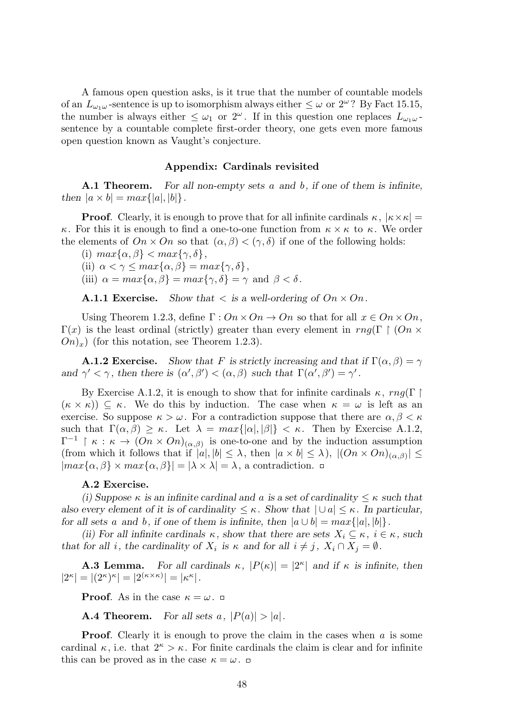A famous open question asks, is it true that the number of countable models of an  $L_{\omega_1\omega}$ -sentence is up to isomorphism always either  $\leq \omega$  or  $2^{\omega}$ ? By Fact 15.15, the number is always either  $\leq \omega_1$  or  $2^{\omega}$ . If in this question one replaces  $L_{\omega_1\omega}$ . sentence by a countable complete first-order theory, one gets even more famous open question known as Vaught's conjecture.

## **Appendix: Cardinals revisited**

**A.1 Theorem.** *For all non-empty sets a and b, if one of them is infinite, then*  $|a \times b| = max\{|a|, |b|\}.$ 

**Proof**. Clearly, it is enough to prove that for all infinite cardinals  $\kappa$ ,  $|\kappa \times \kappa|$  = *κ*. For this it is enough to find a one-to-one function from *κ × κ* to *κ*. We order the elements of  $On \times On$  so that  $(\alpha, \beta) < (\gamma, \delta)$  if one of the following holds:

 $\{i\}$  *max* $\{\alpha, \beta\}$  < *max* $\{\gamma, \delta\},$ 

(ii)  $\alpha < \gamma \leq max\{\alpha, \beta\} = max\{\gamma, \delta\},\$ 

(iii)  $\alpha = \max\{\alpha, \beta\} = \max\{\gamma, \delta\} = \gamma$  and  $\beta < \delta$ .

**A.1.1 Exercise.** *Show that*  $\lt$  *is a well-ordering of*  $On \times On$ .

Using Theorem 1.2.3, define  $\Gamma: On \times On \to On$  so that for all  $x \in On \times On$ ,  $\Gamma(x)$  is the least ordinal (strictly) greater than every element in *rng*(Γ | (On ×  $On(x)$  (for this notation, see Theorem 1.2.3).

**A.1.2 Exercise.** *Show that F* is strictly increasing and that if  $\Gamma(\alpha, \beta) = \gamma$ *and*  $\gamma' < \gamma$ , then there is  $(\alpha', \beta') < (\alpha, \beta)$  such that  $\Gamma(\alpha', \beta') = \gamma'$ .

By Exercise A.1.2, it is enough to show that for infinite cardinals  $\kappa$ , *rng*(Γ)  $(\kappa \times \kappa)$ )  $\subseteq \kappa$ . We do this by induction. The case when  $\kappa = \omega$  is left as an exercise. So suppose  $\kappa > \omega$ . For a contradiction suppose that there are  $\alpha, \beta < \kappa$ such that  $\Gamma(\alpha, \beta) \geq \kappa$ . Let  $\lambda = max\{|\alpha|, |\beta|\} < \kappa$ . Then by Exercise A.1.2,  $\Gamma^{-1}$  |  $\kappa$  :  $\kappa \to (On \times On)_{(\alpha,\beta)}$  is one-to-one and by the induction assumption (from which it follows that if  $|a|, |b| \leq \lambda$ , then  $|a \times b| \leq \lambda$ ),  $|(On \times On)_{(\alpha,\beta)}| \leq$ *|max{α, β}* × *max{α, β}*  $| = |λ × λ| = λ$ , a contradiction. □

#### **A.2 Exercise.**

*(i)* Suppose  $\kappa$  *is an infinite cardinal and a is a set of cardinality*  $\leq \kappa$  *such that also every element of it is of cardinality*  $\leq \kappa$ *. Show that*  $| \cup a | \leq \kappa$ *. In particular, for all sets a and b,* if one of them is infinite, then  $|a \cup b| = max\{|a|, |b|\}$ *.* 

*(ii)* For all infinite cardinals  $\kappa$ , show that there are sets  $X_i \subseteq \kappa$ ,  $i \in \kappa$ , such *that for all i*, the cardinality of  $X_i$  is  $\kappa$  and for all  $i \neq j$ ,  $X_i \cap X_j = \emptyset$ .

**A.3 Lemma.** *For all cardinals*  $\kappa$ *,*  $|P(\kappa)| = |2^{\kappa}|$  *and if*  $\kappa$  *is infinite, then*  $|2^{\kappa}| = |(2^{\kappa})^{\kappa}| = |2^{(\kappa \times \kappa)}| = |\kappa^{\kappa}|.$ 

**Proof**. As in the case  $\kappa = \omega$ .

**A.4 Theorem.** *For all sets*  $a$ *,*  $|P(a)| > |a|$ *.* 

**Proof.** Clearly it is enough to prove the claim in the cases when *a* is some cardinal  $\kappa$ , i.e. that  $2^{\kappa} > \kappa$ . For finite cardinals the claim is clear and for infinite this can be proved as in the case  $\kappa = \omega$ .